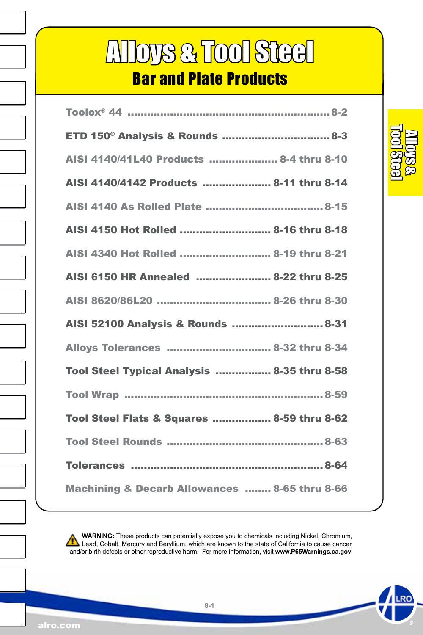# Alloys & Tool Steel

### Bar and Plate Products

| ETD 150 <sup>®</sup> Analysis & Rounds  8-3   |
|-----------------------------------------------|
| AISI 4140/41L40 Products  8-4 thru 8-10       |
| AISI 4140/4142 Products  8-11 thru 8-14       |
|                                               |
| AISI 4150 Hot Rolled  8-16 thru 8-18          |
| AISI 4340 Hot Rolled  8-19 thru 8-21          |
| AISI 6150 HR Annealed  8-22 thru 8-25         |
|                                               |
| AISI 52100 Analysis & Rounds  8-31            |
| Alloys Tolerances  8-32 thru 8-34             |
| Tool Steel Typical Analysis  8-35 thru 8-58   |
|                                               |
| Tool Steel Flats & Squares  8-59 thru 8-62    |
|                                               |
|                                               |
| Machining & Decarb Allowances  8-65 thru 8-66 |

 **WARNING:** These products can potentially expose you to chemicals including Nickel, Chromium, Lead, Cobalt, Mercury and Beryllium, which are known to the state of California to cause cancer and/or birth defects or other reproductive harm. For more information, visit **www.P65Warnings.ca.gov**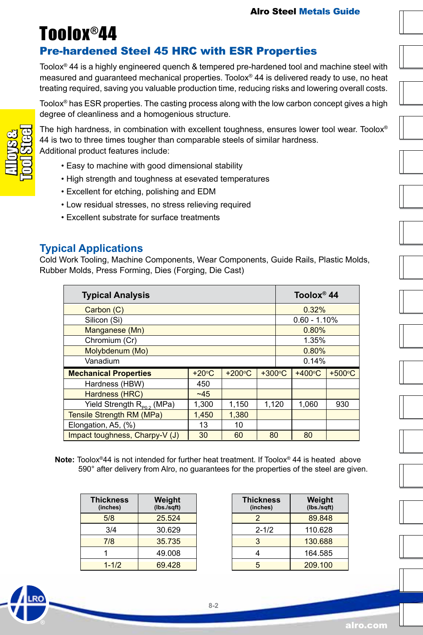### <span id="page-1-0"></span>Toolox®44

### Pre-hardened Steel 45 HRC with ESR Properties

Toolox® 44 is a highly engineered quench & tempered pre-hardened tool and machine steel with measured and guaranteed mechanical properties. Toolox® 44 is delivered ready to use, no heat treating required, saving you valuable production time, reducing risks and lowering overall costs.

Toolox® has ESR properties. The casting process along with the low carbon concept gives a high degree of cleanliness and a homogenious structure.

The high hardness, in combination with excellent toughness, ensures lower tool wear. Toolox® 44 is two to three times tougher than comparable steels of similar hardness. Additional product features include:

- Easy to machine with good dimensional stability
- High strength and toughness at esevated temperatures
- Excellent for etching, polishing and EDM
- Low residual stresses, no stress relieving required
- Excellent substrate for surface treatments

#### **Typical Applications**

Cold Work Tooling, Machine Components, Wear Components, Guide Rails, Plastic Molds, Rubber Molds, Press Forming, Dies (Forging, Die Cast)

| <b>Typical Analysis</b>          | Toolox <sup>®</sup> 44 |                  |                  |                |          |
|----------------------------------|------------------------|------------------|------------------|----------------|----------|
| Carbon (C)                       |                        |                  |                  | 0.32%          |          |
| Silicon (Si)                     |                        |                  |                  | $0.60 - 1.10%$ |          |
| Manganese (Mn)                   |                        |                  |                  | 0.80%          |          |
| Chromium (Cr)                    |                        |                  |                  | 1.35%          |          |
| Molybdenum (Mo)                  |                        | 0.80%            |                  |                |          |
| Vanadium                         | 0.14%                  |                  |                  |                |          |
| <b>Mechanical Properties</b>     | $+20^{\circ}$ C        | $+200^{\circ}$ C | $+300^{\circ}$ C | $+400°C$       | $+500°C$ |
| Hardness (HBW)                   | 450                    |                  |                  |                |          |
| Hardness (HRC)                   |                        |                  |                  |                |          |
| Yield Strength $R_{p_0}$ , (MPa) | 1.120                  | 1,060            | 930              |                |          |
| Tensile Strength RM (MPa)        | 1.450                  | 1,380            |                  |                |          |
| Elongation, A5, (%)              | 13                     | 10               |                  |                |          |
| Impact toughness, Charpy-V (J)   | 30                     | 60               | 80               | 80             |          |

**Note:** Toolox®44 is not intended for further heat treatment. If Toolox® 44 is heated above 590° after delivery from Alro, no guarantees for the properties of the steel are given.

| <b>Thickness</b><br>(inches) | Weight<br>(lbs./sqft) |
|------------------------------|-----------------------|
| 5/8                          | 25.524                |
| 3/4                          | 30.629                |
| 7/8                          | 35.735                |
|                              | 49.008                |
| $1 - 1/2$                    | 69428                 |

| <b>Thickness</b><br>(inches) | Weight<br>(Ibs./sqrt) |
|------------------------------|-----------------------|
| $\mathcal{P}$                | 89.848                |
| $2 - 1/2$                    | 110.628               |
| 3                            | 130.688               |
|                              | 164.585               |
| 5                            | 209.100               |

Alloys & Tool Steel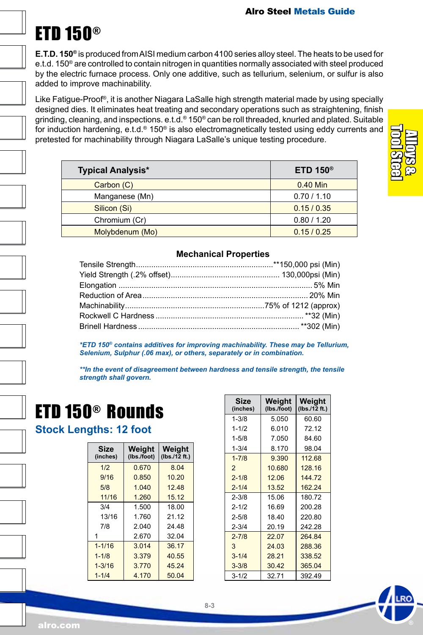### ETD 150®

**E.T.D. 150®** is produced from AISI medium carbon 4100 series alloy steel. The heats to be used for e.t.d. 150® are controlled to contain nitrogen in quantities normally associated with steel produced by the electric furnace process. Only one additive, such as tellurium, selenium, or sulfur is also added to improve machinability.

Like Fatigue-Proof®, it is another Niagara LaSalle high strength material made by using specially designed dies. It eliminates heat treating and secondary operations such as straightening, finish grinding, cleaning, and inspections. e.t.d.® 150® can be roll threaded, knurled and plated. Suitable for induction hardening, e.t.d.® 150® is also electromagnetically tested using eddy currents and pretested for machinability through Niagara LaSalle's unique testing procedure.

| <b>Typical Analysis*</b> | ETD 150 $^{\circ}$ |
|--------------------------|--------------------|
| Carbon (C)               | 0.40 Min           |
| Manganese (Mn)           | 0.70 / 1.10        |
| Silicon (Si)             | 0.15/0.35          |
| Chromium (Cr)            | 0.80 / 1.20        |
| Molybdenum (Mo)          | 0.15/0.25          |

#### **Mechanical Properties**

*\*ETD 150® contains additives for improving machinability. These may be Tellurium, Selenium, Sulphur (.06 max), or others, separately or in combination.*

*\*\*In the event of disagreement between hardness and tensile strength, the tensile strength shall govern.*

### ETD 150® Rounds

#### **Stock Lengths: 12 foot**

| <b>Size</b><br>(inches) | Weight<br>(Ibs./foot) | Weight<br>(lbs.12 ft.) |
|-------------------------|-----------------------|------------------------|
| 1/2                     | 0.670                 | 8.04                   |
| 9/16                    | 0.850                 | 10.20                  |
| 5/8                     | 1.040                 | 12.48                  |
| 11/16                   | 1.260                 | 15.12                  |
| 3/4                     | 1.500                 | 18.00                  |
| 13/16                   | 1.760                 | 21 12                  |
| 7/8                     | 2.040                 | 24 48                  |
|                         | 2.670                 | 32.04                  |
| $1 - 1/16$              | 3.014                 | 36.17                  |
| $1 - 1/8$               | 3.379                 | 40.55                  |
| $1 - 3/16$              | 3.770                 | 45.24                  |
| $1 - 1/4$               | 4.170                 | 50.04                  |

| Size<br>(inches) | Weight<br>(Ibs./foot) | Weight<br>(lbs./12 ft.) |
|------------------|-----------------------|-------------------------|
| $1 - 3/8$        | 5.050                 | 60.60                   |
| $1 - 1/2$        | 6.010                 | 72.12                   |
| $1 - 5/8$        | 7.050                 | 84.60                   |
| $1 - 3/4$        | 8.170                 | 98.04                   |
| $1 - 7/8$        | 9.390                 | 112.68                  |
| $\overline{2}$   | 10.680                | 128.16                  |
| $2 - 1/8$        | 12.06                 | 144.72                  |
| $2 - 1/4$        | 13.52                 | 162.24                  |
| $2 - 3/8$        | 15.06                 | 180.72                  |
| $2 - 1/2$        | 16.69                 | 200.28                  |
| $2 - 5/8$        | 18.40                 | 220.80                  |
| $2 - 3/4$        | 20.19                 | 242.28                  |
| $2 - 7/8$        | 22.07                 | 264.84                  |
| 3                | 24.03                 | 288.36                  |
| $3 - 1/4$        | 28.21                 | 338.52                  |
| $3 - 3/8$        | 30.42                 | 365.04                  |
| $3 - 1/2$        | 32.71                 | 392.49                  |



alro.com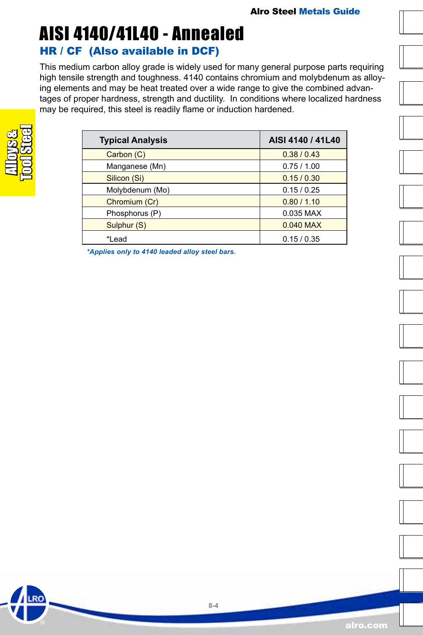### <span id="page-3-0"></span>AISI 4140/41L40 - Annealed HR / CF (Also available in DCF)

This medium carbon alloy grade is widely used for many general purpose parts requiring high tensile strength and toughness. 4140 contains chromium and molybdenum as alloying elements and may be heat treated over a wide range to give the combined advantages of proper hardness, strength and ductility. In conditions where localized hardness may be required, this steel is readily flame or induction hardened.

| <b>Typical Analysis</b> | AISI 4140 / 41L40 |
|-------------------------|-------------------|
| Carbon (C)              | 0.38 / 0.43       |
| Manganese (Mn)          | 0.75/1.00         |
| Silicon (Si)            | 0.15/0.30         |
| Molybdenum (Mo)         | 0.15/0.25         |
| Chromium (Cr)           | 0.80 / 1.10       |
| Phosphorus (P)          | 0.035 MAX         |
| Sulphur (S)             | 0.040 MAX         |
| *Lead                   | 0.15/0.35         |

*\*Applies only to 4140 leaded alloy steel bars.*

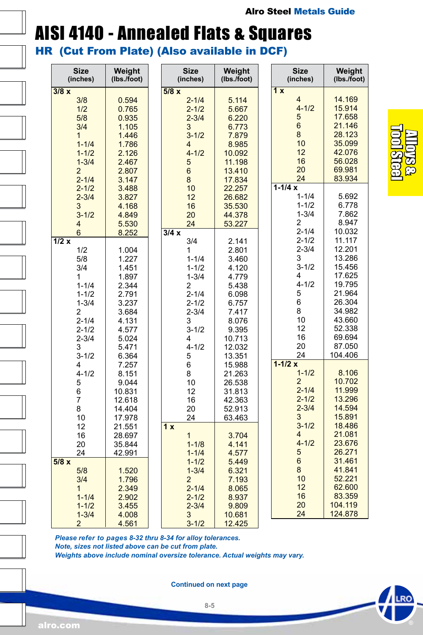### AISI 4140 - Annealed Flats & Squares HR (Cut From Plate) (Also available in DCF)

| <b>Size</b><br>(inches) | Weight<br>(lbs./foot) | <b>Size</b><br>(inches) | Weight<br>(lbs./foot) | <b>Size</b><br>(inches) | Weight<br>(lbs./foot) |
|-------------------------|-----------------------|-------------------------|-----------------------|-------------------------|-----------------------|
| 3/8x                    |                       | 5/8x                    |                       | $\overline{1x}$         |                       |
| 3/8                     | 0.594                 | $2 - 1/4$               | 5.114                 | $\overline{4}$          | 14.169                |
| 1/2                     | 0.765                 | $2 - 1/2$               | 5.667                 | $4 - 1/2$               | 15.914                |
| 5/8                     | 0.935                 | $2 - 3/4$               | 6.220                 | 5                       | 17.658                |
| 3/4                     | 1.105                 | 3                       | 6.773                 | 6                       | 21.146                |
| $\mathbf{1}$            | 1.446                 | $3 - 1/2$               | 7.879                 | 8                       | 28.123                |
| $1 - 1/4$               | 1.786                 | $\overline{4}$          | 8.985                 | 10                      | 35.099                |
| $1 - 1/2$               | 2.126                 | $4 - 1/2$               | 10.092                | 12                      | 42.076                |
| $1 - 3/4$               | 2.467                 | 5                       | 11.198                | 16                      | 56.028                |
| $\overline{2}$          | 2.807                 | $\boldsymbol{6}$        | 13.410                | 20                      | 69.981                |
| $2 - 1/4$               | 3.147                 | 8                       | 17.834                | 24                      | 83.934                |
| $2 - 1/2$               | 3.488                 | 10                      | 22.257                | $1 - 1/4x$              |                       |
| $2 - 3/4$               | 3.827                 | 12                      | 26.682                | $1 - 1/4$               | 5.692                 |
| 3                       | 4.168                 | 16                      | 35.530                | $1 - 1/2$               | 6.778                 |
| $3 - 1/2$               | 4.849                 | 20                      | 44.378                | $1 - 3/4$               | 7.862                 |
| $\overline{4}$          | 5.530                 | 24                      | 53.227                | 2                       | 8.947                 |
| $6\phantom{1}$          | 8.252                 | 3/4x                    |                       | $2 - 1/4$               | 10.032                |
| 1/2x                    |                       | 3/4                     | 2.141                 | $2 - 1/2$               | 11.117                |
| 1/2                     | 1.004                 | 1                       | 2.801                 | $2 - 3/4$               | 12.201                |
| 5/8                     | 1.227                 | $1 - 1/4$               | 3.460                 | 3                       | 13.286                |
| 3/4                     | 1.451                 | $1 - 1/2$               | 4.120                 | $3 - 1/2$               | 15.456                |
| 1                       | 1.897                 | $1 - 3/4$               | 4.779                 | 4                       | 17.625                |
| $1 - 1/4$               | 2.344                 | $\overline{2}$          | 5.438                 | $4 - 1/2$               | 19.795                |
| $1 - 1/2$               | 2.791                 | $2 - 1/4$               | 6.098                 | 5                       | 21.964                |
| $1 - 3/4$               | 3.237                 | $2 - 1/2$               | 6.757                 | 6                       | 26.304                |
| 2                       | 3.684                 | $2 - 3/4$               | 7.417                 | 8                       | 34.982                |
| $2 - 1/4$               | 4.131                 | 3                       | 8.076                 | 10                      | 43.660                |
| $2 - 1/2$               | 4.577                 | $3 - 1/2$               | 9.395                 | 12                      | 52.338                |
| $2 - 3/4$               | 5.024                 | 4                       | 10.713                | 16                      | 69.694                |
| 3                       | 5.471                 | $4 - 1/2$               | 12.032                | 20                      | 87.050                |
| $3 - 1/2$               | 6.364                 | 5                       | 13.351                | 24                      | 104.406               |
| 4                       | 7.257                 | 6                       | 15.988                | $1 - 1/2x$              |                       |
| $4 - 1/2$               | 8.151                 | 8                       | 21.263                | $1 - 1/2$               | 8.106                 |
| 5                       | 9.044                 | 10                      | 26.538                | $\overline{2}$          | 10.702                |
| 6                       | 10.831                | 12                      | 31.813                | $2 - 1/4$               | 11.999                |
| $\overline{7}$          | 12.618                | 16                      | 42.363                | $2 - 1/2$               | 13.296                |
| 8                       | 14.404                | 20                      | 52.913                | $2 - 3/4$               | 14.594                |
| 10                      | 17.978                | 24                      | 63.463                | 3                       | 15.891                |
| 12                      | 21.551                | 1x                      |                       | $3 - 1/2$               | 18.486                |
| 16                      | 28.697                | $\overline{1}$          | 3.704                 | $\overline{4}$          | 21.081                |
| 20                      | 35.844                | $1 - 1/8$               | 4.141                 | $4 - 1/2$               | 23.676                |
| 24                      | 42.991                | $1 - 1/4$               | 4.577                 | 5                       | 26.271                |
|                         |                       |                         | 5.449                 | 6                       | 31.461                |
|                         |                       |                         |                       |                         |                       |
| 5/8x                    |                       | $1 - 1/2$               |                       |                         |                       |
| 5/8                     | 1.520                 | $1 - 3/4$               | 6.321                 | 8                       | 41.841                |
| 3/4                     | 1.796                 | $\overline{2}$          | 7.193                 | 10                      | 52.221                |
| $\mathbf{1}$            | 2.349                 | $2 - 1/4$               | 8.065                 | 12                      | 62.600                |
| $1 - 1/4$               | 2.902                 | $2 - 1/2$               | 8.937                 | 16                      | 83.359                |
| $1 - 1/2$<br>$1 - 3/4$  | 3.455<br>4.008        | $2 - 3/4$<br>3          | 9.809<br>10.681       | 20<br>24                | 104.119<br>124.878    |

*Please refer to pages 8-32 thru 8-34 for alloy tolerances. Note, sizes not listed above can be cut from plate. Weights above include nominal oversize tolerance. Actual weights may vary.*

**Continued on next page**

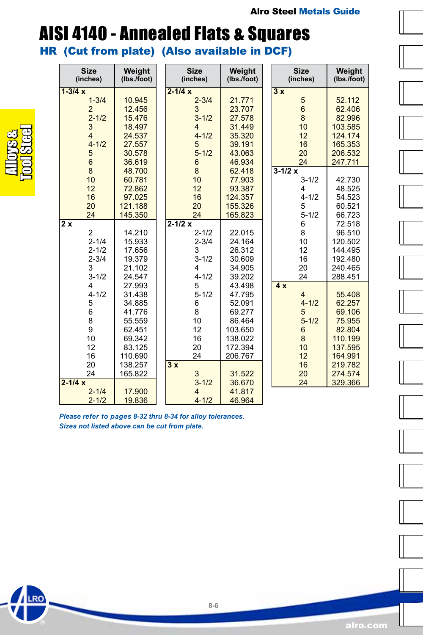### AISI 4140 - Annealed Flats & Squares

HR (Cut from plate) (Also available in DCF)

| <b>Size</b><br>(inches) | Weight<br>(lbs./foot) | <b>Size</b><br>(inches) | Weight<br>(lbs./foot) | <b>Size</b><br>(inches) | Weight<br>(lbs./foot) |
|-------------------------|-----------------------|-------------------------|-----------------------|-------------------------|-----------------------|
| $1 - 3/4x$              |                       | $2 - 1/4x$              |                       | 3x                      |                       |
| $1 - 3/4$               | 10.945                | $2 - 3/4$               | 21.771                | 5                       | 52.112                |
| $\overline{2}$          | 12.456                | 3                       | 23.707                | $6\phantom{1}$          | 62.406                |
| $2 - 1/2$               | 15.476                | $3 - 1/2$               | 27.578                | 8                       | 82.996                |
| 3                       | 18.497                | $\overline{4}$          | 31.449                | 10                      | 103.585               |
| $\overline{4}$          | 24.537                | $4 - 1/2$               | 35.320                | 12                      | 124.174               |
| $4 - 1/2$               | 27.557                | 5                       | 39.191                | 16                      | 165.353               |
| 5                       | 30.578                | $5 - 1/2$               | 43.063                | 20                      | 206.532               |
| $6\phantom{1}$          | 36.619                | $6\phantom{1}$          | 46.934                | 24                      | 247.711               |
| 8                       | 48.700                | 8                       | 62.418                | $3 - 1/2x$              |                       |
| 10                      | 60.781                | 10                      | 77.903                | $3 - 1/2$               | 42.730                |
| 12                      | 72.862                | 12                      | 93.387                | 4                       | 48.525                |
| 16                      | 97.025                | 16                      | 124.357               | $4 - 1/2$               | 54.523                |
| 20                      | 121.188               | 20                      | 155.326               | 5                       | 60.521                |
| 24                      | 145.350               | 24                      | 165.823               | $5 - 1/2$               | 66.723                |
| 2x                      |                       | $2 - 1/2x$              |                       | 6                       | 72.518                |
| $\overline{2}$          | 14.210                | $2 - 1/2$               | 22.015                | 8                       | 96.510                |
| $2 - 1/4$               | 15.933                | $2 - 3/4$               | 24.164                | 10                      | 120.502               |
| $2 - 1/2$               | 17.656                | 3                       | 26.312                | 12                      | 144.495               |
| $2 - 3/4$               | 19.379                | $3 - 1/2$               | 30.609                | 16                      | 192.480               |
| 3                       | 21.102                | 4                       | 34.905                | 20                      | 240.465               |
| $3 - 1/2$               | 24.547                | $4 - 1/2$               | 39.202                | 24                      | 288.451               |
| 4                       | 27.993                | 5                       | 43.498                | 4x                      |                       |
| $4 - 1/2$               | 31.438                | $5 - 1/2$               | 47.795                | $\overline{4}$          | 55.408                |
| 5                       | 34.885                | 6                       | 52.091                | $4 - 1/2$               | 62.257                |
| 6                       | 41.776                | 8                       | 69.277                | 5                       | 69.106                |
| 8                       | 55.559                | 10                      | 86.464                | $5 - 1/2$               | 75.955                |
| 9                       | 62.451                | 12                      | 103.650               | 6                       | 82.804                |
| 10                      | 69.342                | 16                      | 138.022               | 8                       | 110.199               |
| 12                      | 83.125                | 20                      | 172.394               | 10                      | 137.595               |
| 16                      | 110.690               | 24                      | 206.767               | 12                      | 164.991               |
| 20                      | 138.257               | $\overline{3x}$         |                       | 16                      | 219.782               |
| 24                      | 165.822               | 3                       | 31.522                | 20                      | 274.574               |
| $2 - 1/4x$              |                       | $3 - 1/2$               | 36.670                | 24                      | 329.366               |
| $2 - 1/4$               | 17.900                | $\overline{4}$          | 41.817                |                         |                       |
| $2 - 1/2$               | 19.836                | $4 - 1/2$               | 46.964                |                         |                       |

*Please refer to pages 8-32 thru 8-34 for alloy tolerances. Sizes not listed above can be cut from plate.*



RO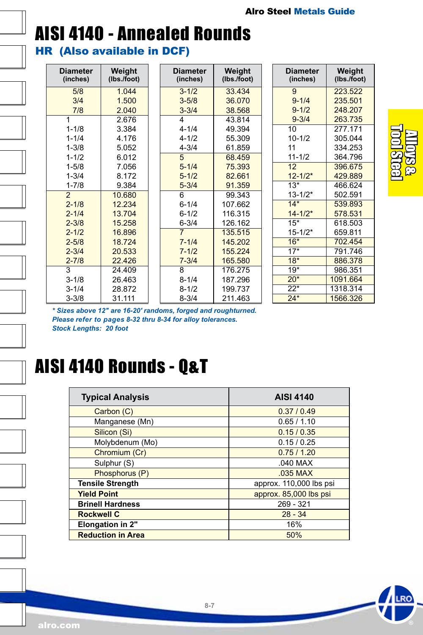### AISI 4140 - Annealed Rounds HR (Also available in DCF)

| <b>Diameter</b><br>(inches) | Weight<br>(lbs./foot) |                | <b>Diameter</b><br>(inches) | Weight<br>(Ibs./foot) |
|-----------------------------|-----------------------|----------------|-----------------------------|-----------------------|
| 5/8                         | 1.044                 |                | $3 - 1/2$                   | 33.434                |
| 3/4                         | 1.500                 |                | $3 - 5/8$                   | 36.070                |
| 7/8                         | 2.040                 |                | $3 - 3/4$                   | 38.568                |
| 1                           | 2.676                 |                | 4                           | 43.814                |
| $1 - 1/8$                   | 3.384                 |                | $4 - 1/4$                   | 49.394                |
| $1 - 1/4$                   | 4.176                 |                | $4 - 1/2$                   | 55.309                |
| $1 - 3/8$                   | 5.052                 |                | $4 - 3/4$                   | 61.859                |
| $1 - 1/2$                   | 6.012                 |                | 5                           | 68.459                |
| $1 - 5/8$                   | 7.056                 |                | $5 - 1/4$                   | 75.393                |
| $1 - 3/4$                   | 8.172                 | $5 - 1/2$      |                             | 82.661                |
| $1 - 7/8$                   | 9.384                 | $5 - 3/4$      |                             | 91.359                |
| $\overline{2}$              | 10.680                |                | 6                           | 99.343                |
| $2 - 1/8$                   | 12.234                |                | $6 - 1/4$                   | 107.662               |
| $2 - 1/4$                   | 13.704                |                | $6 - 1/2$                   | 116.315               |
| $2 - 3/8$                   | 15.258                | $6 - 3/4$      |                             | 126.162               |
| $2 - 1/2$                   | 16.896                | $\overline{7}$ |                             | 135.515               |
| $2 - 5/8$                   | 18.724                |                | $7 - 1/4$                   | 145.202               |
| $2 - 3/4$                   | 20.533                | $7 - 1/2$      |                             | 155.224               |
| $2 - 7/8$                   | 22.426                | $7 - 3/4$      |                             | 165.580               |
| 3                           | 24.409                |                | 8                           | 176.275               |
| $3 - 1/8$                   | 26.463                |                | $8 - 1/4$                   | 187.296               |
| $3 - 1/4$                   | 28.872                |                | $8 - 1/2$                   | 199.737               |
| $3 - 3/8$                   | 31.111                |                | $8 - 3/4$                   | 211.463               |

| Diameter<br>(inches) | Weight<br>(Ibs./foot) |
|----------------------|-----------------------|
| 9                    | 223.522               |
| $9 - 1/4$            | 235 501               |
| $9 - 1/2$            | 248.207               |
| $9 - 3/4$            | 263.735               |
| 10                   | 277.171               |
| $10 - 1/2$           | 305.044               |
| 11                   | 334.253               |
| $11 - 1/2$           | 364.796               |
| 12 <sup>2</sup>      | 396.675               |
| $12 - 1/2*$          | 429.889               |
| $13*$                | 466.624               |
| $13 - 1/2*$          | 502.591               |
| $14*$                | 539.893               |
| $14 - 1/2*$          | 578.531               |
| $15*$                | 618.503               |
| $15 - 1/2*$          | 659.811               |
| $16*$                | 702.454               |
| $17*$                | 791.746               |
| $18*$                | 886.378               |
| $19+$                | 986.351               |
| $20*$                | 1091.664              |
| $22^{*}$             | 1318.314              |
| $24*$                | 1566.326              |



*\* Sizes above 12" are 16-20' randoms, forged and roughturned. Please refer to pages 8-32 thru 8-34 for alloy tolerances. Stock Lengths: 20 foot*



### AISI 4140 Rounds - Q&T

| <b>Typical Analysis</b>  | <b>AISI 4140</b>        |
|--------------------------|-------------------------|
| Carbon (C)               | 0.37/0.49               |
| Manganese (Mn)           | 0.65/1.10               |
| Silicon (Si)             | 0.15/0.35               |
| Molybdenum (Mo)          | 0.15/0.25               |
| Chromium (Cr)            | 0.75/1.20               |
| Sulphur (S)              | $.040$ MAX              |
| Phosphorus (P)           | .035 MAX                |
| <b>Tensile Strength</b>  | approx. 110,000 lbs psi |
| <b>Yield Point</b>       | approx. 85,000 lbs psi  |
| <b>Brinell Hardness</b>  | 269 - 321               |
| <b>Rockwell C</b>        | $28 - 34$               |
| <b>Elongation in 2"</b>  | 16%                     |
| <b>Reduction in Area</b> | 50%                     |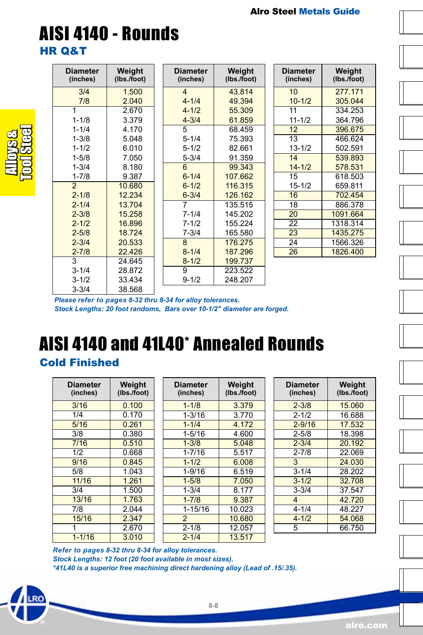### AISI 4140 - Rounds HR Q&T

| <b>Diameter</b><br>(inches) | Weight<br>(Ibs./foot) |
|-----------------------------|-----------------------|
| 3/4                         | 1.500                 |
| 7/8                         | 2.040                 |
| 1                           | 2.670                 |
| $1 - 1/8$                   | 3.379                 |
| $1 - 1/4$                   | 4.170                 |
| $1 - 3/8$                   | 5.048                 |
| $1 - 1/2$                   | 6.010                 |
| $1 - 5/8$                   | 7.050                 |
| $1 - 3/4$                   | 8.180                 |
| $1 - 7/8$                   | 9.387                 |
| $\overline{2}$              | 10.680                |
| $2 - 1/8$                   | 12.234                |
| $2 - 1/4$                   | 13 704                |
| $2 - 3/8$                   | 15.258                |
| $2 - 1/2$                   | 16.896                |
| $2 - 5/8$                   | 18.724                |
| $2 - 3/4$                   | 20.533                |
| $2 - 7/8$                   | 22.426                |
| 3                           | 24.645                |
| $3 - 1/4$                   | 28.872                |
| $3 - 1/2$                   | 33.434                |
| 3-3/4                       | 38.568                |

**Diameter (inches)**

Cold Finished

 $15/16$ 

 $\begin{array}{|c|c|c|c|}\n \hline\n 3/16 & 0.100 \\
\hline\n 1/4 & 0.170\n \end{array}$ 1/4 0.170

 3/8 0.380 7/16 0.510 1/2 0.668<br>9/16 0.845 9/16 0.845

 11/16 1.261 3/4 1.500 13/16 1.763<br>7/8 2 044

 1 2.670 1-1/16 3.010

**Weight (lbs./foot)**

*Please refer to pages 8-32 thru 8-34 for alloy tolerances.*

*Stock Lengths: 20 foot randoms, Bars over 10-1/2" diameter are forged.*

AISI 4140 and 41L40\* Annealed Rounds

 $0.261$ 

 $1.043$ 

 $\frac{2.044}{2.347}$ 

Alloys & Tool Steel

| <b>Diameter</b><br>(inches) | Weight<br>(lbs./foot) |
|-----------------------------|-----------------------|
| $\overline{\mathbf{4}}$     | 43.814                |
| $4 - 1/4$                   | 49.394                |
| $4 - 1/2$                   | 55.309                |
| $4 - 3/4$                   | 61.859                |
| 5                           | 68 459                |
| $5 - 1/4$                   | 75.393                |
| $5 - 1/2$                   | 82.661                |
| 5-3/4                       | 91.359                |
| 6                           | 99 343                |
| $6 - 1/4$                   | 107 662               |
| $6 - 1/2$                   | 116 315               |
| $6 - 3/4$                   | 126.162               |
| 7                           | 135.515               |
| $7 - 1/4$                   | 145.202               |
| $7 - 1/2$                   | 155 224               |
| $7 - 3/4$                   | 165.580               |
| $\mathsf{R}$                | 176,275               |
| $8 - 1/4$                   | 187 296               |
| $8 - 1/2$                   | 199.737               |
| 9                           | 223.522               |
| 9-1/2                       | 248 207               |

| Diameter<br>(inches) | Weight<br>(Ibs./foot) |
|----------------------|-----------------------|
| 10                   | 277 171               |
| $10 - 1/2$           | 305.044               |
| 11                   | 334 253               |
| $11 - 1/2$           | 364.796               |
| 12                   | 396.675               |
| 13                   | 466.624               |
| $13 - 1/2$           | 502.591               |
| 14                   | 539.893               |
| $14 - 1/2$           | 578.531               |
| 15                   | 618 503               |
| $15 - 1/2$           | 659.811               |
| 16                   | 702.454               |
| 18                   | 886.378               |
| 20                   | 1091.664              |
| 22                   | 1318.314              |
| 23                   | 1435.275              |
| 24                   | 1566.326              |
| 26                   | 1826.400              |















*Refer to pages 8-32 thru 8-34 for alloy tolerances. Stock Lengths: 12 foot (20 foot available in most sizes). \*41L40 is a superior free machining direct hardening alloy (Lead of .15/.35).*

**Diameter (inches)**

 $1 - 9/16$ 

**Weight (lbs./foot)**

1-1/4 4.172

8.177

 1-1/8 3.379 1-3/16 3.770<br>1-1/4 4.172

 1-5/16 4.600 1-3/8 5.048  $1-7/16$  5.517  $\begin{array}{|c|c|c|c|}\n 1-1/2 & \quad 6.008 \\
\hline\n 1-9/16 & \quad 6.519\n \end{array}$ 

1-5/8 7.050<br>1-3/4 8.177

 1-7/8 9.387 1-15/16 10.023 2 10.680 2-1/8 12.057 2-1/4 13.517 **Diameter (inches)**

**Weight (lbs./foot)**

17.532

28.202

37.547

54.068

 2-3/8 15.060 2-1/2 16.688<br>2-9/16 17.532

 2-5/8 18.398 2-3/4 20.192 2-7/8 22.069  $\begin{array}{|c|c|c|}\n \hline\n 3 & 24.030 \\
\hline\n 3-1/4 & 28.202\n \hline\n \end{array}$ 

3-1/2 32.708<br>3-3/4 37.547

 4 42.720 4-1/4 48.227<br>4-1/2 54.068

5 66.750



alro.com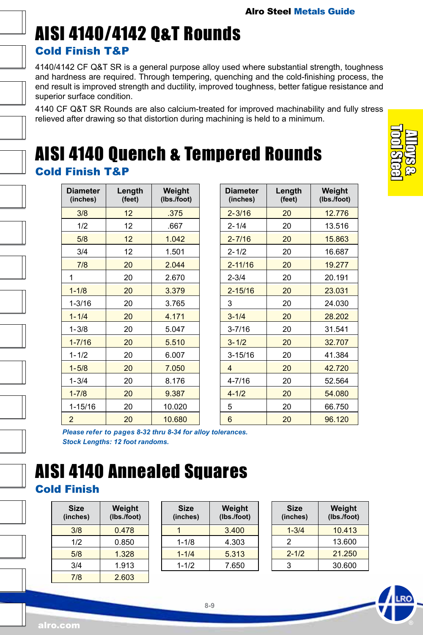### AISI 4140/4142 Q&T Rounds Cold Finish T&P

4140/4142 CF Q&T SR is a general purpose alloy used where substantial strength, toughness and hardness are required. Through tempering, quenching and the cold-finishing process, the end result is improved strength and ductility, improved toughness, better fatigue resistance and superior surface condition.

4140 CF Q&T SR Rounds are also calcium-treated for improved machinability and fully stress relieved after drawing so that distortion during machining is held to a minimum.

### AISI 4140 Quench & Tempered Rounds Cold Finish T&P

| <b>Diameter</b><br>(inches) | Length<br>(feet) | Weight<br>(lbs./foot) |
|-----------------------------|------------------|-----------------------|
| 3/8                         | 12               | .375                  |
| 1/2                         | 12               | .667                  |
| 5/8                         | 12               | 1.042                 |
| 3/4                         | 12               | 1.501                 |
| 7/8                         | 20               | 2.044                 |
| 1                           | 20               | 2.670                 |
| $1 - 1/8$                   | 20               | 3.379                 |
| $1 - 3/16$                  | 20               | 3.765                 |
| $1 - 1/4$                   | 20               | 4.171                 |
| $1 - 3/8$                   | 20               | 5.047                 |
| $1 - 7/16$                  | 20               | 5.510                 |
| $1 - 1/2$                   | 20               | 6.007                 |
| $1 - 5/8$                   | 20               | 7.050                 |
| $1 - 3/4$                   | 20               | 8.176                 |
| $1 - 7/8$                   | 20               | 9.387                 |
| 1-15/16                     | 20               | 10.020                |
| $\overline{2}$              | 20               | 10.680                |

| Diameter<br>(inches) | Length<br>(feet) | Weight<br>(lbs./foot) |
|----------------------|------------------|-----------------------|
| $2 - 3/16$           | 20               | 12.776                |
| $2 - 1/4$            | 20               | 13.516                |
| $2 - 7/16$           | 20               | 15.863                |
| $2 - 1/2$            | 20               | 16.687                |
| $2 - 11/16$          | 20               | 19.277                |
| $2 - 3/4$            | 20               | 20.191                |
| $2 - 15/16$          | 20               | 23.031                |
| 3                    | 20               | 24.030                |
| $3 - 1/4$            | 20               | 28.202                |
| $3 - 7/16$           | 20               | 31.541                |
| $3 - 1/2$            | 20               | 32.707                |
| $3 - 15/16$          | 20               | 41.384                |
| 4                    | 20               | 42.720                |
| 4-7/16               | 20               | 52.564                |
| $4 - 1/2$            | 20               | 54.080                |
| 5                    | 20               | 66.750                |
| 6                    | 20               | 96.120                |

*Please refer to pages 8-32 thru 8-34 for alloy tolerances. Stock Lengths: 12 foot randoms.*

### AISI 4140 Annealed Squares Cold Finish

| <b>Size</b><br>(inches) | Weight<br>(lbs./foot) |
|-------------------------|-----------------------|
| 3/8                     | 0.478                 |
| 1/2                     | 0.850                 |
| 5/8                     | 1.328                 |
| 3/4                     | 1.913                 |
| 7/8                     | 2.603                 |

| Size<br>(inches) | Weight<br>(lbs./foot) |
|------------------|-----------------------|
|                  | 3.400                 |
| $1 - 1/8$        | 4.303                 |
| $1 - 1/4$        | 5.313                 |
| $1 - 1/2$        | 7.650                 |
|                  |                       |

| <b>Size</b><br>(inches) | Weight<br>(lbs./foot) |
|-------------------------|-----------------------|
| $1 - 3/4$               | 10.413                |
| 2                       | 13.600                |
| $2 - 1/2$               | 21.250                |
| 3                       | 30.600                |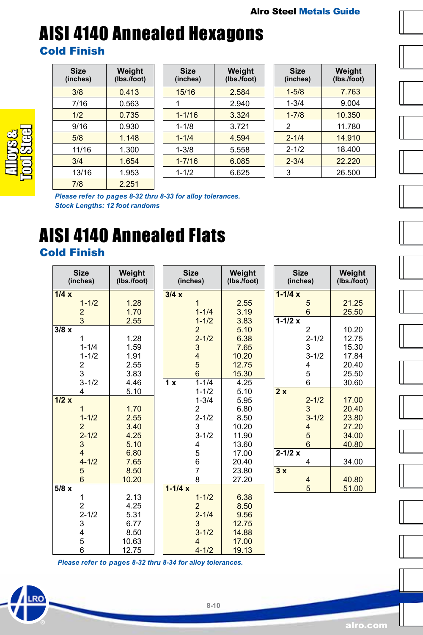### AISI 4140 Annealed Hexagons Cold Finish

| Size<br>(inches) | Weight<br>(lbs./foot) |
|------------------|-----------------------|
| 3/8              | 0.413                 |
| 7/16             | 0.563                 |
| 1/2              | 0.735                 |
| 9/16             | 0.930                 |
| 5/8              | 1.148                 |
| 11/16            | 1.300                 |
| 3/4              | 1.654                 |
| 13/16            | 1.953                 |
| 7/8              | 2.251                 |

| <b>Size</b><br>(inches) | Weight<br>(lbs./foot) |
|-------------------------|-----------------------|
| 15/16                   | 2.584                 |
| 1                       | 2940                  |
| $1 - 1/16$              | 3.324                 |
| $1 - 1/8$               | 3.721                 |
| $1 - 1/4$               | 4.594                 |
| $1 - 3/8$               | 5.558                 |
| $1 - 7/16$              | 6.085                 |
| $1 - 1/2$               | 6.625                 |

| Size<br>(inches) | Weight<br>(Ibs./foot) |
|------------------|-----------------------|
| $1 - 5/8$        | 7.763                 |
| $1 - 3/4$        | 9.004                 |
| $1 - 7/8$        | 10.350                |
| 2                | 11.780                |
| $2 - 1/4$        | 14 910                |
| $2 - 1/2$        | 18.400                |
| $2 - 3/4$        | 22.220                |
| 3                | 26.500                |

*Please refer to pages 8-32 thru 8-33 for alloy tolerances. Stock Lengths: 12 foot randoms*

## AISI 4140 Annealed Flats

#### Cold Finish

Alloys & Tool Steel

|      | <b>Size</b><br>(inches) | Weight<br>(lbs./foot) |            | <b>Size</b><br>(inches) | Weight<br>(lbs./foot) | <b>Size</b><br>(inches) |                 | Weight<br>(Ibs./foot) |
|------|-------------------------|-----------------------|------------|-------------------------|-----------------------|-------------------------|-----------------|-----------------------|
| 1/4x |                         |                       | 3/4x       |                         |                       | $1 - 1/4x$              |                 |                       |
|      | $1 - 1/2$               | 1.28                  |            | 1                       | 2.55                  |                         | 5               | 21.25                 |
|      | $\overline{2}$          | 1.70                  |            | $1 - 1/4$               | 3.19                  |                         | $6\overline{6}$ | 25.50                 |
|      | 3                       | 2.55                  |            | $1 - 1/2$               | 3.83                  | $1 - 1/2 x$             |                 |                       |
| 3/8x |                         |                       |            | $\overline{2}$          | 5.10                  |                         | 2               | 10.20                 |
|      | 1                       | 1.28                  |            | $2 - 1/2$               | 6.38                  |                         | $2 - 1/2$       | 12.75                 |
|      | $1 - 1/4$               | 1.59                  |            | 3                       | 7.65                  |                         | 3               | 15.30                 |
|      | $1 - 1/2$               | 1.91                  |            | $\overline{4}$          | 10.20                 |                         | $3 - 1/2$       | 17.84                 |
|      | $\overline{\mathbf{c}}$ | 2.55                  |            | 5                       | 12.75                 |                         | 4               | 20.40                 |
|      | 3                       | 3.83                  |            | $6\overline{6}$         | 15.30                 |                         | 5               | 25.50                 |
|      | $3 - 1/2$               | 4.46                  | 1 x        | $1 - 1/4$               | 4.25                  |                         | 6               | 30.60                 |
|      | 4                       | 5.10                  |            | $1 - 1/2$               | 5.10                  | 2x                      |                 |                       |
| 1/2x |                         |                       |            | $1 - 3/4$               | 5.95                  |                         | $2 - 1/2$       | 17.00                 |
|      | 1                       | 1.70                  |            | $\overline{2}$          | 6.80                  |                         | 3               | 20.40                 |
|      | $1 - 1/2$               | 2.55                  |            | $2 - 1/2$               | 8.50                  |                         | $3 - 1/2$       | 23.80                 |
|      | $\overline{2}$          | 3.40                  |            | 3                       | 10.20                 |                         | 4               | 27.20                 |
|      | $2 - 1/2$               | 4.25                  |            | $3 - 1/2$               | 11.90                 |                         | 5               | 34.00                 |
|      | $\sqrt{3}$              | 5.10                  |            | 4                       | 13.60                 |                         | 6               | 40.80                 |
|      | $\overline{4}$          | 6.80                  |            | 5                       | 17.00                 | $2 - 1/2x$              |                 |                       |
|      | $4 - 1/2$               | 7.65                  |            | 6                       | 20.40                 |                         | 4               | 34.00                 |
|      | 5                       | 8.50                  |            | $\overline{7}$          | 23.80                 | 3x                      |                 |                       |
|      | $6\overline{6}$         | 10.20                 |            | 8                       | 27.20                 |                         | $\overline{4}$  | 40.80                 |
| 5/8x |                         |                       | $1 - 1/4x$ |                         |                       |                         | 5               | 51.00                 |
|      | 1                       | 2.13                  |            | $1 - 1/2$               | 6.38                  |                         |                 |                       |
|      | $\overline{c}$          | 4.25                  |            | $\overline{2}$          | 8.50                  |                         |                 |                       |
|      | $2 - 1/2$               | 5.31                  |            | $2 - 1/4$               | 9.56                  |                         |                 |                       |
|      | 3                       | 6.77                  |            | 3                       | 12.75                 |                         |                 |                       |
|      | 4                       | 8.50                  |            | $3 - 1/2$               | 14.88                 |                         |                 |                       |
|      | $\frac{5}{6}$           | 10.63                 |            | 4                       | 17.00                 |                         |                 |                       |
|      |                         | 12.75                 |            | $4 - 1/2$               | 19.13                 |                         |                 |                       |

*Please refer to pages 8-32 thru 8-34 for alloy tolerances.*

**8-10**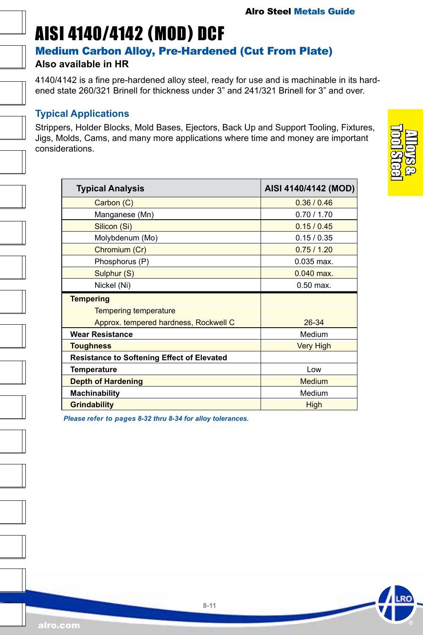### <span id="page-10-0"></span>AISI 4140/4142 (MOD) DCF

#### Medium Carbon Alloy, Pre-Hardened (Cut From Plate)

#### **Also available in HR**

4140/4142 is a fine pre-hardened alloy steel, ready for use and is machinable in its hardened state 260/321 Brinell for thickness under 3" and 241/321 Brinell for 3" and over.

#### **Typical Applications**

Strippers, Holder Blocks, Mold Bases, Ejectors, Back Up and Support Tooling, Fixtures, Jigs, Molds, Cams, and many more applications where time and money are important considerations.

| <b>Typical Analysis</b>                           | AISI 4140/4142 (MOD) |
|---------------------------------------------------|----------------------|
| Carbon (C)                                        | 0.36 / 0.46          |
| Manganese (Mn)                                    | 0.70 / 1.70          |
| Silicon (Si)                                      | 0.15/0.45            |
| Molybdenum (Mo)                                   | 0.15/0.35            |
| Chromium (Cr)                                     | 0.75/1.20            |
| Phosphorus (P)                                    | $0.035$ max.         |
| Sulphur (S)                                       | $0.040$ max.         |
| Nickel (Ni)                                       | $0.50$ max.          |
| <b>Tempering</b>                                  |                      |
| <b>Tempering temperature</b>                      |                      |
| Approx. tempered hardness, Rockwell C             | 26-34                |
| <b>Wear Resistance</b>                            | Medium               |
| <b>Toughness</b>                                  | <b>Very High</b>     |
| <b>Resistance to Softening Effect of Elevated</b> |                      |
| Temperature                                       | Low                  |
| <b>Depth of Hardening</b>                         | Medium               |
| Machinability                                     | Medium               |
| <b>Grindability</b>                               | High                 |

*Please refer to pages 8-32 thru 8-34 for alloy tolerances.*

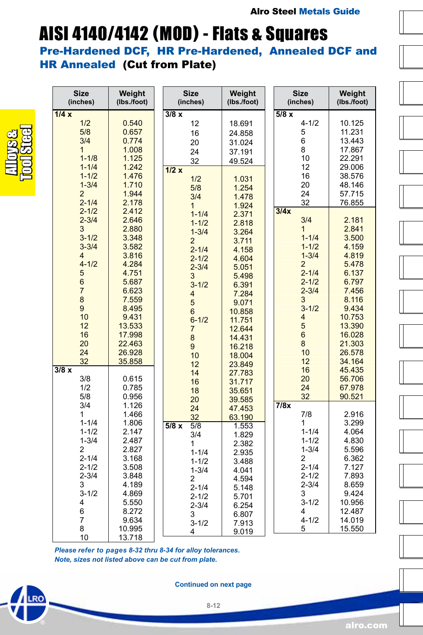## AISI 4140/4142 (MOD) - Flats & Squares

Pre-Hardened DCF, HR Pre-Hardened, Annealed DCF and HR Annealed (Cut from Plate)

| <b>Size</b><br>(inches)                               | Weight<br>(lbs./foot)              | <b>Size</b><br>(inches)                               | Weight<br>(lbs./foot)                | <b>Size</b><br>(inches)                  | Weight<br>(Ibs./foot)                |
|-------------------------------------------------------|------------------------------------|-------------------------------------------------------|--------------------------------------|------------------------------------------|--------------------------------------|
| 1/4x<br>1/2<br>5/8                                    | 0.540<br>0.657                     | 3/8x<br>12<br>16                                      | 18.691<br>24.858                     | 5/8x<br>$4 - 1/2$<br>5                   | 10.125<br>11.231                     |
| 3/4<br>$\overline{1}$<br>$1 - 1/8$                    | 0.774<br>1.008<br>1.125            | 20<br>24<br>32                                        | 31.024<br>37.191<br>49.524           | 6<br>8<br>10                             | 13.443<br>17.867<br>22.291           |
| $1 - 1/4$<br>$1 - 1/2$<br>$1 - 3/4$<br>$\overline{2}$ | 1.242<br>1.476<br>1.710<br>1.944   | 1/2x<br>1/2<br>5/8                                    | 1.031<br>1.254                       | 12<br>16<br>20<br>24                     | 29.006<br>38.576<br>48.146<br>57.715 |
| $2 - 1/4$<br>$2 - 1/2$<br>$2 - 3/4$                   | 2.178<br>2.412<br>2.646            | 3/4<br>$\mathbf{1}$<br>$1 - 1/4$                      | 1.478<br>1.924<br>2.371              | 32<br>3/4x<br>3/4                        | 76.855<br>2.181                      |
| 3<br>$3 - 1/2$<br>$3 - 3/4$                           | 2.880<br>3.348<br>3.582            | $1 - 1/2$<br>$1 - 3/4$<br>$\overline{2}$<br>$2 - 1/4$ | 2.818<br>3.264<br>3.711<br>4.158     | 1<br>$1 - 1/4$<br>$1 - 1/2$              | 2.841<br>3.500<br>4.159              |
| $\overline{4}$<br>$4 - 1/2$<br>5                      | 3.816<br>4.284<br>4.751            | $2 - 1/2$<br>$2 - 3/4$<br>3                           | 4.604<br>5.051<br>5.498              | $1 - 3/4$<br>$\overline{2}$<br>$2 - 1/4$ | 4.819<br>5.478<br>6.137              |
| 6<br>$\overline{7}$<br>8                              | 5.687<br>6.623<br>7.559            | $3 - 1/2$<br>4<br>5                                   | 6.391<br>7.284<br>9.071              | $2 - 1/2$<br>$2 - 3/4$<br>3              | 6.797<br>7.456<br>8.116              |
| 9<br>10<br>12<br>16                                   | 8.495<br>9.431<br>13.533<br>17.998 | 6<br>$6 - 1/2$<br>$\overline{7}$                      | 10.858<br>11.751<br>12.644           | $3 - 1/2$<br>4<br>5<br>$6\phantom{a}$    | 9.434<br>10.753<br>13.390<br>16.028  |
| 20<br>24<br>32                                        | 22.463<br>26.928<br>35.858         | 8<br>9<br>10                                          | 14.431<br>16.218<br>18.004           | 8<br>10<br>12                            | 21.303<br>26.578<br>34.164           |
| 3/8x<br>3/8<br>1/2                                    | 0.615<br>0.785                     | 12<br>14<br>16                                        | 23.849<br>27.783<br>31.717           | 16<br>20<br>24                           | 45.435<br>56.706<br>67.978           |
| 5/8<br>3/4<br>1                                       | 0.956<br>1.126<br>1.466            | 18<br>20<br>24<br>32                                  | 35.651<br>39.585<br>47.453<br>63.190 | 32<br>7/8x<br>7/8                        | 90.521<br>2.916                      |
| $1 - 1/4$<br>$1 - 1/2$<br>$1 - 3/4$                   | 1.806<br>2.147<br>2.487            | 5/8x<br>5/8<br>3/4<br>1                               | 1.553<br>1.829<br>2.382              | 1<br>$1 - 1/4$<br>$1 - 1/2$              | 3.299<br>4.064<br>4.830              |
| $\overline{2}$<br>$2 - 1/4$<br>$2 - 1/2$              | 2.827<br>3.168<br>3.508            | $1 - 1/4$<br>$1 - 1/2$<br>$1 - 3/4$                   | 2.935<br>3.488<br>4.041              | $1 - 3/4$<br>2<br>$2 - 1/4$              | 5.596<br>6.362<br>7.127              |
| $2 - 3/4$<br>3<br>$3 - 1/2$                           | 3.848<br>4.189<br>4.869            | 2<br>$2 - 1/4$<br>$2 - 1/2$                           | 4.594<br>5.148<br>5.701              | $2 - 1/2$<br>$2 - 3/4$<br>3              | 7.893<br>8.659<br>9.424              |
| 4<br>6<br>7                                           | 5.550<br>8.272<br>9.634            | $2 - 3/4$<br>3<br>$3 - 1/2$                           | 6.254<br>6.807<br>7.913              | $3 - 1/2$<br>4<br>$4 - 1/2$              | 10.956<br>12.487<br>14.019           |
| 8<br>10                                               | 10.995<br>13.718                   | 4                                                     | 9.019                                | 5                                        | 15.550                               |

*Please refer to pages 8-32 thru 8-34 for alloy tolerances. Note, sizes not listed above can be cut from plate.*



Alloys & Tool Steel

**Continued on next page**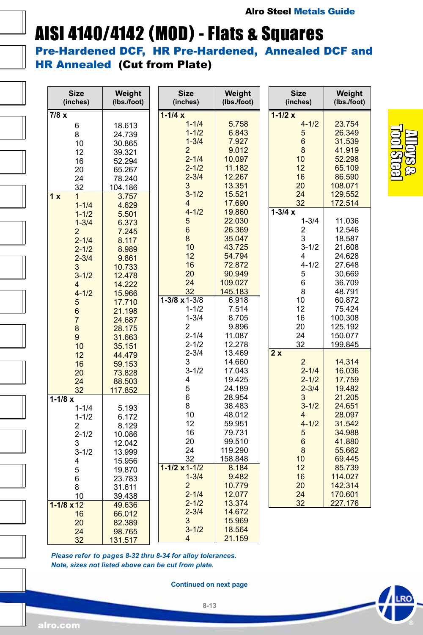# AISI 4140/4142 (MOD) - Flats & Squares

Pre-Hardened DCF, HR Pre-Hardened, Annealed DCF and HR Annealed (Cut from Plate)

| <b>Size</b><br>(inches)                                                                                             | Weight<br>(lbs./foot)                                                                           | <b>Size</b><br>(inches)                                                                                                                        | Weight<br>(Ibs./foot)                                                                                       | <b>Size</b><br>(inches)                                                                                         | Weight<br>(Ibs./foot)                                                                                      |
|---------------------------------------------------------------------------------------------------------------------|-------------------------------------------------------------------------------------------------|------------------------------------------------------------------------------------------------------------------------------------------------|-------------------------------------------------------------------------------------------------------------|-----------------------------------------------------------------------------------------------------------------|------------------------------------------------------------------------------------------------------------|
| 7/8x<br>6<br>8<br>10<br>12<br>16<br>20<br>24<br>32<br>1x<br>1<br>$1 - 1/4$                                          | 18.613<br>24.739<br>30.865<br>39.321<br>52.294<br>65.267<br>78.240<br>104.186<br>3.757<br>4.629 | $1 - 1/4x$<br>$1 - 1/4$<br>$1 - 1/2$<br>$1 - 3/4$<br>$\overline{2}$<br>$2 - 1/4$<br>$2 - 1/2$<br>$2 - 3/4$<br>3<br>$3 - 1/2$<br>$\overline{4}$ | 5.758<br>6.843<br>7.927<br>9.012<br>10.097<br>11.182<br>12.267<br>13.351<br>15.521<br>17.690                | $1 - 1/2x$<br>$4 - 1/2$<br>5<br>$6\phantom{a}$<br>8<br>10<br>12<br>16<br>20<br>24<br>32                         | 23.754<br>26.349<br>31.539<br>41.919<br>52.298<br>65.109<br>86.590<br>108.071<br>129.552<br>172.514        |
| $1 - 1/2$<br>$1 - 3/4$<br>$\overline{2}$<br>$2 - 1/4$<br>$2 - 1/2$<br>$2 - 3/4$<br>3<br>$3 - 1/2$<br>4<br>$4 - 1/2$ | 5.501<br>6.373<br>7.245<br>8.117<br>8.989<br>9.861<br>10.733<br>12.478<br>14.222<br>15.966      | $4 - 1/2$<br>5<br>$6\phantom{a}$<br>$\bf 8$<br>10<br>12<br>16<br>20<br>24<br>32                                                                | 19.860<br>22.030<br>26.369<br>35.047<br>43.725<br>54.794<br>72.872<br>90.949<br>109.027<br>145.183          | $1 - 3/4x$<br>$1 - 3/4$<br>2<br>3<br>$3 - 1/2$<br>4<br>$4 - 1/2$<br>5<br>6<br>8                                 | 11.036<br>12.546<br>18.587<br>21.608<br>24.628<br>27.648<br>30.669<br>36.709<br>48.791                     |
| 5<br>$\overline{6}$<br>$\overline{7}$<br>$\bf8$<br>$\boldsymbol{9}$<br>10<br>12<br>16<br>20                         | 17.710<br>21.198<br>24.687<br>28.175<br>31.663<br>35.151<br>44.479<br>59.153<br>73.828          | $1 - 3/8 \times 1 - 3/8$<br>$1 - 1/2$<br>$1 - 3/4$<br>$\overline{c}$<br>$2 - 1/4$<br>$2 - 1/2$<br>$2 - 3/4$<br>3<br>$3 - 1/2$                  | 6.918<br>7.514<br>8.705<br>9.896<br>11.087<br>12.278<br>13.469<br>14.660<br>17.043                          | 10<br>12<br>16<br>20<br>24<br>32<br>2x<br>$\overline{c}$<br>$2 - 1/4$                                           | 60.872<br>75.424<br>100.308<br>125.192<br>150.077<br>199.845<br>14.314<br>16.036                           |
| 24<br>32<br>$1 - 1/8x$<br>$1 - 1/4$<br>$1 - 1/2$<br>2<br>$2 - 1/2$<br>3<br>$3 - 1/2$<br>4                           | 88.503<br>117.852<br>5.193<br>6.172<br>8.129<br>10.086<br>12.042<br>13.999<br>15.956            | 4<br>5<br>6<br>8<br>10<br>12<br>16<br>20<br>24<br>32<br>$1 - 1/2 \times 1 - 1/2$                                                               | 19.425<br>24.189<br>28.954<br>38.483<br>48.012<br>59.951<br>79.731<br>99.510<br>119.290<br>158.848<br>8.184 | $2 - 1/2$<br>$2 - 3/4$<br>3<br>$3 - 1/2$<br>$\overline{4}$<br>$4 - 1/2$<br>5<br>$6\phantom{a}$<br>8<br>10<br>12 | 17.759<br>19.482<br>21.205<br>24.651<br>28.097<br>31.542<br>34.988<br>41.880<br>55.662<br>69.445<br>85.739 |
| 5<br>6<br>8<br>10<br>$1 - 1/8 \times 12$<br>16<br>20<br>24<br>32                                                    | 19.870<br>23.783<br>31.611<br>39.438<br>49.636<br>66.012<br>82.389<br>98.765<br>131.517         | $1 - 3/4$<br>$\overline{2}$<br>$2 - 1/4$<br>$2 - 1/2$<br>$2 - 3/4$<br>3<br>$3 - 1/2$<br>4                                                      | 9.482<br>10.779<br>12.077<br>13.374<br>14.672<br>15.969<br>18.564<br>21.159                                 | 16<br>20<br>24<br>32                                                                                            | 114.027<br>142.314<br>170.601<br>227.176                                                                   |

*Please refer to pages 8-32 thru 8-34 for alloy tolerances. Note, sizes not listed above can be cut from plate.*

**Continued on next page**

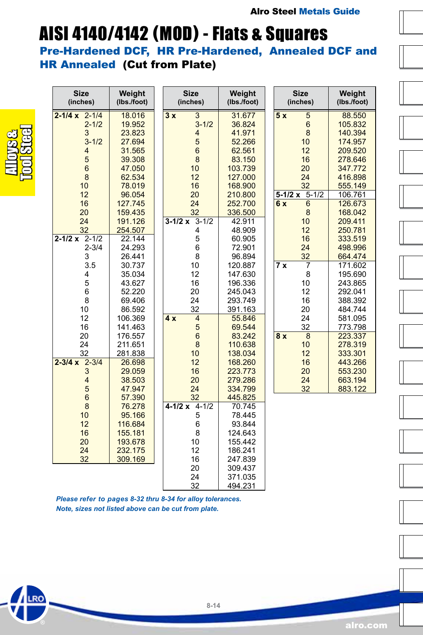### AISI 4140/4142 (MOD) - Flats & Squares

Pre-Hardened DCF, HR Pre-Hardened, Annealed DCF and HR Annealed (Cut from Plate)

| <b>Size</b><br>(inches)  | Weight<br>(lbs./foot) | <b>Size</b><br>(inches) | Weight<br>(lbs./foot) | <b>Size</b><br>(inches) | Weight<br>(lbs./foot) |
|--------------------------|-----------------------|-------------------------|-----------------------|-------------------------|-----------------------|
| $2 - 1/4 x 2 - 1/4$      | 18.016                | $\overline{3}$<br>3x    | 31.677                | 5x<br>$\overline{5}$    | 88.550                |
| $2 - 1/2$                | 19.952                | $3 - 1/2$               | 36.824                | $6\phantom{1}$          | 105.832               |
| 3                        | 23.823                | $\overline{\mathbf{4}}$ | 41.971                | 8                       | 140.394               |
| $3 - 1/2$                | 27.694                | 5                       | 52.266                | 10                      | 174.957               |
| 4                        | 31.565                | $6\phantom{1}$          | 62.561                | 12                      | 209.520               |
| 5                        | 39.308                | $\bf8$                  | 83.150                | 16                      | 278.646               |
| $6\phantom{1}$           | 47.050                | 10                      | 103.739               | 20                      | 347.772               |
| 8                        | 62.534                | 12                      | 127.000               | 24                      | 416.898               |
| 10                       | 78.019                | 16                      | 168.900               | 32                      | 555.149               |
| 12                       | 96.054                | 20                      | 210.800               | $5 - 1/2$<br>$5-1/2x$   | 106.761               |
| 16                       | 127.745               | 24                      | 252.700               | $6\phantom{1}$<br>6 x   | 126.673               |
| 20                       | 159.435               | 32                      | 336.500               | 8                       | 168.042               |
| 24                       | 191.126               | $3 - 1/2$<br>$3 - 1/2x$ | 42.911                | 10                      | 209.411               |
| 32                       | 254.507               | 4                       | 48.909                | 12                      | 250.781               |
| $2 - 1/2 \times 2 - 1/2$ | 22.144                | 5                       | 60.905                | 16                      | 333.519               |
| $2 - 3/4$                | 24.293                | 6                       | 72.901                | 24                      | 498.996               |
| 3                        | 26.441                | 8                       | 96.894                | 32                      | 664.474               |
| 3.5                      | 30.737                | 10                      | 120.887               | $\overline{7}$<br>7x    | 171.602               |
| 4                        | 35.034                | 12                      | 147.630               | 8                       | 195.690               |
| 5                        | 43.627                | 16                      | 196.336               | 10                      | 243.865               |
| 6                        | 52.220                | 20                      | 245.043               | 12                      | 292.041               |
| 8                        | 69.406                | 24                      | 293.749               | 16                      | 388.392               |
| 10                       | 86.592                | 32                      | 391.163               | 20                      | 484.744               |
| 12                       | 106.369               | $\overline{4}$<br>4x    | 55.846                | 24                      | 581.095               |
| 16                       | 141.463               | $\sqrt{5}$              | 69.544                | 32                      | 773.798               |
| 20                       | 176.557               | $6\phantom{a}$          | 83.242                | 8<br>8x                 | 223.337               |
| 24                       | 211.651               | 8                       | 110.638               | 10                      | 278.319               |
| 32                       | 281.838               | 10                      | 138.034               | 12                      | 333.301               |
| $2 - 3/4 x 2 - 3/4$      | 26.698                | 12                      | 168.260               | 16                      | 443.266               |
| 3                        | 29.059                | 16                      | 223.773               | 20                      | 553.230               |
| $\overline{4}$           | 38.503                | 20                      | 279.286               | 24                      | 663.194               |
| 5                        | 47.947                | 24                      | 334.799               | 32                      | 883.122               |
| $\overline{6}$           | 57.390                | 32                      | 445.825               |                         |                       |
| 8                        | 76.278                | $4-1/2 \times 4-1/2$    | 70.745                |                         |                       |
| 10                       | 95.166                | 5                       | 78.445                |                         |                       |
| 12                       | 116.684               | 6                       | 93.844                |                         |                       |
| 16                       | 155.181               | 8                       | 124.643               |                         |                       |
| 20                       | 193.678               | 10                      | 155.442               |                         |                       |
| 24                       | 232.175               | 12                      | 186.241               |                         |                       |
| 32                       | 309.169               | 16                      | 247.839               |                         |                       |
|                          |                       | 20                      | 309.437               |                         |                       |
|                          |                       | 24                      | 371.035               |                         |                       |
|                          |                       | 32                      | 494.231               |                         |                       |

*Please refer to pages 8-32 thru 8-34 for alloy tolerances. Note, sizes not listed above can be cut from plate.*

Alloys & Tool Steel

RO

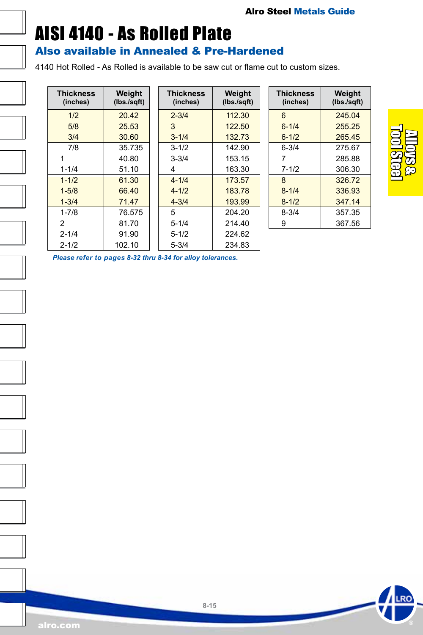### <span id="page-14-0"></span>AISI 4140 - As Rolled Plate

#### Also available in Annealed & Pre-Hardened

4140 Hot Rolled - As Rolled is available to be saw cut or flame cut to custom sizes.

| <b>Thickness</b><br>(inches) | Weight<br>(lbs./sqft) |
|------------------------------|-----------------------|
| 1/2                          | 20.42                 |
| 5/8                          | 25.53                 |
| 3/4                          | 30.60                 |
| 7/8                          | 35.735                |
| 1                            | 40.80                 |
| $1 - 1/4$                    | 51.10                 |
| $1 - 1/2$                    | 61.30                 |
| $1 - 5/8$                    | 66.40                 |
| $1 - 3/4$                    | 71.47                 |
| $1 - 7/8$                    | 76.575                |
| 2                            | 81.70                 |
| $2 - 1/4$                    | 91.90                 |
| $2 - 1/2$                    | 102.10                |

| Neight<br>bs./sqft) | <b>Thickness</b><br>(inches) | Weight<br>(lbs./sqft) |
|---------------------|------------------------------|-----------------------|
| 20.42               | $2 - 3/4$                    | 112.30                |
| 25.53               | 3                            | 122.50                |
| 30.60               | $3 - 1/4$                    | 132.73                |
| 35.735              | $3 - 1/2$                    | 142.90                |
| 40.80               | $3 - 3/4$                    | 153.15                |
| 51.10               | 4                            | 163.30                |
| 61.30               | $4 - 1/4$                    | 173.57                |
| 66.40               | $4 - 1/2$                    | 183.78                |
| 71.47               | $4 - 3/4$                    | 193.99                |
| 76.575              | 5                            | 204.20                |
| 81.70               | $5 - 1/4$                    | 214.40                |
| 91.90               | $5 - 1/2$                    | 224.62                |
| 02.10               | $5 - 3/4$                    | 234.83                |

| <b>Thickness</b><br>(inches) | Weight<br>(lbs./sqft) |
|------------------------------|-----------------------|
| 6                            | 245 04                |
| $6 - 1/4$                    | 255 25                |
| $6 - 1/2$                    | 265.45                |
| $6 - 3/4$                    | 275.67                |
| 7                            | 28588                 |
| $7 - 1/2$                    | 306.30                |
| 8                            | 326.72                |
| $8 - 1/4$                    | 336.93                |
| $8 - 1/2$                    | 347.14                |
| $8 - 3/4$                    | 357 35                |
| 9                            | 367.56                |



*Please refer to pages 8-32 thru 8-34 for alloy tolerances.*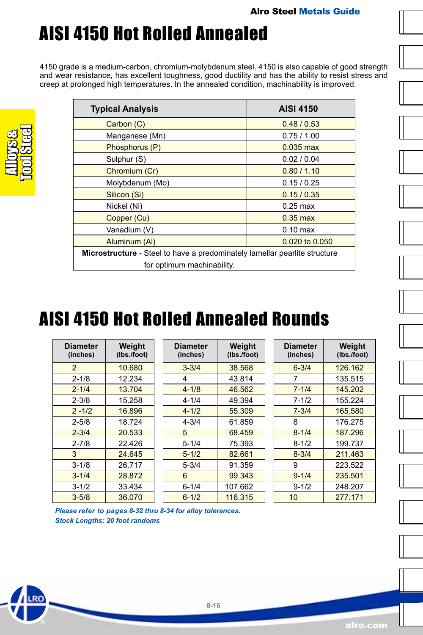

## <span id="page-15-0"></span>AISI 4150 Hot Rolled Annealed

4150 grade is a medium-carbon, chromium-molybdenum steel. 4150 is also capable of good strength and wear resistance, has excellent toughness, good ductility and has the ability to resist stress and creep at prolonged high temperatures. In the annealed condition, machinability is improved.

| <b>Typical Analysis</b>                                                           | <b>AISI 4150</b>   |  |  |
|-----------------------------------------------------------------------------------|--------------------|--|--|
| Carbon (C)                                                                        | 0.48/0.53          |  |  |
| Manganese (Mn)                                                                    | 0.75/1.00          |  |  |
| Phosphorus (P)                                                                    | $0.035$ max        |  |  |
| Sulphur (S)                                                                       | 0.02 / 0.04        |  |  |
| Chromium (Cr)                                                                     | 0.80 / 1.10        |  |  |
| Molybdenum (Mo)                                                                   | 0.15/0.25          |  |  |
| Silicon (Si)                                                                      | 0.15/0.35          |  |  |
| Nickel (Ni)                                                                       | $0.25 \text{ max}$ |  |  |
| Copper (Cu)                                                                       | $0.35$ max         |  |  |
| Vanadium (V)                                                                      | $0.10$ max         |  |  |
| 0.020 to 0.050<br>Aluminum (AI)                                                   |                    |  |  |
| <b>Microstructure</b> - Steel to have a predominately lamellar pearlite structure |                    |  |  |
| for optimum machinability.                                                        |                    |  |  |

### AISI 4150 Hot Rolled Annealed Rounds

| <b>Diameter</b><br>(inches) | Weight<br>(Ibs./foot) |
|-----------------------------|-----------------------|
| $\overline{2}$              | 10.680                |
| $2 - 1/8$                   | 12.234                |
| $2 - 1/4$                   | 13.704                |
| $2 - 3/8$                   | 15.258                |
| $2 - 1/2$                   | 16.896                |
| $2 - 5/8$                   | 18.724                |
| $2 - 3/4$                   | 20.533                |
| $2 - 7/8$                   | 22 426                |
| 3                           | 24.645                |
| $3 - 1/8$                   | 26.717                |
| $3 - 1/4$                   | 28.872                |
| $3 - 1/2$                   | 33.434                |
| $3 - 5/8$                   | 36.070                |

| <b>Diameter</b><br>(inches) | Weight<br>(Ibs./foot) |
|-----------------------------|-----------------------|
| $3 - 3/4$                   | 38.568                |
| 4                           | 43.814                |
| $4 - 1/8$                   | 46.562                |
| 4-1/4                       | 49.394                |
| $4 - 1/2$                   | 55.309                |
| $4 - 3/4$                   | 61.859                |
| 5                           | 68.459                |
| $5 - 1/4$                   | 75.393                |
| $5 - 1/2$                   | 82.661                |
| 5-3/4                       | 91.359                |
| 6                           | 99.343                |
| 6-1/4                       | 107.662               |
| $6 - 1/2$                   | 116.315               |

**8-16**

| <b>Diameter</b><br>(inches) | Weight<br>(lbs./foot) |
|-----------------------------|-----------------------|
| $6 - 3/4$                   | 126.162               |
| 7                           | 135.515               |
| $7 - 1/4$                   | 145.202               |
| 7-1/2                       | 155.224               |
| $7 - 3/4$                   | 165.580               |
| 8                           | 176.275               |
| $8 - 1/4$                   | 187.296               |
| $8 - 1/2$                   | 199.737               |
| $8 - 3/4$                   | 211 463               |
| 9                           | 223.522               |
| $9 - 1/4$                   | 235.501               |
| $9 - 1/2$                   | 248.207               |
| 10                          | 277.171               |

*Please refer to pages 8-32 thru 8-34 for alloy tolerances. Stock Lengths: 20 foot randoms*

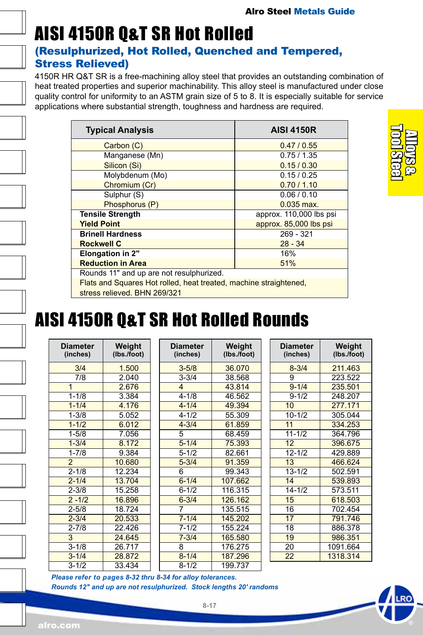# AISI 4150R Q&T SR Hot Rolled

#### (Resulphurized, Hot Rolled, Quenched and Tempered, Stress Relieved)

4150R HR Q&T SR is a free-machining alloy steel that provides an outstanding combination of heat treated properties and superior machinability. This alloy steel is manufactured under close quality control for uniformity to an ASTM grain size of 5 to 8. It is especially suitable for service applications where substantial strength, toughness and hardness are required.

| <b>Typical Analysis</b>                                           | <b>AISI 4150R</b>       |  |  |
|-------------------------------------------------------------------|-------------------------|--|--|
| Carbon (C)                                                        | 0.47 / 0.55             |  |  |
| Manganese (Mn)                                                    | 0.75/1.35               |  |  |
| Silicon (Si)                                                      | 0.15/0.30               |  |  |
| Molybdenum (Mo)                                                   | 0.15/0.25               |  |  |
| Chromium (Cr)                                                     | 0.70 / 1.10             |  |  |
| Sulphur (S)                                                       | 0.06 / 0.10             |  |  |
| Phosphorus (P)                                                    | $0.035$ max.            |  |  |
| <b>Tensile Strength</b>                                           | approx. 110,000 lbs psi |  |  |
| <b>Yield Point</b>                                                | approx. 85,000 lbs psi  |  |  |
| <b>Brinell Hardness</b>                                           | 269 - 321               |  |  |
| <b>Rockwell C</b>                                                 | $28 - 34$               |  |  |
| Elongation in 2"                                                  | 16%                     |  |  |
| <b>Reduction in Area</b>                                          | 51%                     |  |  |
| Rounds 11" and up are not resulphurized.                          |                         |  |  |
| Flats and Squares Hot rolled, heat treated, machine straightened, |                         |  |  |
| stress relieved. BHN 269/321                                      |                         |  |  |

Alloys & Tool Steel

### AISI 4150R Q&T SR Hot Rolled Rounds

| Diameter<br>(inches) | Weight<br>(Ibs./foot) |
|----------------------|-----------------------|
| 3/4                  | 1.500                 |
| 7/8                  | 2.040                 |
| 1                    | 2.676                 |
| $1 - 1/8$            | 3.384                 |
| $1 - 1/4$            | 4.176                 |
| $1 - 3/8$            | 5.052                 |
| $1 - 1/2$            | 6.012                 |
| $1 - 5/8$            | 7.056                 |
| $1 - 3/4$            | 8.172                 |
| $1 - 7/8$            | 9.384                 |
| $\overline{2}$       | 10.680                |
| $2 - 1/8$            | 12.234                |
| $2 - 1/4$            | 13.704                |
| $2 - 3/8$            | 15.258                |
| $2 - 1/2$            | 16.896                |
| $2 - 5/8$            | 18.724                |
| $2 - 3/4$            | 20.533                |
| $2 - 7/8$            | 22.426                |
| 3                    | 24.645                |
| $3 - 1/8$            | 26.717                |
| $3 - 1/4$            | 28.872                |
| $3 - 1/2$            | 33.434                |

| <b>Diameter</b><br>(inches) | Weight<br>(lbs./foot) |
|-----------------------------|-----------------------|
| $3 - 5/8$                   | 36.070                |
| $3 - 3/4$                   | 38.568                |
| 4                           | 43.814                |
| $4 - 1/8$                   | 46.562                |
| $4 - 1/4$                   | 49.394                |
| 4-1/2                       | 55.309                |
| $4 - 3/4$                   | 61.859                |
| 5                           | 68.459                |
| $5 - 1/4$                   | 75.393                |
| $5 - 1/2$                   | 82.661                |
| $5 - 3/4$                   | 91.359                |
| 6                           | 99.343                |
| $6 - 1/4$                   | 107.662               |
| $6 - 1/2$                   | 116.315               |
| $6 - 3/4$                   | 126.162               |
| 7                           | 135.515               |
| $7 - 1/4$                   | 145.202               |
| $7 - 1/2$                   | 155.224               |
| $7 - 3/4$                   | 165.580               |
| 8                           | 176.275               |
| $8 - 1/4$                   | 187.296               |
| $8 - 1/2$                   | 199.737               |

| <b>Diameter</b><br>(inches) | Weight<br>(lbs./foot) |
|-----------------------------|-----------------------|
| $8 - 3/4$                   | 211.463               |
| 9                           | 223.522               |
| $9 - 1/4$                   | 235.501               |
| $9 - 1/2$                   | 248.207               |
| 10                          | 277.171               |
| $10 - 1/2$                  | 305.044               |
| 11                          | 334.253               |
| $11 - 1/2$                  | 364.796               |
| $\overline{12}$             | 396.675               |
| $12 - 1/2$                  | 429.889               |
| 13                          | 466.624               |
| $13 - 1/2$                  | 502.591               |
| 14                          | 539.893               |
| $14 - 1/2$                  | 573.511               |
| 15                          | 618.503               |
| 16                          | 702.454               |
| 17                          | 791.746               |
| 18                          | 886.378               |
| 19                          | 986.351               |
| 20                          | 1091.664              |
| 22                          | 1318.314              |

*Please refer to pages 8-32 thru 8-34 for alloy tolerances. Rounds 12" and up are not resulphurized. Stock lengths 20' randoms*

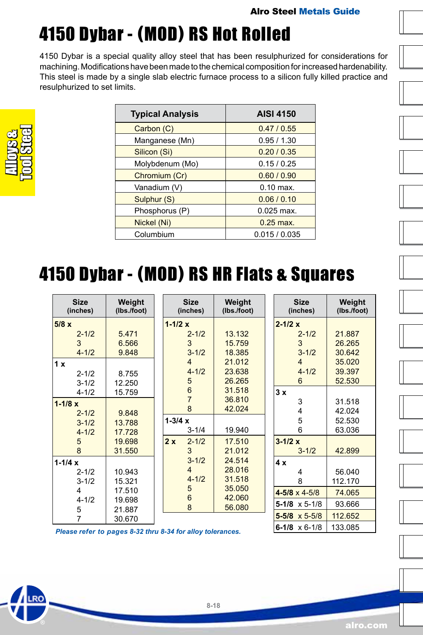**6-1/8** x 6-1/8 133.085

#### Alro Steel Metals Guide

# 4150 Dybar - (MOD) RS Hot Rolled

4150 Dybar is a special quality alloy steel that has been resulphurized for considerations for machining. Modifications have been made to the chemical composition for increased hardenability. This steel is made by a single slab electric furnace process to a silicon fully killed practice and resulphurized to set limits.

| <b>Typical Analysis</b> | <b>AISI 4150</b> |
|-------------------------|------------------|
| Carbon (C)              | 0.47 / 0.55      |
| Manganese (Mn)          | 0.95/1.30        |
| Silicon (Si)            | 0.20 / 0.35      |
| Molybdenum (Mo)         | 0.15/0.25        |
| Chromium (Cr)           | 0.60 / 0.90      |
| Vanadium (V)            | $0.10$ max.      |
| Sulphur (S)             | 0.06 / 0.10      |
| Phosphorus (P)          | $0.025$ max.     |
| Nickel (Ni)             | $0.25$ max.      |
| Columbium               | 0.015 / 0.035    |

# 4150 Dybar - (MOD) RS HR Flats & Squares

| <b>Size</b><br>(inches) | Weight<br>(lbs./foot) |             | <b>Size</b><br>(inches) | Weight<br>(Ibs./foot) | <b>Size</b><br>(inches)  | Weight<br>(Ibs./foot) |
|-------------------------|-----------------------|-------------|-------------------------|-----------------------|--------------------------|-----------------------|
| 5/8x                    |                       | $1 - 1/2 x$ |                         |                       | $2 - 1/2 x$              |                       |
| $2 - 1/2$               | 5.471                 |             | $2 - 1/2$               | 13.132                | $2 - 1/2$                | 21.887                |
| 3                       | 6.566                 |             | 3                       | 15.759                | 3                        | 26.265                |
| $4 - 1/2$               | 9.848                 |             | $3 - 1/2$               | 18.385                | $3 - 1/2$                | 30.642                |
| 1x                      |                       |             | $\overline{4}$          | 21.012                | $\overline{4}$           | 35.020                |
| $2 - 1/2$               | 8.755                 |             | $4 - 1/2$               | 23.638                | $4 - 1/2$                | 39.397                |
| $3 - 1/2$               | 12.250                |             | 5                       | 26.265                | 6                        | 52.530                |
| $4 - 1/2$               | 15.759                |             | 6                       | 31.518                | 3x                       |                       |
| $1 - 1/8x$              |                       |             | $\overline{7}$          | 36.810                | 3                        | 31.518                |
| $2 - 1/2$               | 9.848                 |             | 8                       | 42.024                | 4                        | 42.024                |
| $3 - 1/2$               | 13.788                | $1 - 3/4x$  |                         |                       | 5                        | 52.530                |
| $4 - 1/2$               | 17.728                |             | $3 - 1/4$               | 19.940                | 6                        | 63.036                |
| 5                       | 19.698                | 2x          | $2 - 1/2$               | 17.510                | $3 - 1/2 x$              |                       |
| 8                       | 31.550                |             | 3                       | 21.012                | $3 - 1/2$                | 42.899                |
| $1 - 1/4x$              |                       |             | $3 - 1/2$               | 24.514                | 4 x                      |                       |
| $2 - 1/2$               | 10.943                |             | $\overline{4}$          | 28.016                | 4                        | 56.040                |
| $3 - 1/2$               | 15.321                |             | $4 - 1/2$               | 31.518                | 8                        | 112.170               |
| 4                       | 17.510                |             | 5                       | 35.050                | $4 - 5/8 \times 4 - 5/8$ | 74.065                |
| $4 - 1/2$               | 19.698                |             | $6\phantom{1}6$         | 42.060                | $5-1/8 \times 5-1/8$     | 93.666                |
| 5                       | 21.887                |             | 8                       | 56.080                |                          |                       |
| 7                       | 30.670                |             |                         |                       | $5 - 5/8 \times 5 - 5/8$ | 112.652               |

*Please refer to pages 8-32 thru 8-34 for alloy tolerances.* 





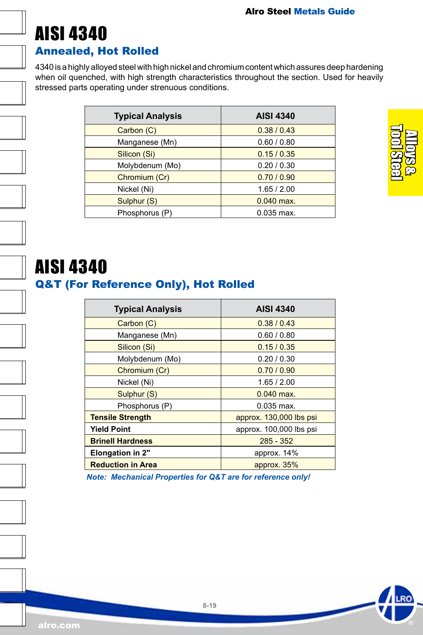<span id="page-18-0"></span>

#### Annealed, Hot Rolled

4340 is a highly alloyed steel with high nickel and chromium content which assures deep hardening when oil quenched, with high strength characteristics throughout the section. Used for heavily stressed parts operating under strenuous conditions.

| <b>Typical Analysis</b> | <b>AISI 4340</b> |
|-------------------------|------------------|
| Carbon (C)              | 0.38 / 0.43      |
| Manganese (Mn)          | 0.60 / 0.80      |
| Silicon (Si)            | 0.15/0.35        |
| Molybdenum (Mo)         | 0.20 / 0.30      |
| Chromium (Cr)           | 0.70/0.90        |
| Nickel (Ni)             | 1.65 / 2.00      |
| Sulphur (S)             | $0.040$ max.     |
| Phosphorus (P)          | $0.035$ max.     |



### AISI 4340

### Q&T (For Reference Only), Hot Rolled

| <b>Typical Analysis</b>  | <b>AISI 4340</b>        |  |
|--------------------------|-------------------------|--|
| Carbon (C)               | 0.38 / 0.43             |  |
| Manganese (Mn)           | 0.60 / 0.80             |  |
| Silicon (Si)             | 0.15/0.35               |  |
| Molybdenum (Mo)          | 0.20 / 0.30             |  |
| Chromium (Cr)            | 0.70/0.90               |  |
| Nickel (Ni)              | 1.65/2.00               |  |
| Sulphur (S)              | $0.040$ max.            |  |
| Phosphorus (P)           | $0.035$ max.            |  |
| <b>Tensile Strength</b>  | approx. 130,000 lbs psi |  |
| <b>Yield Point</b>       | approx. 100,000 lbs psi |  |
| <b>Brinell Hardness</b>  | $285 - 352$             |  |
| <b>Elongation in 2"</b>  | approx. 14%             |  |
| <b>Reduction in Area</b> | approx. 35%             |  |

*Note: Mechanical Properties for Q&T are for reference only!*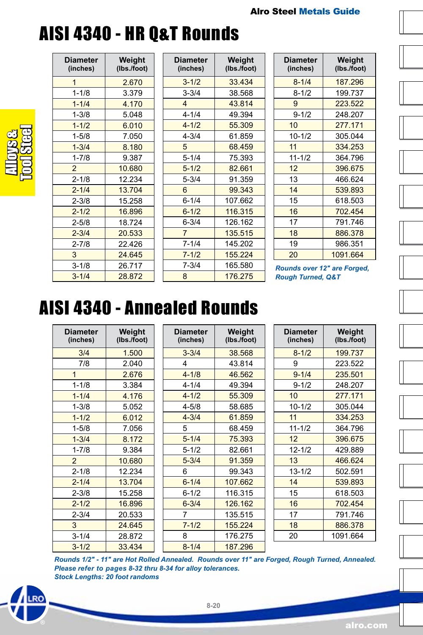### AISI 4340 - HR Q&T Rounds



| <b>Diameter</b><br>(inches) | Weight<br>(lbs./foot) |
|-----------------------------|-----------------------|
| 1                           | 2.670                 |
| $1 - 1/8$                   | 3.379                 |
| $1 - 1/4$                   | 4.170                 |
| $1 - 3/8$                   | 5.048                 |
| $1 - 1/2$                   | 6.010                 |
| $1 - 5/8$                   | 7.050                 |
| $1 - 3/4$                   | 8.180                 |
| $1 - 7/8$                   | 9.387                 |
| $\overline{2}$              | 10.680                |
| $2 - 1/8$                   | 12.234                |
| $2 - 1/4$                   | 13.704                |
| $2 - 3/8$                   | 15.258                |
| $2 - 1/2$                   | 16.896                |
| $2 - 5/8$                   | 18.724                |
| $2 - 3/4$                   | 20.533                |
| $2 - 7/8$                   | 22.426                |
| 3                           | 24.645                |
| $3 - 1/8$                   | 26.717                |
| $3 - 1/4$                   | 28.872                |

| Diameter<br>(inches)    | Weight<br>(lbs./foot) |
|-------------------------|-----------------------|
| $3 - 1/2$               | 33.434                |
| $3 - 3/4$               | 38.568                |
| $\overline{\mathbf{4}}$ | 43.814                |
| $4 - 1/4$               | 49.394                |
| $4 - 1/2$               | 55.309                |
| $4 - 3/4$               | 61.859                |
| 5                       | 68.459                |
| $5 - 1/4$               | 75.393                |
| $5 - 1/2$               | 82.661                |
| $5 - 3/4$               | 91.359                |
| 6                       | 99.343                |
| $6 - 1/4$               | 107.662               |
| $6 - 1/2$               | 116.315               |
| $6 - 3/4$               | 126.162               |
| 7                       | 135.515               |
| 7-1/4                   | 145.202               |
| $7 - 1/2$               | 155.224               |
| $7 - 3/4$               | 165.580               |
| 8                       | 176.275               |

| <b>Diameter</b><br>(inches) | Weight<br>(lbs./foot) |
|-----------------------------|-----------------------|
| $8 - 1/4$                   | 187.296               |
| $8 - 1/2$                   | 199.737               |
| 9                           | 223.522               |
| $9 - 1/2$                   | 248.207               |
| 10                          | 277.171               |
| $10 - 1/2$                  | 305.044               |
| 11                          | 334.253               |
| $11 - 1/2$                  | 364.796               |
| 12                          | 396.675               |
| 13                          | 466.624               |
| 14                          | 539.893               |
| 15                          | 618.503               |
| 16                          | 702 454               |
| 17                          | 791.746               |
| 18                          | 886.378               |
| 19                          | 986.351               |
| 20                          | 1091.664              |

*Rounds over 12" are Forged, Rough Turned, Q&T*

### AISI 4340 - Annealed Rounds

| <b>Diameter</b><br>(inches) | Weight<br>(lbs./foot) |
|-----------------------------|-----------------------|
| 3/4                         | 1.500                 |
| 7/8                         | 2.040                 |
| 1                           | 2.676                 |
| $1 - 1/8$                   | 3.384                 |
| $1 - 1/4$                   | 4.176                 |
| $1 - 3/8$                   | 5.052                 |
| $1 - 1/2$                   | 6.012                 |
| $1 - 5/8$                   | 7.056                 |
| $1 - 3/4$                   | 8.172                 |
| $1 - 7/8$                   | 9.384                 |
| $\overline{\mathbf{c}}$     | 10.680                |
| $2 - 1/8$                   | 12.234                |
| $2 - 1/4$                   | 13.704                |
| $2 - 3/8$                   | 15.258                |
| $2 - 1/2$                   | 16.896                |
| $2 - 3/4$                   | 20.533                |
| 3                           | 24.645                |
| $3 - 1/4$                   | 28.872                |
| $3 - 1/2$                   | 33.434                |

| <b>Diameter</b><br>(inches) | Weight<br>(Ibs./foot) |
|-----------------------------|-----------------------|
| $3 - 3/4$                   | 38.568                |
| 4                           | 43.814                |
| $4 - 1/8$                   | 46.562                |
| $4 - 1/4$                   | 49.394                |
| $4 - 1/2$                   | 55.309                |
| $4 - 5/8$                   | 58.685                |
| $4 - 3/4$                   | 61.859                |
| 5                           | 68.459                |
| $5 - 1/4$                   | 75.393                |
| 5-1/2                       | 82.661                |
| $5 - 3/4$                   | 91.359                |
| 6                           | 99.343                |
| $6 - 1/4$                   | 107.662               |
| 6-1/2                       | 116.315               |
| $6 - 3/4$                   | 126.162               |
| 7                           | 135.515               |
| $7 - 1/2$                   | 155.224               |
| 8                           | 176.275               |
| $8 - 1/4$                   | 187.296               |

|            | (Ibs./foot) |
|------------|-------------|
| $8 - 1/2$  | 199.737     |
| 9          | 223.522     |
| $9 - 1/4$  | 235.501     |
| $9 - 1/2$  | 248.207     |
| 10         | 277.171     |
| $10 - 1/2$ | 305.044     |
| 11         | 334.253     |
| $11 - 1/2$ | 364.796     |
| 12         | 396.675     |
| $12 - 1/2$ | 429.889     |
| 13         | 466.624     |
| 13-1/2     | 502.591     |
| 14         | 539.893     |
| 15         | 618.503     |
| 16         | 702 454     |
| 17         | 791.746     |
| 18         | 886.378     |
| 20         | 1091.664    |

*Rounds 1/2" - 11" are Hot Rolled Annealed. Rounds over 11" are Forged, Rough Turned, Annealed. Please refer to pages 8-32 thru 8-34 for alloy tolerances. Stock Lengths: 20 foot randoms*





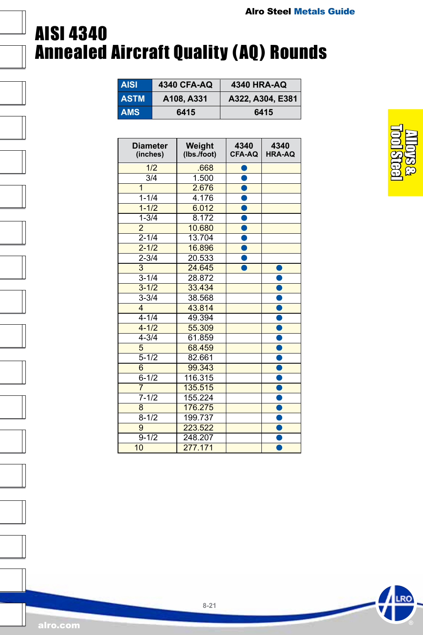### AISI 4340 Annealed Aircraft Quality (AQ) Rounds

| <b>AISI</b> | 4340 CFA-AQ | 4340 HRA-AQ      |
|-------------|-------------|------------------|
| <b>ASTM</b> | A108, A331  | A322, A304, E381 |
| <b>AMS</b>  | 6415        | 6415             |

| <b>Diameter</b><br>(inches) | Weight<br>(lbs./foot) | 4340<br><b>CFA-AQ</b> | 4340<br><b>HRA-AQ</b> |
|-----------------------------|-----------------------|-----------------------|-----------------------|
| 1/2                         | .668                  |                       |                       |
| $\overline{3}/4$            | 1.500                 | $\bullet$             |                       |
| $\overline{1}$              | 2.676                 |                       |                       |
| $1 - 1/4$                   | 4.176                 |                       |                       |
| $1 - 1/2$                   | 6.012                 | Ō                     |                       |
| $1 - 3/4$                   | 8.172                 |                       |                       |
| $\overline{2}$              | 10.680                |                       |                       |
| $2 - 1/4$                   | 13.704                | Ô                     |                       |
| $2 - 1/2$                   | 16.896                |                       |                       |
| $2 - 3/4$                   | 20.533                |                       |                       |
| 3                           | 24.645                |                       |                       |
| $3 - 1/4$                   | 28.872                |                       |                       |
| $3 - 1/2$                   | 33.434                |                       |                       |
| $3 - 3/4$                   | 38.568                |                       |                       |
| 4                           | 43.814                |                       |                       |
| $4 - 1/4$                   | 49.394                |                       |                       |
| $4 - 1/2$                   | 55.309                |                       |                       |
| $4 - 3/4$                   | 61.859                |                       |                       |
| 5                           | 68.459                |                       |                       |
| $5 - 1/2$                   | 82.661                |                       |                       |
| 6                           | 99.343                |                       |                       |
| $6 - 1/2$                   | 116.315               |                       |                       |
| $\overline{7}$              | 135.515               |                       |                       |
| $7 - 1/2$                   | 155.224               |                       |                       |
| 8                           | 176.275               |                       |                       |
| $8 - 1/2$                   | 199.737               |                       |                       |
| 9                           | 223.522               |                       |                       |
| $9 - 1/2$                   | 248.207               |                       |                       |
| 10                          | 277.171               |                       |                       |



**RC**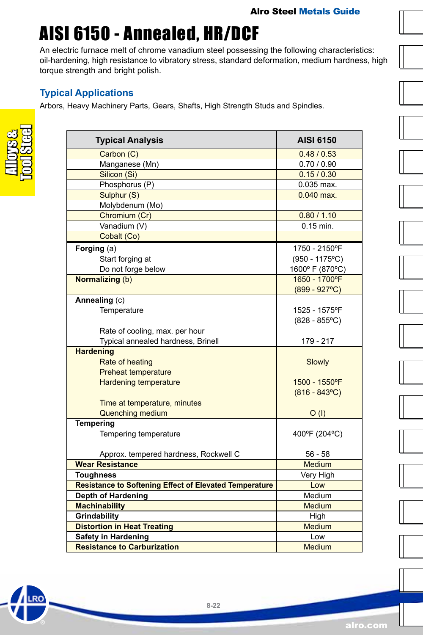# <span id="page-21-0"></span>AISI 6150 - Annealed, HR/DCF

An electric furnace melt of chrome vanadium steel possessing the following characteristics: oil-hardening, high resistance to vibratory stress, standard deformation, medium hardness, high torque strength and bright polish.

### **The Applications**

rs, Heavy Machinery Parts, Gears, Shafts, High Strength Studs and Spindles.

| Typi  |
|-------|
| Arbor |
|       |

**RO** 

م<br>م

| <b>Typical Analysis</b>                                       | <b>AISI 6150</b>       |  |
|---------------------------------------------------------------|------------------------|--|
| Carbon (C)                                                    | 0.48 / 0.53            |  |
| Manganese (Mn)                                                | 0.70 / 0.90            |  |
| Silicon (Si)                                                  | 0.15/0.30              |  |
| Phosphorus (P)                                                | 0.035 max.             |  |
| Sulphur (S)<br>$0.040$ max.                                   |                        |  |
| Molybdenum (Mo)                                               |                        |  |
| Chromium (Cr)                                                 | 0.80 / 1.10            |  |
| Vanadium (V)                                                  | $0.15$ min.            |  |
| Cobalt (Co)                                                   |                        |  |
| Forging (a)                                                   | 1750 - 2150°F          |  |
| Start forging at                                              | $(950 - 1175$ °C)      |  |
| Do not forge below                                            | 1600° F (870°C)        |  |
| <b>Normalizing (b)</b>                                        | 1650 - 1700°F          |  |
|                                                               | $(899 - 927^{\circ}C)$ |  |
| Annealing (c)                                                 |                        |  |
| Temperature                                                   | 1525 - 1575°F          |  |
|                                                               | $(828 - 855$ °C)       |  |
| Rate of cooling, max. per hour                                |                        |  |
| Typical annealed hardness, Brinell                            | 179 - 217              |  |
| <b>Hardening</b>                                              |                        |  |
| Rate of heating                                               | Slowly                 |  |
| <b>Preheat temperature</b>                                    |                        |  |
| <b>Hardening temperature</b>                                  | 1500 - 1550°F          |  |
|                                                               | $(816 - 843^{\circ}C)$ |  |
| Time at temperature, minutes                                  |                        |  |
| <b>Quenching medium</b>                                       | O(1)                   |  |
| <b>Tempering</b>                                              |                        |  |
| Tempering temperature                                         | 400°F (204°C)          |  |
|                                                               |                        |  |
| Approx. tempered hardness, Rockwell C                         | $56 - 58$              |  |
| <b>Wear Resistance</b>                                        | <b>Medium</b>          |  |
| <b>Toughness</b>                                              | Very High              |  |
| <b>Resistance to Softening Effect of Elevated Temperature</b> | Low                    |  |
| <b>Depth of Hardening</b>                                     | Medium                 |  |
| <b>Machinability</b>                                          | <b>Medium</b>          |  |
| Grindability                                                  | High                   |  |
| <b>Distortion in Heat Treating</b><br>Medium                  |                        |  |
| <b>Safety in Hardening</b>                                    | Low                    |  |
| <b>Resistance to Carburization</b>                            | <b>Medium</b>          |  |

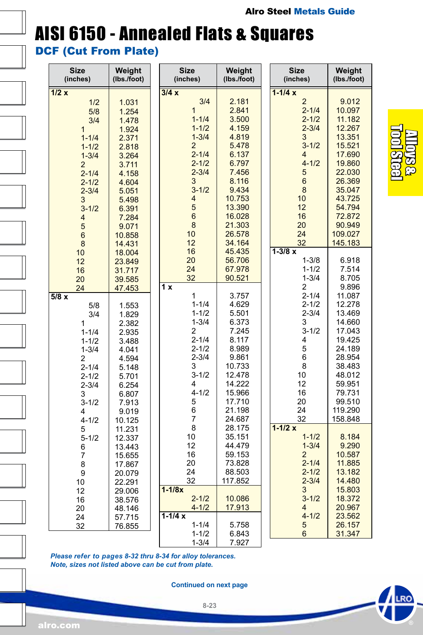### AISI 6150 - Annealed Flats & Squares

DCF (Cut From Plate)

| <b>Size</b><br>(inches) | Weight<br>(lbs./foot) | <b>Size</b><br>(inches) | Weight<br>(Ibs./foot) | <b>Size</b><br>(inches) | Weight<br>(lbs./foot) |
|-------------------------|-----------------------|-------------------------|-----------------------|-------------------------|-----------------------|
| 1/2x                    |                       | 3/4x                    |                       | $1 - 1/4x$              |                       |
| 1/2                     | 1.031                 | 3/4                     | 2.181                 | $\overline{2}$          | 9.012                 |
| 5/8                     | 1.254                 | $\mathbf{1}$            | 2.841                 | $2 - 1/4$               | 10.097                |
| 3/4                     | 1.478                 | $1 - 1/4$               | 3.500                 | $2 - 1/2$               | 11.182                |
| $\overline{1}$          | 1.924                 | $1 - 1/2$               | 4.159                 | $2 - 3/4$               | 12.267                |
| $1 - 1/4$               | 2.371                 | $1 - 3/4$               | 4.819                 | 3                       | 13.351                |
| $1 - 1/2$               | 2.818                 | $\overline{2}$          | 5.478                 | $3 - 1/2$               | 15.521                |
| $1 - 3/4$               | 3.264                 | $2 - 1/4$               | 6.137                 | 4                       | 17.690                |
| $\overline{2}$          | 3.711                 | $2 - 1/2$               | 6.797                 | $4 - 1/2$               | 19.860                |
| $2 - 1/4$               | 4.158                 | $2 - 3/4$               | 7.456                 | 5                       | 22.030                |
| $2 - 1/2$               | 4.604                 | 3                       | 8.116                 | 6                       | 26.369                |
| $2 - 3/4$               | 5.051                 | $3 - 1/2$               | 9.434                 | 8                       | 35.047                |
| 3                       | 5.498                 | 4                       | 10.753                | 10                      | 43.725                |
| $3 - 1/2$               | 6.391                 | 5                       | 13.390                | 12                      | 54.794                |
| $\overline{4}$          | 7.284                 | $6\phantom{a}$          | 16.028                | 16                      | 72.872                |
| 5                       | 9.071                 | 8                       | 21.303                | 20                      | 90.949                |
| $6\phantom{1}$          | 10.858                | 10                      | 26.578                | 24                      | 109.027               |
| 8                       | 14.431                | 12                      | 34.164                | 32                      | 145.183               |
| 10                      | 18.004                | 16                      | 45.435                | $1 - 3/8 x$             |                       |
| 12                      | 23.849                | 20                      | 56.706                | $1 - 3/8$               | 6.918                 |
| 16                      | 31.717                | 24                      | 67.978                | $1 - 1/2$               | 7.514                 |
| 20                      | 39.585                | 32                      | 90.521                | $1 - 3/4$               | 8.705                 |
| 24                      | 47.453                | 1 x                     |                       | 2                       | 9.896                 |
| 5/8x                    |                       | 1<br>$1 - 1/4$          | 3.757<br>4.629        | $2 - 1/4$<br>$2 - 1/2$  | 11.087<br>12.278      |
| 5/8                     | 1.553                 | $1 - 1/2$               | 5.501                 | $2 - 3/4$               | 13.469                |
| 3/4<br>1                | 1.829<br>2.382        | $1 - 3/4$               | 6.373                 | 3                       | 14.660                |
| $1 - 1/4$               |                       | 2                       | 7.245                 | $3 - 1/2$               | 17.043                |
| $1 - 1/2$               | 2.935<br>3.488        | $2 - 1/4$               | 8.117                 | 4                       | 19.425                |
| $1 - 3/4$               | 4.041                 | $2 - 1/2$               | 8.989                 | 5                       | 24.189                |
| $\overline{2}$          | 4.594                 | $2 - 3/4$               | 9.861                 | 6                       | 28.954                |
| $2 - 1/4$               | 5.148                 | 3                       | 10.733                | 8                       | 38.483                |
| $2 - 1/2$               | 5.701                 | $3 - 1/2$               | 12.478                | 10                      | 48.012                |
| $2 - 3/4$               | 6.254                 | 4                       | 14.222                | 12                      | 59.951                |
| 3                       | 6.807                 | $4 - 1/2$               | 15.966                | 16                      | 79.731                |
| $3 - 1/2$               | 7.913                 | 5                       | 17.710                | 20                      | 99.510                |
| 4                       | 9.019                 | 6                       | 21.198                | 24                      | 119.290               |
| $4 - 1/2$               | 10.125                | 7                       | 24.687                | 32                      | 158.848               |
| 5                       | 11.231                | 8                       | 28.175                | $1 - 1/2x$              |                       |
| $5 - 1/2$               | 12.337                | 10                      | 35.151                | $1 - 1/2$               | 8.184                 |
| 6                       | 13.443                | 12                      | 44.479                | $1 - 3/4$               | 9.290                 |
| $\overline{7}$          | 15.655                | 16                      | 59.153                | $\overline{2}$          | 10.587                |
| 8                       | 17.867                | 20                      | 73.828                | $2 - 1/4$               | 11.885                |
| 9                       | 20.079                | 24                      | 88.503                | $2 - 1/2$               | 13.182                |
| 10                      | 22.291                | 32                      | 117.852               | $2 - 3/4$               | 14.480                |
| 12                      | 29.006                | $1 - 1/8x$              |                       | 3                       | 15.803                |
| 16                      | 38.576                | $2 - 1/2$               | 10.086                | $3 - 1/2$               | 18.372                |
| 20                      | 48.146                | $4 - 1/2$               | 17.913                | 4                       | 20.967                |
| 24                      | 57.715                | $1 - 1/4x$              |                       | $4 - 1/2$               | 23.562                |
| 32                      | 76.855                | $1 - 1/4$               | 5.758                 | 5                       | 26.157                |
|                         |                       | $1 - 1/2$<br>$1 - 3/4$  | 6.843                 | 6                       | 31.347                |
|                         |                       |                         | 7.927                 |                         |                       |

*Please refer to pages 8-32 thru 8-34 for alloy tolerances. Note, sizes not listed above can be cut from plate.*

**Continued on next page**



LRO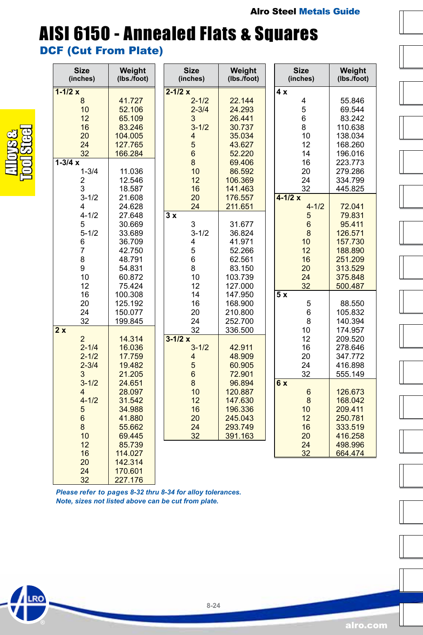# AISI 6150 - Annealed Flats & Squares

### DCF (Cut From Plate)

| <b>Size</b><br>(inches) | Weight<br>(Ibs./foot) | <b>Size</b><br>(inches) | Weight<br>(lbs./foot) | <b>Size</b><br>(inches) | Weight<br>(Ibs./foot) |
|-------------------------|-----------------------|-------------------------|-----------------------|-------------------------|-----------------------|
| $1 - 1/2x$              |                       | $2 - 1/2x$              |                       | 4 x                     |                       |
| 8                       | 41.727                | $2 - 1/2$               | 22.144                | 4                       | 55.846                |
| 10                      | 52.106                | $2 - 3/4$               | 24.293                | 5                       | 69.544                |
| 12                      | 65.109                | 3                       | 26.441                | 6                       | 83.242                |
| 16                      | 83.246                | $3 - 1/2$               | 30.737                | 8                       | 110.638               |
| 20                      | 104.005               | $\overline{\mathbf{4}}$ | 35.034                | 10                      | 138.034               |
| 24                      | 127.765               | 5                       | 43.627                | 12                      | 168.260               |
| 32                      | 166.284               | $6\phantom{a}$          | 52.220                | 14                      | 196.016               |
| $1 - 3/4x$              |                       | 8                       | 69.406                | 16                      | 223.773               |
| $1 - 3/4$               | 11.036                | 10                      | 86.592                | 20                      | 279.286               |
| 2                       | 12.546                | 12                      | 106.369               | 24                      | 334.799               |
| 3                       | 18.587                | 16                      | 141.463               | 32                      | 445.825               |
| $3 - 1/2$               | 21.608                | 20                      | 176.557               | $4 - 1/2x$              |                       |
| 4                       | 24.628                | 24                      | 211.651               | $4 - 1/2$               | 72.041                |
| $4 - 1/2$               | 27.648                | $\overline{3x}$         |                       | 5                       | 79.831                |
| 5                       | 30.669                | 3                       | 31.677                | $6\phantom{a}$          | 95.411                |
| $5 - 1/2$               | 33.689                | $3 - 1/2$               | 36.824                | 8                       | 126.571               |
| 6                       | 36.709                | 4                       | 41.971                | 10                      | 157.730               |
| 7                       | 42.750                | 5                       | 52.266                | 12                      | 188.890               |
| 8                       | 48.791                | 6                       | 62.561                | 16                      | 251.209               |
| 9                       | 54.831                | 8                       | 83.150                | 20                      | 313.529               |
| 10                      | 60.872                | 10                      | 103.739               | 24                      | 375.848               |
| 12                      | 75.424                | 12                      | 127.000               | 32                      | 500.487               |
| 16                      | 100.308               | 14                      | 147.950               | 5 x                     |                       |
| 20                      | 125.192               | 16                      | 168.900               | 5                       | 88.550                |
| 24                      | 150.077               | 20                      | 210.800               | 6                       | 105.832               |
| 32                      | 199.845               | 24                      | 252.700               | 8                       | 140.394               |
| $\overline{2x}$         |                       | 32                      | 336.500               | 10                      | 174.957               |
| $\overline{2}$          | 14.314                | $3 - 1/2x$              |                       | 12                      | 209.520               |
| $2 - 1/4$               | 16.036                | $3 - 1/2$               | 42.911                | 16                      | 278.646               |
| $2 - 1/2$               | 17.759                | $\overline{\mathbf{4}}$ | 48.909                | 20                      | 347.772               |
| $2 - 3/4$               | 19.482                | 5                       | 60.905                | 24                      | 416.898               |
| 3                       | 21.205                | $6\phantom{a}$          | 72.901                | 32                      | 555.149               |
| $3 - 1/2$               | 24.651                | 8                       | 96.894                | 6x                      |                       |
| $\overline{4}$          | 28.097                | 10                      | 120.887               | $6\phantom{1}6$         | 126.673               |
| $4 - 1/2$               | 31.542                | 12                      | 147.630               | 8                       | 168.042               |
| 5                       | 34.988                | 16                      | 196.336               | 10                      | 209.411               |
| $\overline{6}$          | 41.880                | 20                      | 245.043               | 12                      | 250.781               |
| 8                       | 55.662                | 24                      | 293.749               | 16                      | 333.519               |
| 10                      | 69.445                | 32                      | 391.163               | 20                      | 416.258               |
| 12                      | 85.739                |                         |                       | 24                      | 498.996               |
| 16                      | 114.027               |                         |                       | 32                      | 664.474               |
| 20                      | 142.314               |                         |                       |                         |                       |
| 24                      | 170.601               |                         |                       |                         |                       |
| 32                      | 227.176               |                         |                       |                         |                       |

*Please refer to pages 8-32 thru 8-34 for alloy tolerances. Note, sizes not listed above can be cut from plate.*

Alloys & Tool Steel

**RO**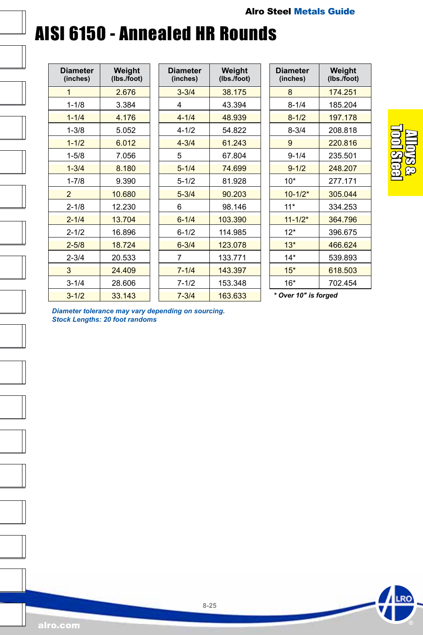### AISI 6150 - Annealed HR Rounds

| Diameter<br>(inches) | Weight<br>(lbs./foot) |
|----------------------|-----------------------|
| 1                    | 2.676                 |
| $1 - 1/8$            | 3.384                 |
| $1 - 1/4$            | 4.176                 |
| $1 - 3/8$            | 5.052                 |
| $1 - 1/2$            | 6.012                 |
| $1 - 5/8$            | 7.056                 |
| $1 - 3/4$            | 8.180                 |
| $1 - 7/8$            | 9.390                 |
| $\overline{2}$       | 10.680                |
| $2 - 1/8$            | 12.230                |
| $2 - 1/4$            | 13.704                |
| $2 - 1/2$            | 16.896                |
| $2 - 5/8$            | 18724                 |
| $2 - 3/4$            | 20.533                |
| 3                    | 24.409                |
| $3 - 1/4$            | 28.606                |
| $3 - 1/2$            | 33.143                |

| Diameter<br>(inches) | Weight<br>(Ibs./foot) |
|----------------------|-----------------------|
| $3 - 3/4$            | 38.175                |
| 4                    | 43.394                |
| $4 - 1/4$            | 48.939                |
| $4 - 1/2$            | 54.822                |
| $4 - 3/4$            | 61.243                |
| 5                    | 67.804                |
| $5 - 1/4$            | 74.699                |
| $5 - 1/2$            | 81.928                |
| $5 - 3/4$            | 90.203                |
| 6                    | 98.146                |
| $6 - 1/4$            | 103.390               |
| 6-1/2                | 114.985               |
| $6 - 3/4$            | 123.078               |
| 7                    | 133.771               |
| $7 - 1/4$            | 143.397               |
| $7 - 1/2$            | 153.348               |
| $7 - 3/4$            | 163.633               |

| <b>Diameter</b><br>(inches) | Weight<br>(lbs./foot) |
|-----------------------------|-----------------------|
| 8                           | 174 251               |
| 8-1/4                       | 185.204               |
| $8 - 1/2$                   | 197.178               |
| $8 - 3/4$                   | 208.818               |
| 9                           | 220.816               |
| $9 - 1/4$                   | 235.501               |
| $9 - 1/2$                   | 248.207               |
| $10*$                       | 277.171               |
| $10 - 1/2*$                 | 305.044               |
| $11*$                       | 334.253               |
| $11 - 1/2*$                 | 364.796               |
| $12*$                       | 396.675               |
| $13*$                       | 466.624               |
| $14*$                       | 539.893               |
| $15*$                       | 618.503               |
| $16*$                       | 702.454               |



*Diameter tolerance may vary depending on sourcing. Stock Lengths: 20 foot randoms*



LRO

**8-25**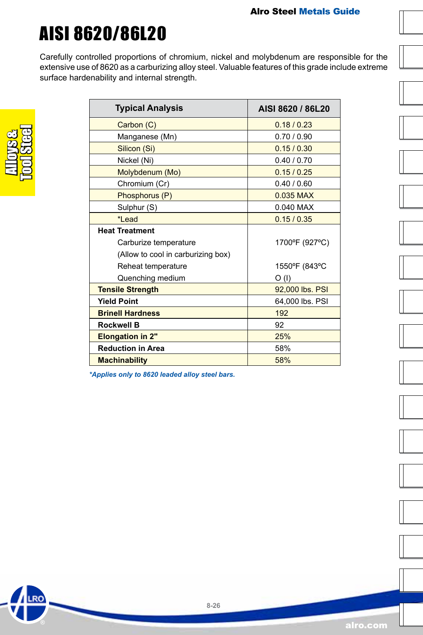# <span id="page-25-0"></span>AISI 8620/86L20

Carefully controlled proportions of chromium, nickel and molybdenum are responsible for the extensive use of 8620 as a carburizing alloy steel. Valuable features of this grade include extreme surface hardenability and internal strength.

.RO

| <b>Typical Analysis</b>            | AISI 8620 / 86L20 |
|------------------------------------|-------------------|
| Carbon (C)                         | 0.18 / 0.23       |
| Manganese (Mn)                     | 0.70/0.90         |
| Silicon (Si)                       | 0.15/0.30         |
| Nickel (Ni)                        | 0.40 / 0.70       |
| Molybdenum (Mo)                    | 0.15/0.25         |
| Chromium (Cr)                      | 0.40 / 0.60       |
| Phosphorus (P)                     | 0.035 MAX         |
| Sulphur (S)                        | 0.040 MAX         |
| *Lead                              | 0.15/0.35         |
| <b>Heat Treatment</b>              |                   |
| Carburize temperature              | 1700°F (927°C)    |
| (Allow to cool in carburizing box) |                   |
| Reheat temperature                 | 1550°F (843°C     |
| Quenching medium                   | O(1)              |
| <b>Tensile Strength</b>            | 92,000 lbs. PSI   |
| <b>Yield Point</b>                 | 64,000 lbs. PSI   |
| <b>Brinell Hardness</b>            | 192               |
| <b>Rockwell B</b>                  | 92                |
| <b>Elongation in 2"</b>            | 25%               |
| <b>Reduction in Area</b>           | 58%               |
| <b>Machinability</b>               | 58%               |

*\*Applies only to 8620 leaded alloy steel bars.*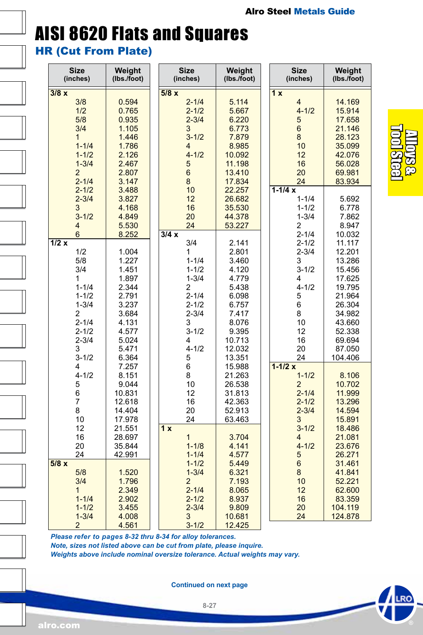# AISI 8620 Flats and Squares

HR (Cut From Plate)

| <b>Size</b><br>(inches) | Weight<br>(lbs./foot) | <b>Size</b><br>(inches) | Weight<br>(lbs./foot) | Size<br>(inches) | Weight<br>(lbs./foot) |
|-------------------------|-----------------------|-------------------------|-----------------------|------------------|-----------------------|
| 3/8x                    |                       | 5/8x                    |                       | 1x               |                       |
| 3/8                     | 0.594                 | $2 - 1/4$               | 5.114                 | 4                | 14.169                |
| 1/2                     | 0.765                 | $2 - 1/2$               | 5.667                 | $4 - 1/2$        | 15.914                |
| 5/8                     | 0.935                 | $2 - 3/4$               | 6.220                 | 5                | 17.658                |
| 3/4                     | 1.105                 | 3                       | 6.773                 | $\overline{6}$   | 21.146                |
| $\mathbf{1}$            | 1.446                 | $3 - 1/2$               | 7.879                 | 8                | 28.123                |
| $1 - 1/4$               | 1.786                 | $\overline{4}$          | 8.985                 | 10               | 35.099                |
| $1 - 1/2$               |                       | $4 - 1/2$               |                       | 12               |                       |
|                         | 2.126                 |                         | 10.092                |                  | 42.076                |
| $1 - 3/4$               | 2.467                 | 5                       | 11.198                | 16               | 56.028                |
| $\overline{2}$          | 2.807                 | 6                       | 13.410                | 20               | 69.981                |
| $2 - 1/4$               | 3.147                 | 8                       | 17.834                | 24               | 83.934                |
| $2 - 1/2$               | 3.488                 | 10                      | 22.257                | $1 - 1/4x$       |                       |
| $2 - 3/4$               | 3.827                 | 12                      | 26.682                | $1 - 1/4$        | 5.692                 |
| 3                       | 4.168                 | 16                      | 35.530                | $1 - 1/2$        | 6.778                 |
| $3 - 1/2$               | 4.849                 | 20                      | 44.378                | $1 - 3/4$        | 7.862                 |
| 4                       | 5.530                 | 24                      | 53.227                | 2                | 8.947                 |
| 6                       | 8.252                 | 3/4x                    |                       | $2 - 1/4$        | 10.032                |
| 1/2x                    |                       | 3/4                     | 2.141                 | $2 - 1/2$        | 11.117                |
| 1/2                     | 1.004                 | 1                       | 2.801                 | $2 - 3/4$        | 12.201                |
| 5/8                     | 1.227                 | $1 - 1/4$               | 3.460                 | 3                | 13.286                |
| 3/4                     | 1.451                 | $1 - 1/2$               | 4.120                 | $3 - 1/2$        | 15.456                |
| 1                       | 1.897                 | $1 - 3/4$               | 4.779                 | 4                | 17.625                |
|                         |                       |                         |                       | $4 - 1/2$        |                       |
| $1 - 1/4$               | 2.344                 | 2                       | 5.438                 |                  | 19.795                |
| $1 - 1/2$               | 2.791                 | $2 - 1/4$               | 6.098                 | 5                | 21.964                |
| $1 - 3/4$               | 3.237                 | $2 - 1/2$               | 6.757                 | 6                | 26.304                |
| 2                       | 3.684                 | $2 - 3/4$               | 7.417                 | 8                | 34.982                |
| $2 - 1/4$               | 4.131                 | 3                       | 8.076                 | 10               | 43.660                |
| $2 - 1/2$               | 4.577                 | $3 - 1/2$               | 9.395                 | 12               | 52.338                |
| $2 - 3/4$               | 5.024                 | 4                       | 10.713                | 16               | 69.694                |
| 3                       | 5.471                 | $4 - 1/2$               | 12.032                | 20               | 87.050                |
| $3 - 1/2$               | 6.364                 | 5                       | 13.351                | 24               | 104.406               |
| 4                       | 7.257                 | 6                       | 15.988                | $1 - 1/2x$       |                       |
| $4 - 1/2$               | 8.151                 | 8                       | 21.263                | $1 - 1/2$        | 8.106                 |
| 5                       | 9.044                 | 10                      | 26.538                | $\overline{2}$   | 10.702                |
| 6                       | 10.831                | 12                      | 31.813                | $2 - 1/4$        | 11.999                |
| $\overline{7}$          | 12.618                | 16                      | 42.363                | $2 - 1/2$        | 13.296                |
| 8                       | 14.404                | 20                      | 52.913                | $2 - 3/4$        | 14.594                |
| 10                      | 17.978                | 24                      | 63.463                | 3                | 15.891                |
| 12                      | 21.551                | 1x                      |                       | $3 - 1/2$        | 18.486                |
| 16                      |                       | $\mathbf{1}$            |                       |                  |                       |
|                         | 28.697                |                         | 3.704                 | 4                | 21.081                |
| 20                      | 35.844                | $1 - 1/8$               | 4.141                 | $4 - 1/2$        | 23.676                |
| 24                      | 42.991                | $1 - 1/4$               | 4.577                 | 5                | 26.271                |
| 5/8x                    |                       | $1 - 1/2$               | 5.449                 | 6                | 31.461                |
| 5/8                     | 1.520                 | $1 - 3/4$               | 6.321                 | 8                | 41.841                |
| 3/4                     | 1.796                 | $\overline{2}$          | 7.193                 | 10               | 52.221                |
| $\mathbf{1}$            | 2.349                 | $2 - 1/4$               | 8.065                 | 12               | 62.600                |
| $1 - 1/4$               | 2.902                 | $2 - 1/2$               | 8.937                 | 16               | 83.359                |
| $1 - 1/2$               | 3.455                 | $2 - 3/4$               | 9.809                 | 20               | 104.119               |
| $1 - 3/4$               | 4.008                 | 3                       | 10.681                | 24               | 124.878               |
| $\overline{2}$          | 4.561                 | $3 - 1/2$               | 12.425                |                  |                       |

*Please refer to pages 8-32 thru 8-34 for alloy tolerances.*

*Note, sizes not listed above can be cut from plate, please inquire.*

*Weights above include nominal oversize tolerance. Actual weights may vary.*

**Continued on next page**

**8-27**

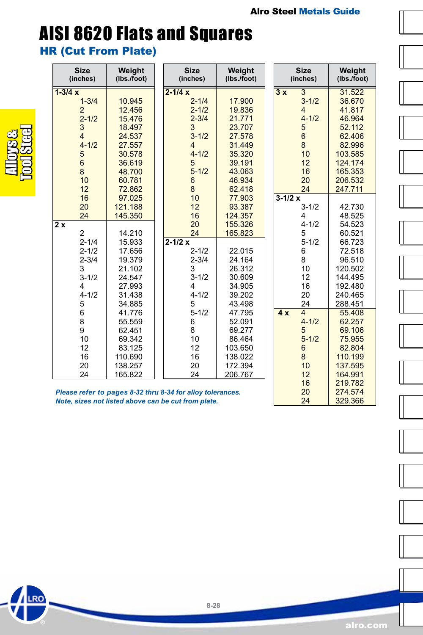# AISI 8620 Flats and Squares

HR (Cut From Plate)

Alloys & Tool Steel

**RO** 

| <b>Size</b><br>(inches) | Weight<br>(lbs./foot)                                      |  | <b>Size</b><br>(inches) | Weight<br>(lbs./foot) |          | <b>Size</b><br>(inches) | Weight<br>(lbs./foot) |
|-------------------------|------------------------------------------------------------|--|-------------------------|-----------------------|----------|-------------------------|-----------------------|
| $1 - 3/4x$              |                                                            |  | $2 - 1/4x$              |                       | 3x       | $\overline{3}$          | 31.522                |
| $1 - 3/4$               | 10.945                                                     |  | $2 - 1/4$               | 17.900                |          | $3 - 1/2$               | 36.670                |
| $\overline{2}$          | 12.456                                                     |  | $2 - 1/2$               | 19.836                |          | $\overline{4}$          | 41.817                |
| $2 - 1/2$               | 15.476                                                     |  | $2 - 3/4$               | 21.771                |          | $4 - 1/2$               | 46.964                |
| 3                       | 18.497                                                     |  | 3                       | 23.707                |          | 5                       | 52.112                |
| $\overline{4}$          | 24.537                                                     |  | $3 - 1/2$               | 27.578                |          | 6                       | 62.406                |
| $4 - 1/2$               | 27.557                                                     |  | $\overline{4}$          | 31.449                |          | 8                       | 82.996                |
| 5                       | 30.578                                                     |  | $4 - 1/2$               | 35.320                |          | 10                      | 103.585               |
| $\boldsymbol{6}$        | 36.619                                                     |  | 5                       | 39.191                |          | 12                      | 124.174               |
| 8                       | 48.700                                                     |  | $5 - 1/2$               | 43.063                |          | 16                      | 165.353               |
| 10                      | 60.781                                                     |  | $6\phantom{1}$          | 46.934                |          | 20                      | 206.532               |
| 12                      | 72.862                                                     |  | 8                       | 62.418                |          | 24                      | 247.711               |
| 16                      | 97.025                                                     |  | 10                      | 77.903                | $3-1/2x$ |                         |                       |
| 20                      | 121.188                                                    |  | 12                      | 93.387                |          | $3 - 1/2$               | 42.730                |
| 24                      | 145.350                                                    |  | 16                      | 124.357               |          | 4                       | 48.525                |
| 2x                      |                                                            |  | 20                      | 155.326               |          | $4 - 1/2$               | 54.523                |
| $\overline{2}$          | 14.210                                                     |  | 24                      | 165.823               |          | 5                       | 60.521                |
| $2 - 1/4$               | 15.933                                                     |  | $2 - 1/2x$              |                       |          | $5 - 1/2$               | 66.723                |
| $2 - 1/2$               | 17.656                                                     |  | $2 - 1/2$               | 22.015                |          | 6                       | 72.518                |
| $2 - 3/4$               | 19.379                                                     |  | $2 - 3/4$               | 24.164                |          | 8                       | 96.510                |
| 3                       | 21.102                                                     |  | 3                       | 26.312                |          | 10                      | 120.502               |
| $3 - 1/2$               | 24.547                                                     |  | $3 - 1/2$               | 30.609                |          | 12                      | 144.495               |
| 4                       | 27.993                                                     |  | 4                       | 34.905                |          | 16                      | 192.480               |
| $4 - 1/2$               | 31.438                                                     |  | $4 - 1/2$               | 39.202                |          | 20                      | 240.465               |
| 5                       | 34.885                                                     |  | 5                       | 43.498                |          | 24                      | 288.451               |
| 6                       | 41.776                                                     |  | $5 - 1/2$               | 47.795                | 4x       | $\overline{\mathbf{4}}$ | 55.408                |
| 8                       | 55.559                                                     |  | 6                       | 52.091                |          | $4 - 1/2$               | 62.257                |
| 9                       | 62.451                                                     |  | 8                       | 69.277                |          | 5                       | 69.106                |
| 10                      | 69.342                                                     |  | 10                      | 86.464                |          | $5 - 1/2$               | 75.955                |
| 12                      | 83.125                                                     |  | 12                      | 103.650               |          | 6                       | 82.804                |
| 16                      | 110.690                                                    |  | 16                      | 138.022               |          | 8                       | 110.199               |
| 20                      | 138.257                                                    |  | 20                      | 172.394               |          | 10                      | 137.595               |
| 24                      | 165.822                                                    |  | 24                      | 206.767               |          | 12                      | 164.991               |
|                         |                                                            |  |                         |                       |          | 16                      | 219.782               |
|                         | Please refer to pages 8-32 thru 8-34 for alloy tolerances. |  |                         |                       |          | 20                      | 274.574               |

*Please refer to pages 8-32 thru 8-34 for alloy tolerances. Note, sizes not listed above can be cut from plate.*

20 274.574 329.366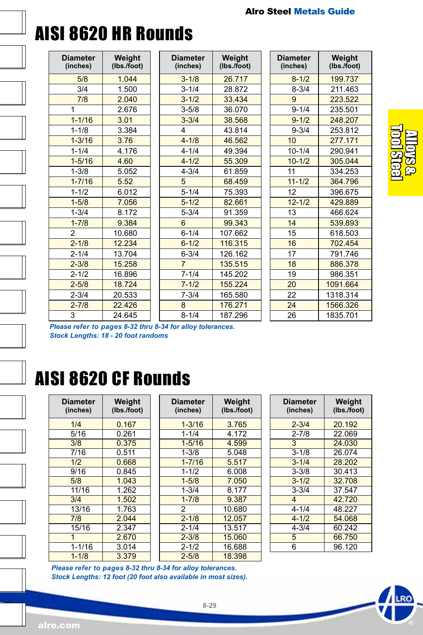

| <b>Diameter</b><br>(inches) | Weight<br>(lbs./foot) |
|-----------------------------|-----------------------|
| 5/8                         | 1.044                 |
| 3/4                         | 1.500                 |
| 7/8                         | 2.040                 |
| 1                           | 2.676                 |
| $1 - 1/16$                  | 3.01                  |
| $1 - 1/8$                   | 3.384                 |
| $1 - 3/16$                  | 3.76                  |
| $1 - 1/4$                   | 4.176                 |
| $1 - 5/16$                  | 4.60                  |
| $1 - 3/8$                   | 5.052                 |
| $1 - 7/16$                  | 5.52                  |
| $1 - 1/2$                   | 6.012                 |
| $1 - 5/8$                   | 7.056                 |
| $1 - 3/4$                   | 8.172                 |
| $1 - 7/8$                   | 9.384                 |
| $\overline{2}$              | 10.680                |
| $2 - 1/8$                   | 12.234                |
| $2 - 1/4$                   | 13.704                |
| $2 - 3/8$                   | 15.258                |
| $2 - 1/2$                   | 16.896                |
| $2 - 5/8$                   | 18.724                |
| $2 - 3/4$                   | 20.533                |
| $2 - 7/8$                   | 22.426                |
| 3                           | 24.645                |

| <b>Diameter</b><br>(inches) | Weight<br>(lbs./foot) |
|-----------------------------|-----------------------|
| $3 - 1/8$                   | 26.717                |
| $3 - 1/4$                   | 28.872                |
| $3 - 1/2$                   | 33.434                |
| $3 - 5/8$                   | 36.070                |
| $3 - 3/4$                   | 38.568                |
| 4                           | 43.814                |
| $4 - 1/8$                   | 46.562                |
| $4 - 1/4$                   | 49.394                |
| $4 - 1/2$                   | 55.309                |
| $4 - 3/4$                   | 61.859                |
| 5                           | 68.459                |
| $5 - 1/4$                   | 75.393                |
| $5 - 1/2$                   | 82.661                |
| $5 - 3/4$                   | 91.359                |
| 6                           | 99.343                |
| $6 - 1/4$                   | 107.662               |
| $6 - 1/2$                   | 116.315               |
| $6 - 3/4$                   | 126.162               |
| 7                           | 135.515               |
| $7 - 1/4$                   | 145.202               |
| $7 - 1/2$                   | 155.224               |
| $7 - 3/4$                   | 165.580               |
| 8                           | 176.271               |
| $8 - 1/4$                   | 187.296               |

| <b>Diameter</b><br>(inches) | Weight<br>(Ibs./foot) |
|-----------------------------|-----------------------|
| $8 - 1/2$                   | 199.737               |
| $8 - 3/4$                   | 211.463               |
| 9                           | 223.522               |
| $9 - 1/4$                   | 235.501               |
| $9 - 1/2$                   | 248.207               |
| $9 - 3/4$                   | 253.812               |
| 10                          | 277.171               |
| $10 - 1/4$                  | 290.941               |
| $10 - 1/2$                  | 305.044               |
| 11                          | 334.253               |
| $11 - 1/2$                  | 364.796               |
| 12                          | 396.675               |
| $12 - 1/2$                  | 429.889               |
| 13                          | 466.624               |
| 14                          | 539.893               |
| 15                          | 618.503               |
| 16                          | 702.454               |
| 17                          | 791.746               |
| 18                          | 886.378               |
| 19                          | 986.351               |
| 20                          | 1091.664              |
| 22                          | 1318.314              |
| 24                          | 1566.326              |
| 26                          | 1835.701              |



*Please refer to pages 8-32 thru 8-34 for alloy tolerances. Stock Lengths: 18 - 20 foot randoms*

## AISI 8620 CF Rounds

| <b>Diameter</b><br>(inches) | Weight<br>(lbs./foot) |
|-----------------------------|-----------------------|
| 1/4                         | 0.167                 |
| 5/16                        | 0.261                 |
| 3/8                         | 0.375                 |
| 7/16                        | 0.511                 |
| 1/2                         | 0.668                 |
| 9/16                        | 0.845                 |
| 5/8                         | 1.043                 |
| 11/16                       | 1.262                 |
| 3/4                         | 1.502                 |
| 13/16                       | 1.763                 |
| 7/8                         | 2.044                 |
| 15/16                       | 2.347                 |
| 1                           | 2.670                 |
| $1 - 1/16$                  | 3.014                 |
| $1 - 1/8$                   | 3.379                 |

| Weight<br><b>Diameter</b><br>(lbs./foot)<br>(inches) |
|------------------------------------------------------|
| $1 - 3/16$<br>3.765                                  |
| $1 - 1/4$<br>4.172                                   |
| $1 - 5/16$<br>4.599                                  |
| $1 - 3/8$<br>5.048                                   |
| $1 - 7/16$<br>5.517                                  |
| $1 - 1/2$<br>6.008                                   |
| $1 - 5/8$<br>7.050                                   |
| $1 - 3/4$<br>8.177                                   |
| $1 - 7/8$<br>9.387                                   |
| 10.680                                               |
| $2 - 1/8$<br>12.057                                  |
| $2 - 1/4$<br>13.517                                  |
| 15.060<br>$2 - 3/8$                                  |
| $2 - 1/2$<br>16.688                                  |
| $2 - 5/8$<br>18.398                                  |
|                                                      |

| <b>Diameter</b><br>(inches) | Weight<br>(Ibs./foot) |
|-----------------------------|-----------------------|
| $2 - 3/4$                   | 20.192                |
| $2 - 7/8$                   | 22069                 |
| 3                           | 24.030                |
| $3 - 1/8$                   | 26 074                |
| $3 - 1/4$                   | 28.202                |
| $3 - 3/8$                   | 30.413                |
| $3 - 1/2$                   | 32 708                |
| $3 - 3/4$                   | 37.547                |
| 4                           | 42.720                |
| $4 - 1/4$                   | 48 227                |
| $4 - 1/2$                   | 54.068                |
| $4 - 3/4$                   | 60.242                |
| 5                           | 66.750                |
| 6                           | 96.120                |

*Please refer to pages 8-32 thru 8-34 for alloy tolerances. Stock Lengths: 12 foot (20 foot also available in most sizes).*

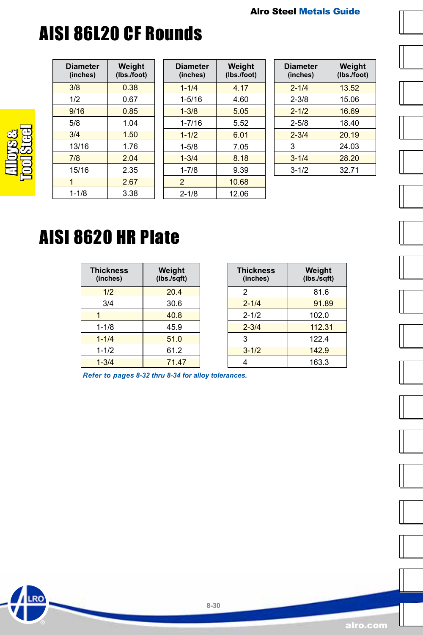# AISI 86L20 CF Rounds

| <b>Diameter</b><br>(inches) | Weight<br>(lbs./foot) |
|-----------------------------|-----------------------|
| 3/8                         | 0.38                  |
| 1/2                         | 0.67                  |
| 9/16                        | 0.85                  |
| 5/8                         | 1.04                  |
| 3/4                         | 1.50                  |
| 13/16                       | 1.76                  |
| 7/8                         | 2.04                  |
| 15/16                       | 2.35                  |
|                             | 2.67                  |
| $1 - 1/8$                   | 3.38                  |

Alloys &<br>Tool Steel

RO

| <b>Diameter</b><br>(inches) | Weight<br>(Ibs./foot) |
|-----------------------------|-----------------------|
| $1 - 1/4$                   | 4.17                  |
| $1 - 5/16$                  | 4.60                  |
| $1 - 3/8$                   | 5.05                  |
| $1 - 7/16$                  | 5.52                  |
| $1 - 1/2$                   | 6.01                  |
| $1 - 5/8$                   | 7.05                  |
| $1 - 3/4$                   | 8.18                  |
| $1 - 7/8$                   | 9.39                  |
| 2                           | 10.68                 |
| $2 - 1/8$                   | 12 06                 |

| <b>Diameter</b><br>(inches) | Weight<br>(Ibs./foot) |
|-----------------------------|-----------------------|
| $2 - 1/4$                   | 13.52                 |
| $2 - 3/8$                   | 15.06                 |
| $2 - 1/2$                   | 16.69                 |
| $2 - 5/8$                   | 18.40                 |
| $2 - 3/4$                   | 20.19                 |
| 3                           | 24 03                 |
| $3 - 1/4$                   | 28.20                 |
| $3 - 1/2$                   | 32.71                 |





### AISI 8620 HR Plate

| <b>Thickness</b><br>(inches) | Weight<br>(lbs./sqft) |
|------------------------------|-----------------------|
| 1/2                          | 20.4                  |
| 3/4                          | 30.6                  |
|                              | 40.8                  |
| $1 - 1/8$                    | 45.9                  |
| $1 - 1/4$                    | 51.0                  |
| $1 - 1/2$                    | 61.2                  |
| $1 - 3/4$                    | 71.47                 |

| <b>Thickness</b><br>(inches) | Weight<br>(lbs./sqft) |
|------------------------------|-----------------------|
| 2                            | 81.6                  |
| $2 - 1/4$                    | 91.89                 |
| $2 - 1/2$                    | 102.0                 |
| $2 - 3/4$                    | 112.31                |
| 3                            | 122.4                 |
| $3 - 1/2$                    | 142.9                 |
| 4                            | 163.3                 |

*Refer to pages 8-32 thru 8-34 for alloy tolerances.*









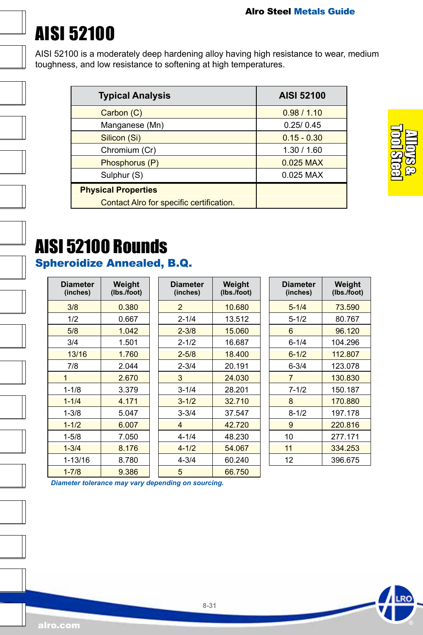# <span id="page-30-0"></span>AISI 52100

AISI 52100 is a moderately deep hardening alloy having high resistance to wear, medium toughness, and low resistance to softening at high temperatures.

| <b>Typical Analysis</b>                  | <b>AISI 52100</b> |
|------------------------------------------|-------------------|
| Carbon (C)                               | 0.98/1.10         |
| Manganese (Mn)                           | 0.25/0.45         |
| Silicon (Si)                             | $0.15 - 0.30$     |
| Chromium (Cr)                            | 1.30 / 1.60       |
| Phosphorus (P)                           | 0.025 MAX         |
| Sulphur (S)                              | 0.025 MAX         |
| <b>Physical Properties</b>               |                   |
| Contact Alro for specific certification. |                   |

Alloys & Tool Steel

# AISI 52100 Rounds

### Spheroidize Annealed, B.Q.

| Diameter<br>(inches) | Weight<br>(lbs./foot) |
|----------------------|-----------------------|
| 3/8                  | 0.380                 |
| 1/2                  | 0.667                 |
| 5/8                  | 1.042                 |
| 3/4                  | 1.501                 |
| 13/16                | 1.760                 |
| 7/8                  | 2.044                 |
| 1                    | 2.670                 |
| $1 - 1/8$            | 3.379                 |
| $1 - 1/4$            | 4.171                 |
| $1 - 3/8$            | 5.047                 |
| $1 - 1/2$            | 6.007                 |
| $1 - 5/8$            | 7.050                 |
| $1 - 3/4$            | 8.176                 |
| 1-13/16              | 8.780                 |
| $1 - 7/8$            | 9.386                 |

| Diameter<br>(inches) | Weight<br>(lbs./foot) |
|----------------------|-----------------------|
| 2                    | 10.680                |
| $2 - 1/4$            | 13.512                |
| $2 - 3/8$            | 15.060                |
| $2 - 1/2$            | 16.687                |
| $2 - 5/8$            | 18.400                |
| $2 - 3/4$            | 20.191                |
| 3                    | 24.030                |
| $3 - 1/4$            | 28.201                |
| $3 - 1/2$            | 32.710                |
| $3 - 3/4$            | 37.547                |
| 4                    | 42.720                |
| 4-1/4                | 48.230                |
| $4 - 1/2$            | 54.067                |
| $4 - 3/4$            | 60.240                |
| 5                    | 66.750                |

| <b>Diameter</b><br>(inches) | Weight<br>(lbs./foot) |
|-----------------------------|-----------------------|
| $5 - 1/4$                   | 73.590                |
| $5 - 1/2$                   | 80.767                |
| 6                           | 96.120                |
| 6-1/4                       | 104.296               |
| $6 - 1/2$                   | 112.807               |
| 6-3/4                       | 123.078               |
| 7                           | 130.830               |
| $7 - 1/2$                   | 150.187               |
| 8                           | 170.880               |
| 8-1/2                       | 197.178               |
| 9                           | 220.816               |
| 10                          | 277.171               |
| 11                          | 334,253               |
| 12                          | 396.675               |

*Diameter tolerance may vary depending on sourcing.*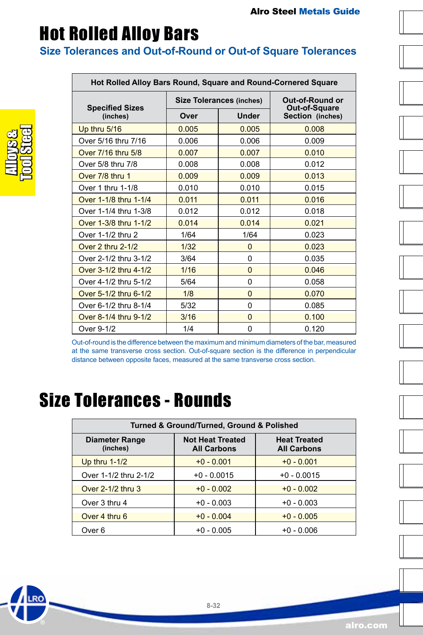### <span id="page-31-0"></span>Hot Rolled Alloy Bars

#### **Size Tolerances and Out-of-Round or Out-of Square Tolerances**

| Hot Rolled Alloy Bars Round, Square and Round-Cornered Square |                                 |              |                                   |
|---------------------------------------------------------------|---------------------------------|--------------|-----------------------------------|
|                                                               | <b>Size Tolerances (inches)</b> |              | Out-of-Round or                   |
| <b>Specified Sizes</b><br>(inches)                            | Over                            | <b>Under</b> | Out-of-Square<br>Section (inches) |
| Up thru 5/16                                                  | 0.005                           | 0.005        | 0.008                             |
| Over 5/16 thru 7/16                                           | 0.006                           | 0.006        | 0.009                             |
| Over 7/16 thru 5/8                                            | 0.007                           | 0.007        | 0.010                             |
| Over 5/8 thru 7/8                                             | 0.008                           | 0.008        | 0.012                             |
| Over 7/8 thru 1                                               | 0.009                           | 0.009        | 0.013                             |
| Over 1 thru 1-1/8                                             | 0.010                           | 0.010        | 0.015                             |
| Over 1-1/8 thru 1-1/4                                         | 0.011                           | 0.011        | 0.016                             |
| Over 1-1/4 thru 1-3/8                                         | 0.012                           | 0.012        | 0.018                             |
| Over 1-3/8 thru 1-1/2                                         | 0.014                           | 0.014        | 0.021                             |
| Over 1-1/2 thru 2                                             | 1/64                            | 1/64         | 0.023                             |
| Over 2 thru 2-1/2                                             | 1/32                            | $\Omega$     | 0.023                             |
| Over 2-1/2 thru 3-1/2                                         | 3/64                            | $\Omega$     | 0.035                             |
| Over 3-1/2 thru 4-1/2                                         | 1/16                            | $\Omega$     | 0.046                             |
| Over 4-1/2 thru 5-1/2                                         | 5/64                            | 0            | 0.058                             |
| Over 5-1/2 thru 6-1/2                                         | 1/8                             | $\Omega$     | 0.070                             |
| Over 6-1/2 thru 8-1/4                                         | 5/32                            | 0            | 0.085                             |
| Over 8-1/4 thru 9-1/2                                         | 3/16                            | $\Omega$     | 0.100                             |
| Over 9-1/2                                                    | 1/4                             | 0            | 0.120                             |

Out-of-round is the difference between the maximum and minimum diameters of the bar, measured at the same transverse cross section. Out-of-square section is the difference in perpendicular distance between opposite faces, measured at the same transverse cross section.

### Size Tolerances - Rounds

| Turned & Ground/Turned, Ground & Polished |                                               |                                           |  |
|-------------------------------------------|-----------------------------------------------|-------------------------------------------|--|
| <b>Diameter Range</b><br>(inches)         | <b>Not Heat Treated</b><br><b>All Carbons</b> | <b>Heat Treated</b><br><b>All Carbons</b> |  |
| Up thru $1-1/2$                           | $+0 - 0.001$                                  | $+0 - 0.001$                              |  |
| Over 1-1/2 thru 2-1/2                     | $+0 - 0.0015$                                 | $+0 - 0.0015$                             |  |
| Over 2-1/2 thru 3                         | $+0 - 0.002$                                  | $+0 - 0.002$                              |  |
| Over 3 thru 4                             | $+0 - 0.003$                                  | $+0 - 0.003$                              |  |
| Over 4 thru 6                             | $+0 - 0.004$                                  | $+0 - 0.005$                              |  |
| Over 6                                    | +0 - 0.005                                    | $+0 - 0.006$                              |  |



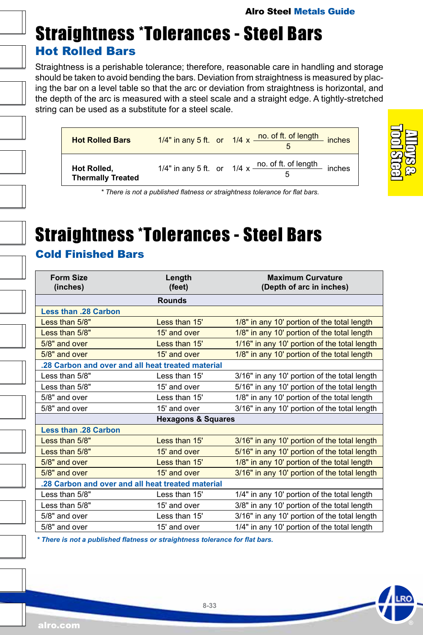### Straightness \*Tolerances - Steel Bars Hot Rolled Bars

Straightness is a perishable tolerance; therefore, reasonable care in handling and storage should be taken to avoid bending the bars. Deviation from straightness is measured by placing the bar on a level table so that the arc or deviation from straightness is horizontal, and the depth of the arc is measured with a steel scale and a straight edge. A tightly-stretched string can be used as a substitute for a steel scale.

| <b>Hot Rolled Bars</b>                  | 1/4" in any 5 ft. or 1/4 x no. of ft. of length inches                                |
|-----------------------------------------|---------------------------------------------------------------------------------------|
| Hot Rolled,<br><b>Thermally Treated</b> | 1/4" in any 5 ft. or $1/4 \times \frac{\text{no. of ft. of length}}{\text{c}}$ inches |



*\* There is not a published flatness or straightness tolerance for flat bars.*

### Straightness \*Tolerances - Steel Bars

#### Cold Finished Bars

| <b>Form Size</b><br>(inches)                      | Length<br>(feet) | <b>Maximum Curvature</b><br>(Depth of arc in inches) |
|---------------------------------------------------|------------------|------------------------------------------------------|
|                                                   | <b>Rounds</b>    |                                                      |
| <b>Less than .28 Carbon</b>                       |                  |                                                      |
| Less than 5/8"                                    | Less than 15'    | 1/8" in any 10' portion of the total length          |
| Less than 5/8"                                    | 15' and over     | 1/8" in any 10' portion of the total length          |
| 5/8" and over                                     | Less than 15'    | 1/16" in any 10' portion of the total length         |
| 5/8" and over                                     | 15' and over     | 1/8" in any 10' portion of the total length          |
| .28 Carbon and over and all heat treated material |                  |                                                      |
| Less than 5/8"                                    | Less than 15'    | 3/16" in any 10' portion of the total length         |
| Less than 5/8"                                    | 15' and over     | 5/16" in any 10' portion of the total length         |
| 5/8" and over                                     | Less than 15'    | 1/8" in any 10' portion of the total length          |
| 5/8" and over                                     | 15' and over     | 3/16" in any 10' portion of the total length         |
| <b>Hexagons &amp; Squares</b>                     |                  |                                                      |
| <b>Less than .28 Carbon</b>                       |                  |                                                      |
| Less than 5/8"                                    | Less than 15'    | 3/16" in any 10' portion of the total length         |
| Less than 5/8"                                    | 15' and over     | 5/16" in any 10' portion of the total length         |
| 5/8" and over                                     | Less than 15'    | 1/8" in any 10' portion of the total length          |
| $5/8"$ and over                                   | 15' and over     | 3/16" in any 10' portion of the total length         |
| .28 Carbon and over and all heat treated material |                  |                                                      |
| Less than 5/8"                                    | Less than 15'    | 1/4" in any 10' portion of the total length          |
| Less than 5/8"                                    | 15' and over     | 3/8" in any 10' portion of the total length          |
| $5/8"$ and over                                   | Less than 15'    | 3/16" in any 10' portion of the total length         |
| 5/8" and over                                     | 15' and over     | 1/4" in any 10' portion of the total length          |

*\* There is not a published flatness or straightness tolerance for flat bars.*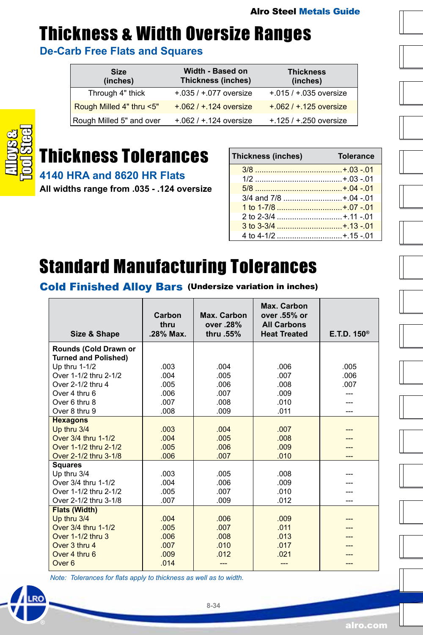### Thickness & Width Oversize Ranges

**De-Carb Free Flats and Squares**

| <b>Size</b><br>(inches)  | Width - Based on<br>Thickness (inches) | <b>Thickness</b><br>(inches) |
|--------------------------|----------------------------------------|------------------------------|
| Through 4" thick         | $+0.035 / +0.077$ oversize             | $+.015 / +.035$ oversize     |
| Rough Milled 4" thru <5" | $+.062 / +.124$ oversize               | $+.062 / +.125$ oversize     |
| Rough Milled 5" and over | $+.062 / +.124$ oversize               | $+125/ + 250$ oversize       |



### Thickness Tolerances

**4140 HRA and 8620 HR Flats** 

**All widths range from .035 - .124 oversize**

| Thickness (inches)    | <b>Tolerance</b> |
|-----------------------|------------------|
|                       |                  |
|                       |                  |
|                       |                  |
| 3/4 and 7/8 +.04 -.01 |                  |
| 1 to 1-7/8 +.07 -.01  |                  |
|                       |                  |
|                       |                  |
| 4 to 4-1/2 +.15 -.01  |                  |

### Standard Manufacturing Tolerances

Cold Finished Alloy Bars (Undersize variation in inches)

| Size & Shape                                         | Carbon<br>thru<br>.28% Max. | Max. Carbon<br>over .28%<br>thru .55% | Max. Carbon<br>over .55% or<br><b>All Carbons</b><br><b>Heat Treated</b> | $E$ . T.D. 150 <sup>®</sup> |
|------------------------------------------------------|-----------------------------|---------------------------------------|--------------------------------------------------------------------------|-----------------------------|
| Rounds (Cold Drawn or<br><b>Turned and Polished)</b> |                             |                                       |                                                                          |                             |
| Up thru 1-1/2                                        | .003                        | .004                                  | .006                                                                     | .005                        |
| Over 1-1/2 thru 2-1/2                                | .004                        | .005                                  | .007                                                                     | .006                        |
| Over 2-1/2 thru 4                                    | .005                        | .006                                  | .008                                                                     | .007                        |
| Over 4 thru 6                                        | .006                        | .007                                  | .009                                                                     |                             |
| Over 6 thru 8                                        | .007                        | .008                                  | 010                                                                      |                             |
| Over 8 thru 9                                        | .008                        | .009                                  | .011                                                                     |                             |
| <b>Hexagons</b>                                      |                             |                                       |                                                                          |                             |
| Up thru 3/4                                          | .003                        | .004                                  | .007                                                                     |                             |
| Over 3/4 thru 1-1/2                                  | .004                        | .005                                  | .008                                                                     |                             |
| Over 1-1/2 thru 2-1/2                                | .005                        | .006                                  | .009                                                                     |                             |
| Over 2-1/2 thru 3-1/8                                | .006                        | .007                                  | .010                                                                     |                             |
| <b>Squares</b>                                       |                             |                                       |                                                                          |                             |
| Up thru 3/4                                          | .003                        | .005                                  | .008                                                                     |                             |
| Over 3/4 thru 1-1/2                                  | .004                        | .006                                  | .009                                                                     |                             |
| Over 1-1/2 thru 2-1/2                                | .005                        | .007                                  | .010                                                                     |                             |
| Over 2-1/2 thru 3-1/8                                | .007                        | .009                                  | .012                                                                     |                             |
| <b>Flats (Width)</b>                                 |                             |                                       |                                                                          |                             |
| Up thru 3/4                                          | .004                        | .006                                  | .009                                                                     |                             |
| Over 3/4 thru 1-1/2                                  | .005                        | .007                                  | .011                                                                     |                             |
| Over 1-1/2 thru 3                                    | .006                        | .008                                  | .013                                                                     |                             |
| Over 3 thru 4                                        | .007                        | .010                                  | .017                                                                     |                             |
| Over 4 thru 6                                        | .009                        | .012                                  | .021                                                                     |                             |
| Over <sub>6</sub>                                    | .014                        |                                       |                                                                          |                             |

*Note: Tolerances for flats apply to thickness as well as to width.*

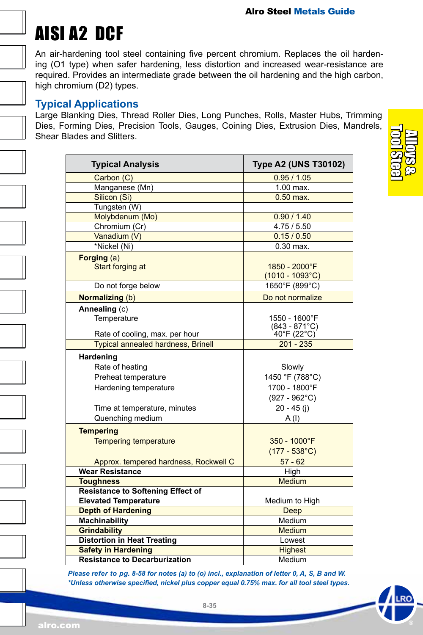# <span id="page-34-0"></span>AISI A2 DCF

An air-hardening tool steel containing five percent chromium. Replaces the oil hardening (O1 type) when safer hardening, less distortion and increased wear-resistance are required. Provides an intermediate grade between the oil hardening and the high carbon, high chromium (D2) types.

#### **Typical Applications**

Large Blanking Dies, Thread Roller Dies, Long Punches, Rolls, Master Hubs, Trimming Dies, Forming Dies, Precision Tools, Gauges, Coining Dies, Extrusion Dies, Mandrels, Shear Blades and Slitters.

| <b>Typical Analysis</b>                   | <b>Type A2 (UNS T30102)</b> |
|-------------------------------------------|-----------------------------|
| Carbon (C)                                | 0.95/1.05                   |
| Manganese (Mn)                            | $1.00$ max.                 |
| Silicon (Si)                              | $0.50$ max.                 |
| Tungsten (W)                              |                             |
| Molybdenum (Mo)                           | 0.90 / 1.40                 |
| Chromium (Cr)                             | 4.75/5.50                   |
| Vanadium (V)                              | 0.15/0.50                   |
| *Nickel (Ni)                              | $0.30$ max.                 |
| Forging (a)                               |                             |
| Start forging at                          | 1850 - 2000°F               |
|                                           | $(1010 - 1093^{\circ}C)$    |
| Do not forge below                        | 1650°F (899°C)              |
| <b>Normalizing (b)</b>                    | Do not normalize            |
| Annealing (c)                             |                             |
| Temperature                               | 1550 - 1600°F               |
|                                           | $(843 - 871^{\circ}C)$      |
| Rate of cooling, max. per hour            | 40°F (22°C)                 |
| <b>Typical annealed hardness, Brinell</b> | $201 - 235$                 |
| Hardening                                 |                             |
| Rate of heating                           | Slowly                      |
| Preheat temperature                       | 1450 °F (788°C)             |
| Hardening temperature                     | 1700 - 1800°F               |
|                                           | $(927 - 962^{\circ}C)$      |
| Time at temperature, minutes              | $20 - 45$ (j)               |
| Quenching medium                          | A(1)                        |
| <b>Tempering</b>                          |                             |
| <b>Tempering temperature</b>              | 350 - 1000°F                |
|                                           | $(177 - 538^{\circ}C)$      |
| Approx. tempered hardness, Rockwell C     | $57 - 62$                   |
| <b>Wear Resistance</b>                    | High                        |
| <b>Toughness</b>                          | <b>Medium</b>               |
| <b>Resistance to Softening Effect of</b>  |                             |
| <b>Elevated Temperature</b>               | Medium to High              |
| <b>Depth of Hardening</b>                 | Deep                        |
| <b>Machinability</b>                      | Medium                      |
| <b>Grindability</b>                       | <b>Medium</b>               |
| <b>Distortion in Heat Treating</b>        | Lowest                      |
| <b>Safety in Hardening</b>                | <b>Highest</b>              |
| <b>Resistance to Decarburization</b>      | Medium                      |

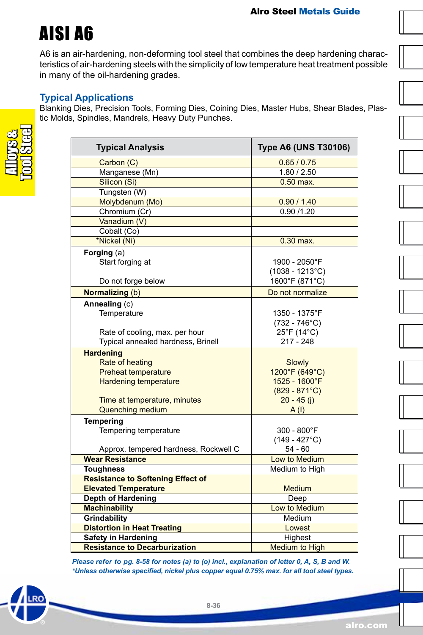## AISI A6

A6 is an air-hardening, non-deforming tool steel that combines the deep hardening characteristics of air-hardening steels with the simplicity of low temperature heat treatment possible in many of the oil-hardening grades.

#### **Typical Applications**

Blanking Dies, Precision Tools, Forming Dies, Coining Dies, Master Hubs, Shear Blades, Plastic Molds, Spindles, Mandrels, Heavy Duty Punches.

| <b>Typical Analysis</b>                  | <b>Type A6 (UNS T30106)</b> |
|------------------------------------------|-----------------------------|
| Carbon (C)                               | 0.65/0.75                   |
| Manganese (Mn)                           | 1.80 / 2.50                 |
| Silicon (Si)                             | $0.50$ max.                 |
| Tungsten (W)                             |                             |
| Molybdenum (Mo)                          | 0.90 / 1.40                 |
| Chromium (Cr)                            | 0.90/1.20                   |
| Vanadium (V)                             |                             |
| Cobalt (Co)                              |                             |
| *Nickel (Ni)                             | $0.30$ max.                 |
| Forging (a)                              |                             |
| Start forging at                         | 1900 - 2050°F               |
|                                          | $(1038 - 1213^{\circ}C)$    |
| Do not forge below                       | 1600°F (871°C)              |
| Normalizing (b)                          | Do not normalize            |
| Annealing (c)                            |                             |
| Temperature                              | 1350 - 1375°F               |
|                                          | $(732 - 746^{\circ}C)$      |
| Rate of cooling, max. per hour           | 25°F (14°C)                 |
| Typical annealed hardness, Brinell       | $217 - 248$                 |
| <b>Hardening</b>                         |                             |
| Rate of heating                          | Slowly                      |
| <b>Preheat temperature</b>               | 1200°F (649°C)              |
| <b>Hardening temperature</b>             | 1525 - 1600°F               |
|                                          | $(829 - 871^{\circ}C)$      |
| Time at temperature, minutes             | $20 - 45$ (i)               |
| <b>Quenching medium</b>                  | A(1)                        |
| <b>Tempering</b>                         |                             |
| Tempering temperature                    | 300 - 800°F                 |
|                                          | $(149 - 427^{\circ}C)$      |
| Approx. tempered hardness, Rockwell C    | 54 - 60                     |
| <b>Wear Resistance</b>                   | Low to Medium               |
| <b>Toughness</b>                         | Medium to High              |
| <b>Resistance to Softening Effect of</b> |                             |
| <b>Elevated Temperature</b>              | <b>Medium</b>               |
| <b>Depth of Hardening</b>                | Deep                        |
| <b>Machinability</b>                     | Low to Medium               |
| Grindability                             | Medium                      |
| <b>Distortion in Heat Treating</b>       | Lowest                      |
| <b>Safety in Hardening</b>               | Highest                     |
| <b>Resistance to Decarburization</b>     | <b>Medium to High</b>       |

*Please refer to pg. 8-58 for notes (a) to (o) incl., explanation of letter 0, A, S, B and W. \*Unless otherwise specified, nickel plus copper equal 0.75% max. for all tool steel types.*

alro.com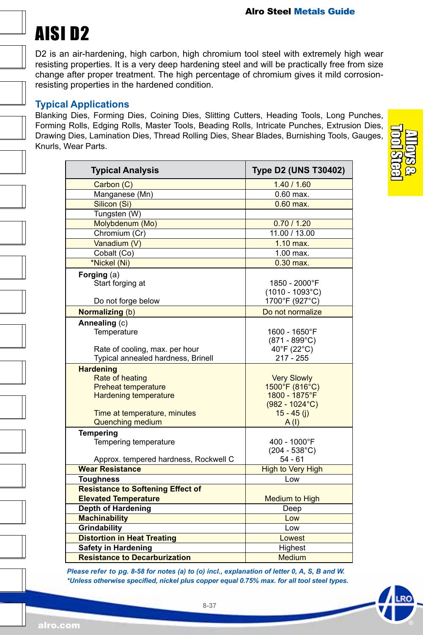### AISI D2

D2 is an air-hardening, high carbon, high chromium tool steel with extremely high wear resisting properties. It is a very deep hardening steel and will be practically free from size change after proper treatment. The high percentage of chromium gives it mild corrosionresisting properties in the hardened condition.

#### **Typical Applications**

Blanking Dies, Forming Dies, Coining Dies, Slitting Cutters, Heading Tools, Long Punches, Forming Rolls, Edging Rolls, Master Tools, Beading Rolls, Intricate Punches, Extrusion Dies, Drawing Dies, Lamination Dies, Thread Rolling Dies, Shear Blades, Burnishing Tools, Gauges, Knurls, Wear Parts.

| <b>Typical Analysis</b>                                                                                                                                      | <b>Type D2 (UNS T30402)</b>                                                                         |
|--------------------------------------------------------------------------------------------------------------------------------------------------------------|-----------------------------------------------------------------------------------------------------|
| Carbon (C)                                                                                                                                                   | 1.40 / 1.60                                                                                         |
| Manganese (Mn)                                                                                                                                               | $0.60$ max.                                                                                         |
| Silicon (Si)                                                                                                                                                 | $0.60$ max.                                                                                         |
| Tungsten (W)                                                                                                                                                 |                                                                                                     |
| Molybdenum (Mo)                                                                                                                                              | 0.70 / 1.20                                                                                         |
| Chromium (Cr)                                                                                                                                                | 11.00 / 13.00                                                                                       |
| Vanadium (V)                                                                                                                                                 | $1.10$ max.                                                                                         |
| Cobalt (Co)                                                                                                                                                  | 1.00 max.                                                                                           |
| *Nickel (Ni)                                                                                                                                                 | $0.30$ max.                                                                                         |
| Forging $(a)$<br>Start forging at                                                                                                                            | 1850 - 2000°F<br>$(1010 - 1093^{\circ}C)$                                                           |
| Do not forge below                                                                                                                                           | 1700°F (927°C)<br>Do not normalize                                                                  |
| Normalizing (b)                                                                                                                                              |                                                                                                     |
| Annealing (c)<br>Temperature<br>Rate of cooling, max. per hour                                                                                               | 1600 - 1650°F<br>$(871 - 899^{\circ}C)$<br>40°F (22°C)<br>217 - 255                                 |
| Typical annealed hardness, Brinell                                                                                                                           |                                                                                                     |
| <b>Hardening</b><br>Rate of heating<br><b>Preheat temperature</b><br><b>Hardening temperature</b><br>Time at temperature, minutes<br><b>Quenching medium</b> | <b>Very Slowly</b><br>1500°F (816°C)<br>1800 - 1875°F<br>$(982 - 1024$ °C)<br>$15 - 45$ (i)<br>A(1) |
| <b>Tempering</b>                                                                                                                                             |                                                                                                     |
| Tempering temperature<br>Approx. tempered hardness, Rockwell C                                                                                               | 400 - 1000°F<br>$(204 - 538^{\circ}C)$<br>$54 - 61$                                                 |
| <b>Wear Resistance</b>                                                                                                                                       | <b>High to Very High</b>                                                                            |
| <b>Toughness</b>                                                                                                                                             | Low                                                                                                 |
| <b>Resistance to Softening Effect of</b>                                                                                                                     |                                                                                                     |
| <b>Elevated Temperature</b>                                                                                                                                  | Medium to High                                                                                      |
| Depth of Hardening                                                                                                                                           | Deep                                                                                                |
| <b>Machinability</b>                                                                                                                                         | Low                                                                                                 |
| Grindability                                                                                                                                                 | Low                                                                                                 |
| <b>Distortion in Heat Treating</b>                                                                                                                           | Lowest                                                                                              |
| <b>Safety in Hardening</b>                                                                                                                                   | Highest                                                                                             |
| <b>Resistance to Decarburization</b>                                                                                                                         | Medium                                                                                              |

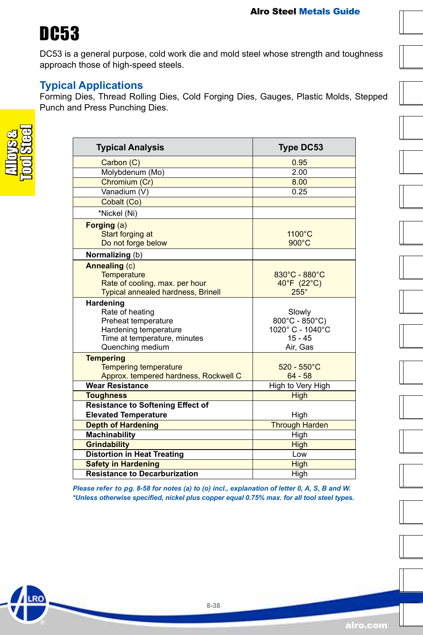### DC53

DC53 is a general purpose, cold work die and mold steel whose strength and toughness approach those of high-speed steels.

#### **Typical Applications**

Forming Dies, Thread Rolling Dies, Cold Forging Dies, Gauges, Plastic Molds, Stepped Punch and Press Punching Dies.

RO

| <b>Typical Analysis</b>                                                                                                          | <b>Type DC53</b>                                                                         |  |
|----------------------------------------------------------------------------------------------------------------------------------|------------------------------------------------------------------------------------------|--|
| Carbon (C)                                                                                                                       | 0.95                                                                                     |  |
| Molybdenum (Mo)                                                                                                                  | 2.00                                                                                     |  |
| Chromium (Cr)                                                                                                                    | 8.00                                                                                     |  |
| Vanadium (V)                                                                                                                     | 0.25                                                                                     |  |
| Cobalt (Co)                                                                                                                      |                                                                                          |  |
| *Nickel (Ni)                                                                                                                     |                                                                                          |  |
| Forging (a)<br>Start forging at<br>Do not forge below                                                                            | 1100°C<br>$900^{\circ}$ C                                                                |  |
| Normalizing (b)                                                                                                                  |                                                                                          |  |
| Annealing (c)<br><b>Temperature</b><br>Rate of cooling, max. per hour<br><b>Typical annealed hardness, Brinell</b>               | 830°C - 880°C<br>40°F (22°C)<br>$255^\circ$                                              |  |
| Hardening<br>Rate of heating<br>Preheat temperature<br>Hardening temperature<br>Time at temperature, minutes<br>Quenching medium | Slowly<br>$800^{\circ}$ C - $850^{\circ}$ C)<br>1020°C - 1040°C<br>$15 - 45$<br>Air, Gas |  |
| <b>Tempering</b><br><b>Tempering temperature</b><br>Approx. tempered hardness, Rockwell C                                        | $520 - 550^{\circ}$ C<br>$64 - 58$                                                       |  |
| <b>Wear Resistance</b>                                                                                                           | High to Very High                                                                        |  |
| <b>Toughness</b>                                                                                                                 | <b>High</b>                                                                              |  |
| <b>Resistance to Softening Effect of</b><br><b>Elevated Temperature</b>                                                          |                                                                                          |  |
| <b>Depth of Hardening</b>                                                                                                        | High<br><b>Through Harden</b>                                                            |  |
| <b>Machinability</b>                                                                                                             | High                                                                                     |  |
| <b>Grindability</b>                                                                                                              | <b>High</b>                                                                              |  |
| <b>Distortion in Heat Treating</b>                                                                                               | Low                                                                                      |  |
| <b>Safety in Hardening</b>                                                                                                       | <b>High</b>                                                                              |  |
| <b>Resistance to Decarburization</b>                                                                                             | High                                                                                     |  |

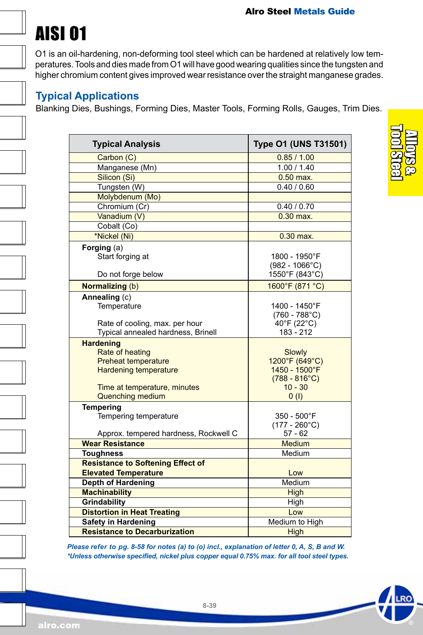# AISI O1

O1 is an oil-hardening, non-deforming tool steel which can be hardened at relatively low temperatures. Tools and dies made from O1 will have good wearing qualities since the tungsten and higher chromium content gives improved wear resistance over the straight manganese grades.

#### **Typical Applications**

Blanking Dies, Bushings, Forming Dies, Master Tools, Forming Rolls, Gauges, Trim Dies.

| <b>Typical Analysis</b>                  | Type O1 (UNS T31501)            |
|------------------------------------------|---------------------------------|
| Carbon (C)                               | 0.85/1.00                       |
| Manganese (Mn)                           | 1.00 / 1.40                     |
| Silicon (Si)                             | $0.50$ max.                     |
| Tungsten (W)                             | 0.40 / 0.60                     |
| Molybdenum (Mo)                          |                                 |
| Chromium (Cr)                            | 0.40 / 0.70                     |
| Vanadium (V)                             | $0.30$ max.                     |
| Cobalt (Co)                              |                                 |
| *Nickel (Ni)                             | 0.30 max.                       |
| Forging $(a)$                            |                                 |
| Start forging at                         | 1800 - 1950°F                   |
|                                          | $(982 - 1066^{\circ}C)$         |
| Do not forge below                       | 1550°F (843°C)                  |
| Normalizing (b)                          | 1600°F (871 °C)                 |
| Annealing (c)                            |                                 |
| Temperature                              | 1400 - 1450°F                   |
|                                          | $(760 - 788^{\circ}C)$          |
| Rate of cooling, max. per hour           | 40°F (22°C)                     |
| Typical annealed hardness, Brinell       | 183 - 212                       |
| <b>Hardening</b>                         |                                 |
| Rate of heating                          | Slowly                          |
| <b>Preheat temperature</b>               | 1200°F (649°C)<br>1450 - 1500°F |
| <b>Hardening temperature</b>             | $(788 - 816^{\circ}C)$          |
| Time at temperature, minutes             | $10 - 30$                       |
| Quenching medium                         | 0(1)                            |
| <b>Tempering</b>                         |                                 |
| Tempering temperature                    | 350 - 500°F                     |
|                                          | $(177 - 260^{\circ}C)$          |
| Approx. tempered hardness, Rockwell C    | $57 - 62$                       |
| <b>Wear Resistance</b>                   | <b>Medium</b>                   |
| <b>Toughness</b>                         | Medium                          |
| <b>Resistance to Softening Effect of</b> |                                 |
| <b>Elevated Temperature</b>              | Low                             |
| <b>Depth of Hardening</b>                | Medium                          |
| <b>Machinability</b>                     | High                            |
| Grindability                             | High                            |
| <b>Distortion in Heat Treating</b>       | Low                             |
| <b>Safety in Hardening</b>               | Medium to High                  |
| <b>Resistance to Decarburization</b>     | High                            |

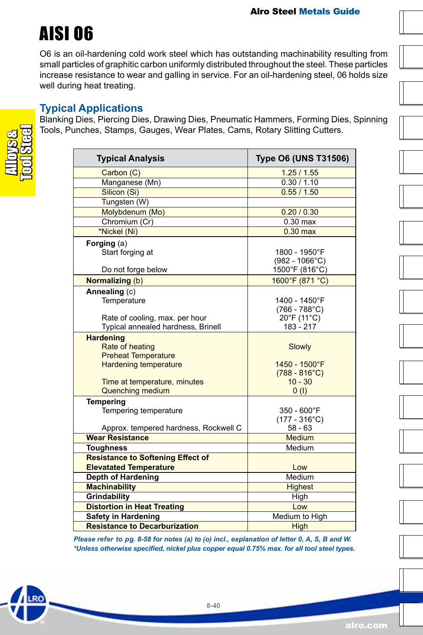### AISI O6

O6 is an oil-hardening cold work steel which has outstanding machinability resulting from small particles of graphitic carbon uniformly distributed throughout the steel. These particles increase resistance to wear and galling in service. For an oil-hardening steel, 06 holds size well during heat treating.

#### **Typical Applications**

Blanking Dies, Piercing Dies, Drawing Dies, Pneumatic Hammers, Forming Dies, Spinning Tools, Punches, Stamps, Gauges, Wear Plates, Cams, Rotary Slitting Cutters.

| <b>Typical Analysis</b>                                                                           | <b>Type O6 (UNS T31506)</b>                        |  |
|---------------------------------------------------------------------------------------------------|----------------------------------------------------|--|
| Carbon (C)                                                                                        | 1.25/1.55                                          |  |
| Manganese (Mn)                                                                                    | 0.30 / 1.10                                        |  |
| Silicon (Si)                                                                                      | 0.55 / 1.50                                        |  |
| Tungsten (W)                                                                                      |                                                    |  |
| Molybdenum (Mo)                                                                                   | 0.20 / 0.30                                        |  |
| Chromium (Cr)                                                                                     | $0.30$ max                                         |  |
| *Nickel (Ni)                                                                                      | $0.30$ max                                         |  |
| Forging $(a)$<br>Start forging at                                                                 | 1800 - 1950°F<br>$(982 - 1066^{\circ}C)$           |  |
| Do not forge below                                                                                | 1500°F (816°C)                                     |  |
| <b>Normalizing (b)</b>                                                                            | 1600°F (871 °C)                                    |  |
| Annealing (c)<br>Temperature                                                                      | 1400 - 1450°F<br>$(766 - 788^{\circ}C)$            |  |
| Rate of cooling, max. per hour<br>Typical annealed hardness, Brinell                              | 20°F (11°C)<br>183 - 217                           |  |
| <b>Hardening</b><br>Rate of heating<br><b>Preheat Temperature</b><br><b>Hardening temperature</b> | Slowly<br>1450 - 1500°F<br>$(788 - 816^{\circ}C)$  |  |
| Time at temperature, minutes                                                                      | $10 - 30$                                          |  |
| <b>Quenching medium</b>                                                                           | 0(1)                                               |  |
| <b>Tempering</b><br>Tempering temperature                                                         | 350 - 600°F<br>$(177 - 316^{\circ}C)$<br>$58 - 63$ |  |
| Approx. tempered hardness, Rockwell C<br><b>Wear Resistance</b>                                   | <b>Medium</b>                                      |  |
| <b>Toughness</b>                                                                                  | Medium                                             |  |
| <b>Resistance to Softening Effect of</b>                                                          |                                                    |  |
| <b>Elevatated Temperature</b>                                                                     | Low                                                |  |
| Depth of Hardening                                                                                | Medium                                             |  |
| <b>Machinability</b>                                                                              | <b>Highest</b>                                     |  |
| Grindability                                                                                      | High                                               |  |
| <b>Distortion in Heat Treating</b>                                                                | Low                                                |  |
| <b>Safety in Hardening</b>                                                                        | Medium to High                                     |  |
| <b>Resistance to Decarburization</b>                                                              | <b>High</b>                                        |  |

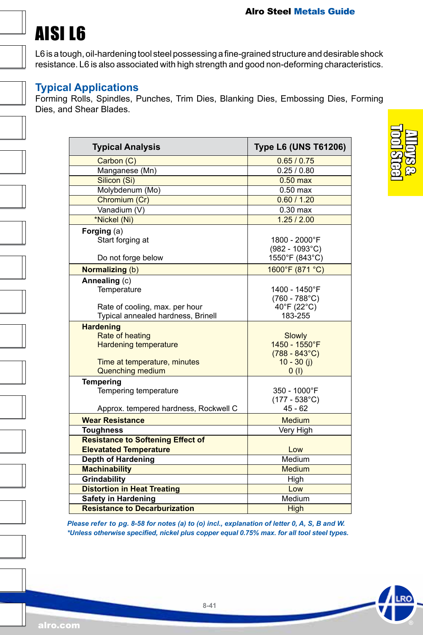# AISI L6

L6 is a tough, oil-hardening tool steel possessing a fine-grained structure and desirable shock resistance. L6 is also associated with high strength and good non-deforming characteristics.

#### **Typical Applications**

Forming Rolls, Spindles, Punches, Trim Dies, Blanking Dies, Embossing Dies, Forming Dies, and Shear Blades.

| <b>Typical Analysis</b>                                                                                                        | <b>Type L6 (UNS T61206)</b>                                                |
|--------------------------------------------------------------------------------------------------------------------------------|----------------------------------------------------------------------------|
| Carbon (C)                                                                                                                     | 0.65 / 0.75                                                                |
| Manganese (Mn)                                                                                                                 | 0.25 / 0.80                                                                |
| Silicon (Si)                                                                                                                   | $0.50$ max                                                                 |
| Molybdenum (Mo)                                                                                                                | $0.50$ max                                                                 |
| Chromium (Cr)                                                                                                                  | 0.60 / 1.20                                                                |
| Vanadium (V)                                                                                                                   | $0.30$ max                                                                 |
| *Nickel (Ni)                                                                                                                   | 1.25 / 2.00                                                                |
| Forging $(a)$<br>Start forging at                                                                                              | 1800 - 2000°F<br>$(982 - 1093^{\circ}C)$                                   |
| Do not forge below                                                                                                             | 1550°F (843°C)                                                             |
| Normalizing (b)                                                                                                                | 1600°F (871 °C)                                                            |
| Annealing (c)<br>Temperature<br>Rate of cooling, max. per hour<br>Typical annealed hardness, Brinell                           | 1400 - 1450°F<br>$(760 - 788^{\circ}C)$<br>40°F (22°C)<br>183-255          |
| <b>Hardening</b><br>Rate of heating<br><b>Hardening temperature</b><br>Time at temperature, minutes<br><b>Quenching medium</b> | Slowly<br>1450 - 1550°F<br>$(788 - 843^{\circ}C)$<br>$10 - 30$ (j)<br>0(1) |
| <b>Tempering</b><br>Tempering temperature<br>Approx. tempered hardness, Rockwell C                                             | 350 - 1000°F<br>$(177 - 538^{\circ}C)$<br>$45 - 62$                        |
| <b>Wear Resistance</b>                                                                                                         | Medium                                                                     |
| <b>Toughness</b>                                                                                                               | Very High                                                                  |
| <b>Resistance to Softening Effect of</b><br><b>Elevatated Temperature</b>                                                      | Low                                                                        |
| <b>Depth of Hardening</b>                                                                                                      | Medium                                                                     |
| <b>Machinability</b>                                                                                                           | Medium                                                                     |
| Grindability                                                                                                                   | High                                                                       |
| <b>Distortion in Heat Treating</b>                                                                                             | Low                                                                        |
| <b>Safety in Hardening</b>                                                                                                     | Medium                                                                     |
| <b>Resistance to Decarburization</b>                                                                                           | High                                                                       |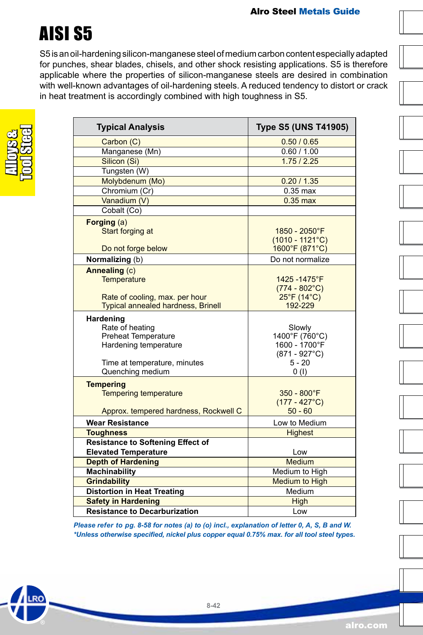### AISI S5

S5 is an oil-hardening silicon-manganese steel of medium carbon content especially adapted for punches, shear blades, chisels, and other shock resisting applications. S5 is therefore applicable where the properties of silicon-manganese steels are desired in combination with well-known advantages of oil-hardening steels. A reduced tendency to distort or crack in heat treatment is accordingly combined with high toughness in S5.

| <b>Typical Analysis</b>                   | <b>Type S5 (UNS T41905)</b> |
|-------------------------------------------|-----------------------------|
| Carbon (C)                                | 0.50 / 0.65                 |
| Manganese (Mn)                            | 0.60 / 1.00                 |
| Silicon (Si)                              | 1.75/2.25                   |
| Tungsten (W)                              |                             |
| Molybdenum (Mo)                           | 0.20 / 1.35                 |
| Chromium (Cr)                             | $0.35$ max                  |
| Vanadium (V)                              | $0.35$ max                  |
| Cobalt (Co)                               |                             |
|                                           |                             |
| Forging (a)<br>Start forging at           | 1850 - 2050°F               |
|                                           | $(1010 - 1121^{\circ}C)$    |
| Do not forge below                        | 1600°F (871°C)              |
| Normalizing (b)                           | Do not normalize            |
|                                           |                             |
| Annealing (c)<br>Temperature              | 1425-1475°F                 |
|                                           | $(774 - 802$ °C)            |
| Rate of cooling, max. per hour            | 25°F (14°C)                 |
| <b>Typical annealed hardness, Brinell</b> | 192-229                     |
| Hardening                                 |                             |
| Rate of heating                           | Slowly                      |
| <b>Preheat Temperature</b>                | 1400°F (760°C)              |
| Hardening temperature                     | 1600 - 1700°F               |
|                                           | $(871 - 927^{\circ}C)$      |
| Time at temperature, minutes              | $5 - 20$                    |
| Quenching medium                          | 0(1)                        |
| <b>Tempering</b>                          |                             |
| <b>Tempering temperature</b>              | $350 - 800$ °F              |
|                                           | $(177 - 427^{\circ}C)$      |
| Approx. tempered hardness, Rockwell C     | $50 - 60$                   |
| <b>Wear Resistance</b>                    | Low to Medium               |
| <b>Toughness</b>                          | <b>Highest</b>              |
| <b>Resistance to Softening Effect of</b>  |                             |
| <b>Elevated Temperature</b>               | Low                         |
| <b>Depth of Hardening</b>                 | Medium                      |
| <b>Machinability</b>                      | Medium to High              |
| <b>Grindability</b>                       | Medium to High              |
| <b>Distortion in Heat Treating</b>        | Medium                      |
| <b>Safety in Hardening</b>                | <b>High</b>                 |
| <b>Resistance to Decarburization</b>      | Low                         |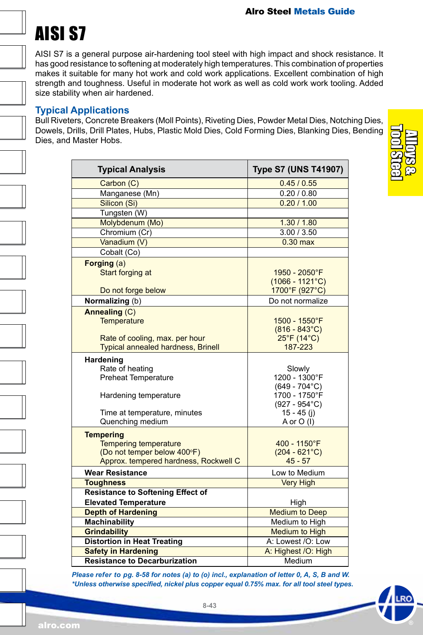# AISI S7

AISI S7 is a general purpose air-hardening tool steel with high impact and shock resistance. It has good resistance to softening at moderately high temperatures. This combination of properties makes it suitable for many hot work and cold work applications. Excellent combination of high strength and toughness. Useful in moderate hot work as well as cold work work tooling. Added size stability when air hardened.

#### **Typical Applications**

Bull Riveters, Concrete Breakers (Moll Points), Riveting Dies, Powder Metal Dies, Notching Dies, Dowels, Drills, Drill Plates, Hubs, Plastic Mold Dies, Cold Forming Dies, Blanking Dies, Bending Dies, and Master Hobs.

| <b>Typical Analysis</b>                   | <b>Type S7 (UNS T41907)</b>       |
|-------------------------------------------|-----------------------------------|
| Carbon (C)                                | 0.45/0.55                         |
| Manganese (Mn)                            | 0.20 / 0.80                       |
| Silicon (Si)                              | 0.20 / 1.00                       |
| Tungsten (W)                              |                                   |
| Molybdenum (Mo)                           | 1.30 / 1.80                       |
| Chromium (Cr)                             | 3.00 / 3.50                       |
| Vanadium (V)                              | $0.30$ max                        |
| Cobalt (Co)                               |                                   |
| Forging (a)                               |                                   |
| Start forging at                          | 1950 - 2050°F                     |
|                                           | $(1066 - 1121^{\circ}C)$          |
| Do not forge below                        | 1700°F (927°C)                    |
| Normalizing (b)                           | Do not normalize                  |
| Annealing (C)                             |                                   |
| Temperature                               | 1500 - 1550°F                     |
|                                           | $(816 - 843^{\circ}C)$            |
| Rate of cooling, max. per hour            | 25°F (14°C)                       |
| <b>Typical annealed hardness, Brinell</b> | 187-223                           |
| Hardening                                 |                                   |
| Rate of heating                           | Slowly                            |
| <b>Preheat Temperature</b>                | 1200 - 1300°F                     |
|                                           | $(649 - 704$ °C)<br>1700 - 1750°F |
| Hardening temperature                     | $(927 - 954^{\circ}C)$            |
| Time at temperature, minutes              | $15 - 45$ (i)                     |
| Quenching medium                          | A or O (I)                        |
| <b>Tempering</b>                          |                                   |
| <b>Tempering temperature</b>              | 400 - 1150°F                      |
| (Do not temper below 400°F)               | $(204 - 621^{\circ}C)$            |
| Approx. tempered hardness, Rockwell C     | $45 - 57$                         |
| <b>Wear Resistance</b>                    | Low to Medium                     |
| <b>Toughness</b>                          | <b>Very High</b>                  |
| <b>Resistance to Softening Effect of</b>  |                                   |
| <b>Elevated Temperature</b>               | High                              |
| <b>Depth of Hardening</b>                 | <b>Medium to Deep</b>             |
| <b>Machinability</b>                      | Medium to High                    |
| <b>Grindability</b>                       | <b>Medium to High</b>             |
| <b>Distortion in Heat Treating</b>        | A: Lowest /O: Low                 |
| <b>Safety in Hardening</b>                | A: Highest /O: High               |
| <b>Resistance to Decarburization</b>      | Medium                            |

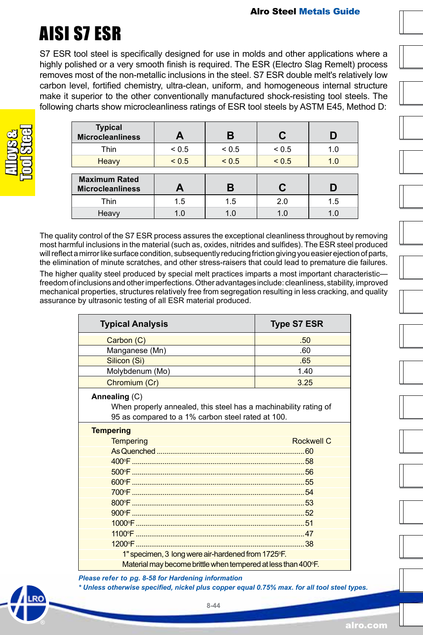# AISI S7 ESR

S7 ESR tool steel is specifically designed for use in molds and other applications where a highly polished or a very smooth finish is required. The ESR (Electro Slag Remelt) process removes most of the non-metallic inclusions in the steel. S7 ESR double melt's relatively low carbon level, fortified chemistry, ultra-clean, uniform, and homogeneous internal structure make it superior to the other conventionally manufactured shock-resisting tool steels. The following charts show microcleanliness ratings of ESR tool steels by ASTM E45, Method D:

| <b>Typical</b><br><b>Microcleanliness</b>       |            | R          | С          | D   |
|-------------------------------------------------|------------|------------|------------|-----|
| Thin                                            | ${}_{0.5}$ | ${}_{0.5}$ | ${}_{0.5}$ | 1.0 |
| Heavy                                           | < 0.5      | < 0.5      | < 0.5      | 1.0 |
| <b>Maximum Rated</b><br><b>Microcleanliness</b> | A          | R          | С          |     |
|                                                 | 1.5        | 1.5        | 2.0        | 1.5 |
| Thin                                            |            |            |            |     |

The quality control of the S7 ESR process assures the exceptional cleanliness throughout by removing most harmful inclusions in the material (such as, oxides, nitrides and sulfides). The ESR steel produced will reflect a mirror like surface condition, subsequently reducing friction giving you easier ejection of parts, the elimination of minute scratches, and other stress-raisers that could lead to premature die failures.

The higher quality steel produced by special melt practices imparts a most important characteristic freedom of inclusions and other imperfections. Other advantages include: cleanliness, stability, improved mechanical properties, structures relatively free from segregation resulting in less cracking, and quality assurance by ultrasonic testing of all ESR material produced.

| <b>Typical Analysis</b>                                                                                                                | <b>Type S7 ESR</b> |  |  |
|----------------------------------------------------------------------------------------------------------------------------------------|--------------------|--|--|
| Carbon (C)                                                                                                                             | .50                |  |  |
| Manganese (Mn)                                                                                                                         | .60                |  |  |
| Silicon (Si)                                                                                                                           | .65                |  |  |
| Molybdenum (Mo)                                                                                                                        | 1.40               |  |  |
| Chromium (Cr)                                                                                                                          | 3.25               |  |  |
| Annealing (C)<br>When properly annealed, this steel has a machinability rating of<br>95 as compared to a 1% carbon steel rated at 100. |                    |  |  |
| <b>Tempering</b>                                                                                                                       |                    |  |  |
| <b>Tempering</b>                                                                                                                       | <b>Rockwell C</b>  |  |  |
|                                                                                                                                        |                    |  |  |
|                                                                                                                                        |                    |  |  |
|                                                                                                                                        |                    |  |  |
|                                                                                                                                        |                    |  |  |
|                                                                                                                                        |                    |  |  |
|                                                                                                                                        |                    |  |  |
|                                                                                                                                        |                    |  |  |
|                                                                                                                                        |                    |  |  |
|                                                                                                                                        |                    |  |  |
|                                                                                                                                        |                    |  |  |
| 1" specimen, 3 long were air-hardened from 1725°F.                                                                                     |                    |  |  |
| Material may become brittle when tempered at less than 400°F.                                                                          |                    |  |  |

*Please refer to pg. 8-58 for Hardening information \* Unless otherwise specified, nickel plus copper equal 0.75% max. for all tool steel types.*

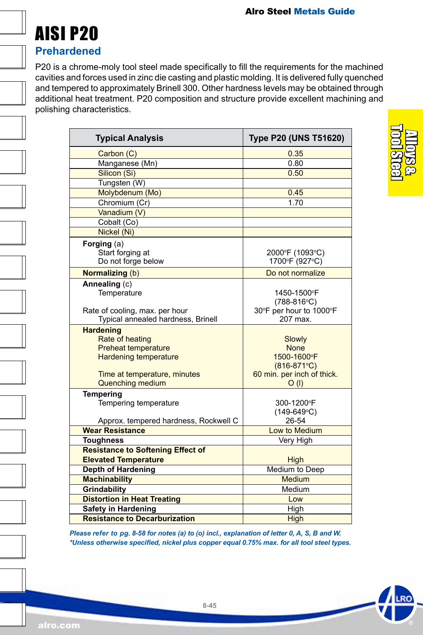

#### **Prehardened**

P20 is a chrome-moly tool steel made specifically to fill the requirements for the machined cavities and forces used in zinc die casting and plastic molding. It is delivered fully quenched and tempered to approximately Brinell 300. Other hardness levels may be obtained through additional heat treatment. P20 composition and structure provide excellent machining and polishing characteristics.

| <b>Typical Analysis</b>                                                                                                                                      | <b>Type P20 (UNS T51620)</b>                                                                 |
|--------------------------------------------------------------------------------------------------------------------------------------------------------------|----------------------------------------------------------------------------------------------|
| Carbon (C)                                                                                                                                                   | 0.35                                                                                         |
| Manganese (Mn)                                                                                                                                               | 0.80                                                                                         |
| Silicon (Si)                                                                                                                                                 | 0.50                                                                                         |
| Tungsten (W)                                                                                                                                                 |                                                                                              |
| Molybdenum (Mo)                                                                                                                                              | 0.45                                                                                         |
| Chromium (Cr)                                                                                                                                                | 1.70                                                                                         |
| Vanadium (V)                                                                                                                                                 |                                                                                              |
| Cobalt (Co)                                                                                                                                                  |                                                                                              |
| Nickel (Ni)                                                                                                                                                  |                                                                                              |
| Forging (a)<br>Start forging at<br>Do not forge below                                                                                                        | 2000°F (1093°C)<br>1700°F (927°C)                                                            |
| Normalizing (b)                                                                                                                                              | Do not normalize                                                                             |
| Annealing (c)<br>Temperature<br>Rate of cooling, max. per hour<br>Typical annealed hardness, Brinell                                                         | 1450-1500°F<br>$(788-816^{\circ}C)$<br>30°F per hour to 1000°F<br>207 max                    |
| <b>Hardening</b><br>Rate of heating<br><b>Preheat temperature</b><br><b>Hardening temperature</b><br>Time at temperature, minutes<br><b>Quenching medium</b> | Slowly<br><b>None</b><br>1500-1600°F<br>$(816-871$ °C)<br>60 min. per inch of thick.<br>O(1) |
| <b>Tempering</b><br>Tempering temperature<br>Approx. tempered hardness, Rockwell C                                                                           | 300-1200°F<br>$(149-649^{\circ}C)$<br>26-54                                                  |
| <b>Wear Resistance</b>                                                                                                                                       | Low to Medium                                                                                |
| <b>Toughness</b>                                                                                                                                             | Very High                                                                                    |
| <b>Resistance to Softening Effect of</b>                                                                                                                     |                                                                                              |
| <b>Elevated Temperature</b>                                                                                                                                  | High                                                                                         |
| <b>Depth of Hardening</b>                                                                                                                                    | Medium to Deep                                                                               |
| <b>Machinability</b>                                                                                                                                         | <b>Medium</b>                                                                                |
| Grindability                                                                                                                                                 | Medium                                                                                       |
| <b>Distortion in Heat Treating</b>                                                                                                                           | Low                                                                                          |
| <b>Safety in Hardening</b>                                                                                                                                   | High                                                                                         |
| <b>Resistance to Decarburization</b>                                                                                                                         | High                                                                                         |

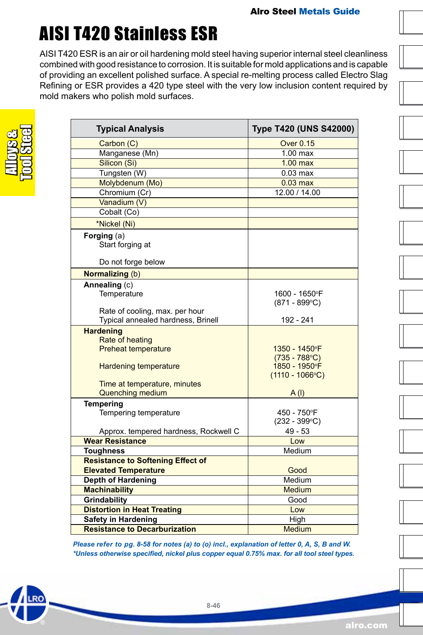# AISI T420 Stainless ESR

AISI T420 ESR is an air or oil hardening mold steel having superior internal steel cleanliness combined with good resistance to corrosion. It is suitable for mold applications and is capable of providing an excellent polished surface. A special re-melting process called Electro Slag Refining or ESR provides a 420 type steel with the very low inclusion content required by mold makers who polish mold surfaces.

| <b>Typical Analysis</b>                                                                                                                                      | Type T420 (UNS S42000)                                                                       |
|--------------------------------------------------------------------------------------------------------------------------------------------------------------|----------------------------------------------------------------------------------------------|
| Carbon (C)                                                                                                                                                   | <b>Over 0.15</b>                                                                             |
| Manganese (Mn)                                                                                                                                               | $1.00$ max                                                                                   |
| Silicon (Si)                                                                                                                                                 | $1.00$ max                                                                                   |
| Tungsten (W)                                                                                                                                                 | $0.03$ max                                                                                   |
| Molybdenum (Mo)                                                                                                                                              | $0.03 \text{ max}$                                                                           |
| Chromium (Cr)                                                                                                                                                | 12.00 / 14.00                                                                                |
| Vanadium (V)                                                                                                                                                 |                                                                                              |
| Cobalt (Co)                                                                                                                                                  |                                                                                              |
| *Nickel (Ni)                                                                                                                                                 |                                                                                              |
| Forging (a)<br>Start forging at                                                                                                                              |                                                                                              |
| Do not forge below                                                                                                                                           |                                                                                              |
| <b>Normalizing (b)</b>                                                                                                                                       |                                                                                              |
| Annealing (c)                                                                                                                                                |                                                                                              |
| Temperature                                                                                                                                                  | 1600 - 1650°F<br>$(871 - 899^{\circ}C)$                                                      |
| Rate of cooling, max. per hour<br>Typical annealed hardness, Brinell                                                                                         | 192 - 241                                                                                    |
| <b>Hardening</b><br>Rate of heating<br><b>Preheat temperature</b><br><b>Hardening temperature</b><br>Time at temperature, minutes<br><b>Quenching medium</b> | 1350 - 1450°F<br>$(735 - 788^{\circ}C)$<br>1850 - 1950°F<br>$(1110 - 1066^{\circ}C)$<br>A(1) |
| <b>Tempering</b><br>Tempering temperature<br>Approx. tempered hardness, Rockwell C                                                                           | 450 - 750°F<br>$(232 - 399^{\circ}C)$<br>$49 - 53$                                           |
| <b>Wear Resistance</b>                                                                                                                                       | Low                                                                                          |
| <b>Toughness</b>                                                                                                                                             | Medium                                                                                       |
| <b>Resistance to Softening Effect of</b>                                                                                                                     |                                                                                              |
| <b>Elevated Temperature</b>                                                                                                                                  | Good                                                                                         |
| <b>Depth of Hardening</b>                                                                                                                                    | Medium                                                                                       |
| <b>Machinability</b>                                                                                                                                         | Medium                                                                                       |
| Grindability                                                                                                                                                 | Good                                                                                         |
| <b>Distortion in Heat Treating</b>                                                                                                                           | Low                                                                                          |
| <b>Safety in Hardening</b>                                                                                                                                   | High                                                                                         |
| <b>Resistance to Decarburization</b>                                                                                                                         | <b>Medium</b>                                                                                |

*Please refer to pg. 8-58 for notes (a) to (o) incl., explanation of letter 0, A, S, B and W. \*Unless otherwise specified, nickel plus copper equal 0.75% max. for all tool steel types.*

**8-46**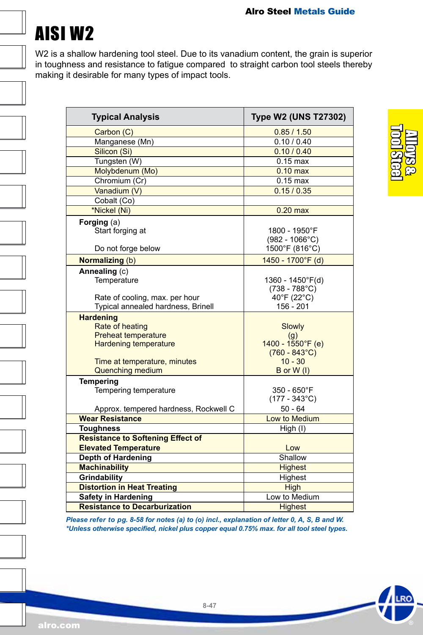

W2 is a shallow hardening tool steel. Due to its vanadium content, the grain is superior in toughness and resistance to fatigue compared to straight carbon tool steels thereby making it desirable for many types of impact tools.

| <b>Typical Analysis</b>                                                                                                                               | <b>Type W2 (UNS T27302)</b>                                                             |
|-------------------------------------------------------------------------------------------------------------------------------------------------------|-----------------------------------------------------------------------------------------|
| Carbon (C)                                                                                                                                            | 0.85/1.50                                                                               |
| Manganese (Mn)                                                                                                                                        | 0.10 / 0.40                                                                             |
| Silicon (Si)                                                                                                                                          | 0.10 / 0.40                                                                             |
| Tungsten (W)                                                                                                                                          | $0.15$ max                                                                              |
| Molybdenum (Mo)                                                                                                                                       | $0.10 \text{ max}$                                                                      |
| Chromium (Cr)                                                                                                                                         | $0.15$ max                                                                              |
| Vanadium (V)                                                                                                                                          | 0.15 / 0.35                                                                             |
| Cobalt (Co)                                                                                                                                           |                                                                                         |
| *Nickel (Ni)                                                                                                                                          | $0.20$ max                                                                              |
| Forging (a)<br>Start forging at<br>Do not forge below                                                                                                 | 1800 - 1950°F<br>$(982 - 1066^{\circ}C)$<br>1500°F (816°C)                              |
| <b>Normalizing (b)</b>                                                                                                                                | 1450 - 1700°F (d)                                                                       |
| Annealing (c)<br>Temperature<br>Rate of cooling, max. per hour<br>Typical annealed hardness, Brinell                                                  | 1360 - 1450°F(d)<br>$(738 - 788^{\circ}C)$<br>40°F (22°C)<br>$156 - 201$                |
| <b>Hardening</b><br>Rate of heating<br><b>Preheat temperature</b><br><b>Hardening temperature</b><br>Time at temperature, minutes<br>Quenching medium | Slowly<br>(q)<br>1400 - 1550°F (e)<br>$(760 - 843^{\circ}C)$<br>$10 - 30$<br>B or W (I) |
| <b>Tempering</b><br>Tempering temperature<br>Approx. tempered hardness, Rockwell C                                                                    | $350 - 650$ °F<br>$(177 - 343^{\circ}C)$<br>$50 - 64$                                   |
| <b>Wear Resistance</b>                                                                                                                                | Low to Medium                                                                           |
| <b>Toughness</b>                                                                                                                                      | High (I)                                                                                |
| <b>Resistance to Softening Effect of</b>                                                                                                              |                                                                                         |
| <b>Elevated Temperature</b>                                                                                                                           | Low                                                                                     |
| <b>Depth of Hardening</b>                                                                                                                             | Shallow                                                                                 |
| <b>Machinability</b>                                                                                                                                  | <b>Highest</b>                                                                          |
| Grindability                                                                                                                                          | Highest                                                                                 |
| <b>Distortion in Heat Treating</b>                                                                                                                    | <b>High</b>                                                                             |
| <b>Safety in Hardening</b>                                                                                                                            | Low to Medium                                                                           |
| <b>Resistance to Decarburization</b>                                                                                                                  | <b>Highest</b>                                                                          |

Alloys & Tool Steel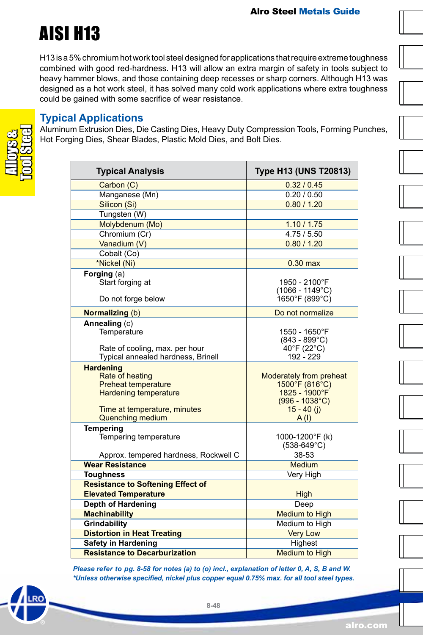### AISI H13

H13 is a 5% chromium hot work tool steel designed for applications that require extreme toughness combined with good red-hardness. H13 will allow an extra margin of safety in tools subject to heavy hammer blows, and those containing deep recesses or sharp corners. Although H13 was designed as a hot work steel, it has solved many cold work applications where extra toughness could be gained with some sacrifice of wear resistance.

#### **Typical Applications**

Aluminum Extrusion Dies, Die Casting Dies, Heavy Duty Compression Tools, Forming Punches, Hot Forging Dies, Shear Blades, Plastic Mold Dies, and Bolt Dies.

| <b>Typical Analysis</b>                                                                                                                                      | Type H13 (UNS T20813)                                                                                                                        |
|--------------------------------------------------------------------------------------------------------------------------------------------------------------|----------------------------------------------------------------------------------------------------------------------------------------------|
| Carbon (C)                                                                                                                                                   | 0.32 / 0.45                                                                                                                                  |
| Manganese (Mn)                                                                                                                                               | 0.20/0.50                                                                                                                                    |
| Silicon (Si)                                                                                                                                                 | 0.80 / 1.20                                                                                                                                  |
| Tungsten (W)                                                                                                                                                 |                                                                                                                                              |
| Molybdenum (Mo)                                                                                                                                              | 1.10 / 1.75                                                                                                                                  |
| Chromium (Cr)                                                                                                                                                | 4.75/5.50                                                                                                                                    |
| Vanadium (V)                                                                                                                                                 | 0.80 / 1.20                                                                                                                                  |
| Cobalt (Co)                                                                                                                                                  |                                                                                                                                              |
| *Nickel (Ni)                                                                                                                                                 | $0.30$ max                                                                                                                                   |
| Forging (a)<br>Start forging at<br>Do not forge below                                                                                                        | 1950 - 2100°F<br>$(1066 - 1149^{\circ}C)$<br>1650°F (899°C)                                                                                  |
| <b>Normalizing (b)</b>                                                                                                                                       | Do not normalize                                                                                                                             |
| Annealing (c)<br>Temperature<br>Rate of cooling, max. per hour<br>Typical annealed hardness, Brinell                                                         | 1550 - 1650°F<br>$(843 - 899^{\circ}C)$<br>40°F (22°C)<br>$192 - 229$                                                                        |
| <b>Hardening</b><br>Rate of heating<br><b>Preheat temperature</b><br><b>Hardening temperature</b><br>Time at temperature, minutes<br><b>Quenching medium</b> | Moderately from preheat<br>$1500^{\circ}$ F (816 $^{\circ}$ C)<br>$1825 - 1900^{\circ}F$<br>$(996 - 1038^{\circ}C)$<br>$15 - 40$ (j)<br>A(1) |
| <b>Tempering</b><br>Tempering temperature<br>Approx. tempered hardness, Rockwell C                                                                           | 1000-1200°F (k)<br>$(538-649^{\circ}C)$<br>38-53                                                                                             |
| <b>Wear Resistance</b>                                                                                                                                       | Medium                                                                                                                                       |
| <b>Toughness</b>                                                                                                                                             | Very High                                                                                                                                    |
| <b>Resistance to Softening Effect of</b>                                                                                                                     |                                                                                                                                              |
| <b>Elevated Temperature</b>                                                                                                                                  | High                                                                                                                                         |
| <b>Depth of Hardening</b>                                                                                                                                    | Deep                                                                                                                                         |
| <b>Machinability</b>                                                                                                                                         | <b>Medium to High</b>                                                                                                                        |
| Grindability                                                                                                                                                 | Medium to High                                                                                                                               |
| <b>Distortion in Heat Treating</b>                                                                                                                           | <b>Very Low</b>                                                                                                                              |
| <b>Safety in Hardening</b>                                                                                                                                   | Highest                                                                                                                                      |
| <b>Resistance to Decarburization</b>                                                                                                                         | <b>Medium to High</b>                                                                                                                        |

*Please refer to pg. 8-58 for notes (a) to (o) incl., explanation of letter 0, A, S, B and W. \*Unless otherwise specified, nickel plus copper equal 0.75% max. for all tool steel types.*

**8-48**

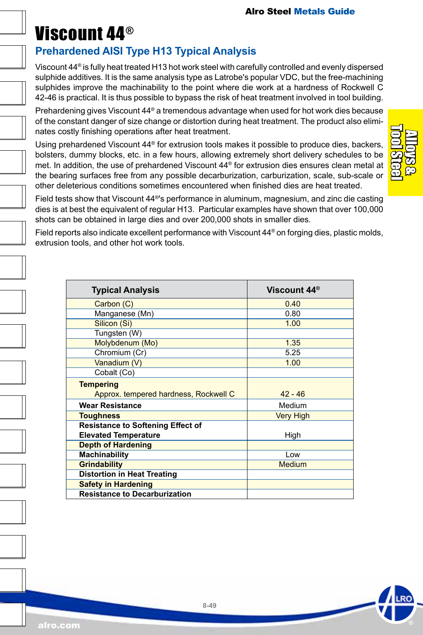### Viscount 44®

### **Prehardened AISI Type H13 Typical Analysis**

Viscount 44® is fully heat treated H13 hot work steel with carefully controlled and evenly dispersed sulphide additives. It is the same analysis type as Latrobe's popular VDC, but the free-machining sulphides improve the machinability to the point where die work at a hardness of Rockwell C 42-46 is practical. It is thus possible to bypass the risk of heat treatment involved in tool building.

Prehardening gives Viscount 44® a tremendous advantage when used for hot work dies because of the constant danger of size change or distortion during heat treatment. The product also eliminates costly finishing operations after heat treatment.

Using prehardened Viscount 44® for extrusion tools makes it possible to produce dies, backers, bolsters, dummy blocks, etc. in a few hours, allowing extremely short delivery schedules to be met. In addition, the use of prehardened Viscount 44® for extrusion dies ensures clean metal at the bearing surfaces free from any possible decarburization, carburization, scale, sub-scale or other deleterious conditions sometimes encountered when finished dies are heat treated.

Field tests show that Viscount 44®'s performance in aluminum, magnesium, and zinc die casting dies is at best the equivalent of regular H13. Particular examples have shown that over 100,000 shots can be obtained in large dies and over 200,000 shots in smaller dies.

Field reports also indicate excellent performance with Viscount 44® on forging dies, plastic molds, extrusion tools, and other hot work tools.

| <b>Typical Analysis</b>                  | Viscount 44 <sup>®</sup> |
|------------------------------------------|--------------------------|
| Carbon (C)                               | 0.40                     |
| Manganese (Mn)                           | 0.80                     |
| Silicon (Si)                             | 1.00                     |
| Tungsten (W)                             |                          |
| Molybdenum (Mo)                          | 1.35                     |
| Chromium (Cr)                            | 5.25                     |
| Vanadium (V)                             | 1.00                     |
| Cobalt (Co)                              |                          |
| <b>Tempering</b>                         |                          |
| Approx. tempered hardness, Rockwell C    | $42 - 46$                |
| <b>Wear Resistance</b>                   | Medium                   |
| <b>Toughness</b>                         | <b>Very High</b>         |
| <b>Resistance to Softening Effect of</b> |                          |
| <b>Elevated Temperature</b>              | High                     |
| <b>Depth of Hardening</b>                |                          |
| Machinability                            | Low                      |
| <b>Grindability</b>                      | <b>Medium</b>            |
| <b>Distortion in Heat Treating</b>       |                          |
| <b>Safety in Hardening</b>               |                          |
| <b>Resistance to Decarburization</b>     |                          |

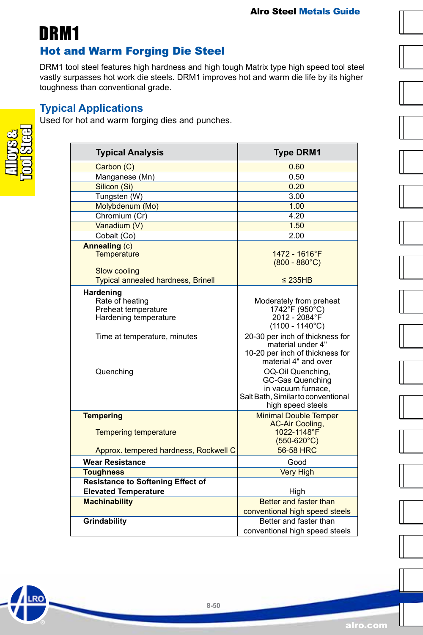DRM1

### Hot and Warm Forging Die Steel

DRM1 tool steel features high hardness and high tough Matrix type high speed tool steel vastly surpasses hot work die steels. DRM1 improves hot and warm die life by its higher toughness than conventional grade.

#### **Typical Applications**

Used for hot and warm forging dies and punches.



**RO** 

| <b>Typical Analysis</b>                                                                                                   | <b>Type DRM1</b>                                                                                                                                                                                                                                                                                                                           |
|---------------------------------------------------------------------------------------------------------------------------|--------------------------------------------------------------------------------------------------------------------------------------------------------------------------------------------------------------------------------------------------------------------------------------------------------------------------------------------|
| Carbon (C)                                                                                                                | 0.60                                                                                                                                                                                                                                                                                                                                       |
| Manganese (Mn)                                                                                                            | 0.50                                                                                                                                                                                                                                                                                                                                       |
| Silicon (Si)                                                                                                              | 0.20                                                                                                                                                                                                                                                                                                                                       |
| Tungsten (W)                                                                                                              | 3.00                                                                                                                                                                                                                                                                                                                                       |
| Molybdenum (Mo)                                                                                                           | 1.00                                                                                                                                                                                                                                                                                                                                       |
| Chromium (Cr)                                                                                                             | 4.20                                                                                                                                                                                                                                                                                                                                       |
| Vanadium (V)                                                                                                              | 1.50                                                                                                                                                                                                                                                                                                                                       |
| Cobalt (Co)                                                                                                               | 2.00                                                                                                                                                                                                                                                                                                                                       |
| Annealing (c)<br>Temperature<br>Slow cooling                                                                              | 1472 - 1616°F<br>$(800 - 880^{\circ}C)$                                                                                                                                                                                                                                                                                                    |
| <b>Typical annealed hardness, Brinell</b>                                                                                 | $\leq$ 235HB                                                                                                                                                                                                                                                                                                                               |
| Hardening<br>Rate of heating<br>Preheat temperature<br>Hardening temperature<br>Time at temperature, minutes<br>Quenching | Moderately from preheat<br>1742°F (950°C)<br>2012 - 2084°F<br>$(1100 - 1140^{\circ}C)$<br>20-30 per inch of thickness for<br>material under 4"<br>10-20 per inch of thickness for<br>material 4" and over<br>OQ-Oil Quenching,<br><b>GC-Gas Quenching</b><br>in vacuum furnace.<br>Salt Bath, Similar to conventional<br>high speed steels |
| <b>Tempering</b><br><b>Tempering temperature</b>                                                                          | <b>Minimal Double Temper</b><br><b>AC-Air Cooling,</b><br>1022-1148°F<br>$(550-620^{\circ}C)$                                                                                                                                                                                                                                              |
| Approx. tempered hardness, Rockwell C                                                                                     | 56-58 HRC                                                                                                                                                                                                                                                                                                                                  |
| <b>Wear Resistance</b>                                                                                                    | Good                                                                                                                                                                                                                                                                                                                                       |
| <b>Toughness</b>                                                                                                          | <b>Very High</b>                                                                                                                                                                                                                                                                                                                           |
| <b>Resistance to Softening Effect of</b><br><b>Elevated Temperature</b>                                                   | High                                                                                                                                                                                                                                                                                                                                       |
| <b>Machinability</b>                                                                                                      | Better and faster than                                                                                                                                                                                                                                                                                                                     |
|                                                                                                                           | conventional high speed steels                                                                                                                                                                                                                                                                                                             |
| Grindability                                                                                                              | Better and faster than                                                                                                                                                                                                                                                                                                                     |
|                                                                                                                           | conventional high speed steels                                                                                                                                                                                                                                                                                                             |

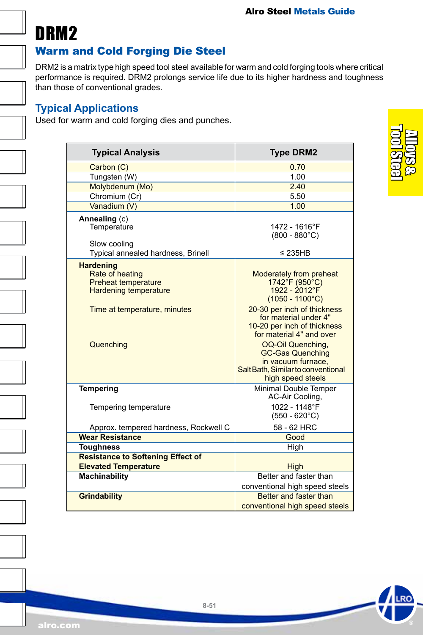

### Warm and Cold Forging Die Steel

DRM2 is a matrix type high speed tool steel available for warm and cold forging tools where critical performance is required. DRM2 prolongs service life due to its higher hardness and toughness than those of conventional grades.

#### **Typical Applications**

Used for warm and cold forging dies and punches.

| <b>Typical Analysis</b>                                                                                                                               | <b>Type DRM2</b>                                                                                                                                                                                                                                                                                                                                                          |
|-------------------------------------------------------------------------------------------------------------------------------------------------------|---------------------------------------------------------------------------------------------------------------------------------------------------------------------------------------------------------------------------------------------------------------------------------------------------------------------------------------------------------------------------|
| Carbon (C)                                                                                                                                            | 0.70                                                                                                                                                                                                                                                                                                                                                                      |
| Tungsten (W)                                                                                                                                          | 1.00                                                                                                                                                                                                                                                                                                                                                                      |
| Molybdenum (Mo)                                                                                                                                       | 2.40                                                                                                                                                                                                                                                                                                                                                                      |
| Chromium (Cr)                                                                                                                                         | 5.50                                                                                                                                                                                                                                                                                                                                                                      |
| Vanadium (V)                                                                                                                                          | 1.00                                                                                                                                                                                                                                                                                                                                                                      |
| Annealing (c)<br>Temperature<br>Slow cooling<br>Typical annealed hardness, Brinell                                                                    | 1472 - 1616°F<br>$(800 - 880^{\circ}C)$<br>$\leq$ 235HB                                                                                                                                                                                                                                                                                                                   |
| <b>Hardening</b><br><b>Rate of heating</b><br><b>Preheat temperature</b><br><b>Hardening temperature</b><br>Time at temperature, minutes<br>Quenching | <b>Moderately from preheat</b><br>$1742^{\circ}$ F (950 $^{\circ}$ C)<br>$1922 - 2012$ °F<br>$(1050 - 1100^{\circ}C)$<br>20-30 per inch of thickness<br>for material under 4"<br>10-20 per inch of thickness<br>for material 4" and over<br>OQ-Oil Quenching.<br><b>GC-Gas Quenching</b><br>in vacuum furnace,<br>Salt Bath, Similar to conventional<br>high speed steels |
| <b>Tempering</b>                                                                                                                                      | Minimal Double Temper<br>AC-Air Cooling,                                                                                                                                                                                                                                                                                                                                  |
| Tempering temperature                                                                                                                                 | 1022 - 1148°F<br>$(550 - 620^{\circ}C)$                                                                                                                                                                                                                                                                                                                                   |
| Approx. tempered hardness, Rockwell C                                                                                                                 | 58 - 62 HRC                                                                                                                                                                                                                                                                                                                                                               |
| <b>Wear Resistance</b>                                                                                                                                | Good                                                                                                                                                                                                                                                                                                                                                                      |
| <b>Toughness</b>                                                                                                                                      | High                                                                                                                                                                                                                                                                                                                                                                      |
| <b>Resistance to Softening Effect of</b><br><b>Elevated Temperature</b>                                                                               |                                                                                                                                                                                                                                                                                                                                                                           |
| Machinability                                                                                                                                         | High<br>Better and faster than                                                                                                                                                                                                                                                                                                                                            |
|                                                                                                                                                       | conventional high speed steels                                                                                                                                                                                                                                                                                                                                            |
| <b>Grindability</b>                                                                                                                                   | <b>Better and faster than</b>                                                                                                                                                                                                                                                                                                                                             |
|                                                                                                                                                       | conventional high speed steels                                                                                                                                                                                                                                                                                                                                            |
|                                                                                                                                                       |                                                                                                                                                                                                                                                                                                                                                                           |



**RC**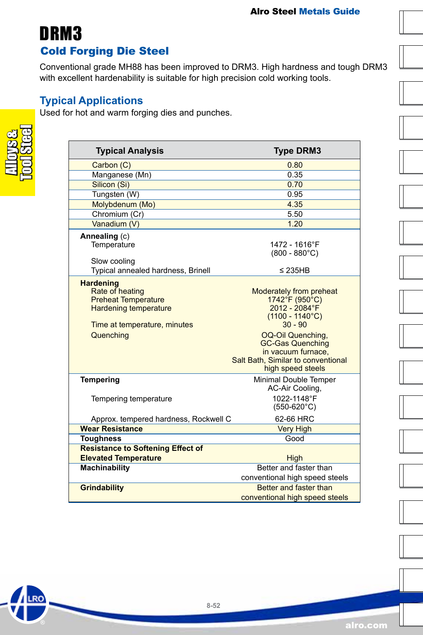### Cold Forging Die Steel DRM3

Conventional grade MH88 has been improved to DRM3. High hardness and tough DRM3 with excellent hardenability is suitable for high precision cold working tools.

#### **Typical Applications**

Used for hot and warm forging dies and punches.



.RO

| <b>Typical Analysis</b>                                                                                                           | <b>Type DRM3</b>                                                                                                                     |
|-----------------------------------------------------------------------------------------------------------------------------------|--------------------------------------------------------------------------------------------------------------------------------------|
| Carbon (C)                                                                                                                        | 0.80                                                                                                                                 |
| Manganese (Mn)                                                                                                                    | 0.35                                                                                                                                 |
| Silicon (Si)                                                                                                                      | 0.70                                                                                                                                 |
| Tungsten (W)                                                                                                                      | 0.95                                                                                                                                 |
| Molybdenum (Mo)                                                                                                                   | 4.35                                                                                                                                 |
| Chromium (Cr)                                                                                                                     | 5.50                                                                                                                                 |
| Vanadium (V)                                                                                                                      | 1.20                                                                                                                                 |
| Annealing (c)<br>Temperature<br>Slow cooling                                                                                      | 1472 - 1616°F<br>$(800 - 880^{\circ}C)$                                                                                              |
| Typical annealed hardness, Brinell                                                                                                | ≤ 235HB                                                                                                                              |
| <b>Hardening</b><br>Rate of heating<br><b>Preheat Temperature</b><br><b>Hardening temperature</b><br>Time at temperature, minutes | <b>Moderately from preheat</b><br>1742°F (950°C)<br>$2012 - 2084$ °F<br>$(1100 - 1140^{\circ}C)$<br>$30 - 90$                        |
| Quenching                                                                                                                         | <b>OQ-Oil Quenching,</b><br><b>GC-Gas Quenching</b><br>in vacuum furnace,<br>Salt Bath, Similar to conventional<br>high speed steels |
| <b>Tempering</b>                                                                                                                  | Minimal Double Temper<br>AC-Air Cooling,                                                                                             |
| Tempering temperature                                                                                                             | 1022-1148°F<br>$(550-620^{\circ}C)$                                                                                                  |
| Approx. tempered hardness, Rockwell C                                                                                             | 62-66 HRC                                                                                                                            |
| <b>Wear Resistance</b>                                                                                                            | <b>Very High</b>                                                                                                                     |
| <b>Toughness</b>                                                                                                                  | Good                                                                                                                                 |
| <b>Resistance to Softening Effect of</b>                                                                                          |                                                                                                                                      |
| <b>Elevated Temperature</b>                                                                                                       | High                                                                                                                                 |
| <b>Machinability</b>                                                                                                              | Better and faster than<br>conventional high speed steels                                                                             |
| <b>Grindability</b>                                                                                                               | Better and faster than<br>conventional high speed steels                                                                             |

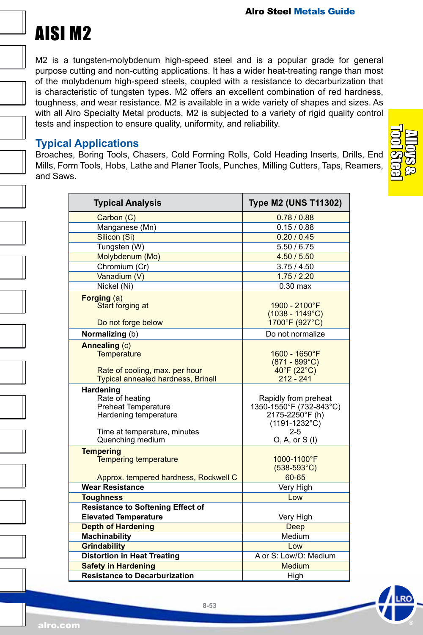# AISI M2

M2 is a tungsten-molybdenum high-speed steel and is a popular grade for general purpose cutting and non-cutting applications. It has a wider heat-treating range than most of the molybdenum high-speed steels, coupled with a resistance to decarburization that is characteristic of tungsten types. M2 offers an excellent combination of red hardness, toughness, and wear resistance. M2 is available in a wide variety of shapes and sizes. As with all Alro Specialty Metal products, M2 is subjected to a variety of rigid quality control tests and inspection to ensure quality, uniformity, and reliability.

#### **Typical Applications**

Broaches, Boring Tools, Chasers, Cold Forming Rolls, Cold Heading Inserts, Drills, End Mills, Form Tools, Hobs, Lathe and Planer Tools, Punches, Milling Cutters, Taps, Reamers, and Saws.

| <b>Typical Analysis</b>                                                                                                                 | <b>Type M2 (UNS T11302)</b>                                                                                                           |
|-----------------------------------------------------------------------------------------------------------------------------------------|---------------------------------------------------------------------------------------------------------------------------------------|
| Carbon (C)                                                                                                                              | 0.78/0.88                                                                                                                             |
| Manganese (Mn)                                                                                                                          | 0.15/0.88                                                                                                                             |
| Silicon (Si)                                                                                                                            | 0.20 / 0.45                                                                                                                           |
| Tungsten (W)                                                                                                                            | 5.50 / 6.75                                                                                                                           |
| Molybdenum (Mo)                                                                                                                         | 4.50 / 5.50                                                                                                                           |
| Chromium (Cr)                                                                                                                           | 3.75/4.50                                                                                                                             |
| Vanadium (V)                                                                                                                            | 1.75/2.20                                                                                                                             |
| Nickel (Ni)                                                                                                                             | $0.30$ max                                                                                                                            |
| Forging (a)<br>Start forging at<br>Do not forge below                                                                                   | 1900 - 2100°F<br>$(1038 - 1149^{\circ}C)$<br>1700°F (927°C)                                                                           |
| Normalizing (b)                                                                                                                         | Do not normalize                                                                                                                      |
| Annealing (c)<br><b>Temperature</b><br>Rate of cooling, max. per hour<br><b>Typical annealed hardness, Brinell</b>                      | 1600 - 1650°F<br>$(871 - 899^{\circ}C)$<br>$40^{\circ}$ F (22 $^{\circ}$ C)<br>$212 - 241$                                            |
| Hardening<br>Rate of heating<br><b>Preheat Temperature</b><br>Hardening temperature<br>Time at temperature, minutes<br>Quenching medium | Rapidly from preheat<br>1350-1550°F (732-843°C)<br>2175-2250°F (h)<br>$(1191 - 1232^{\circ} \text{C})$<br>$2 - 5$<br>$O, A, or S$ (I) |
| <b>Tempering</b><br><b>Tempering temperature</b><br>Approx. tempered hardness, Rockwell C                                               | 1000-1100°F<br>$(538-593^{\circ}C)$<br>60-65                                                                                          |
| <b>Wear Resistance</b>                                                                                                                  | Very High                                                                                                                             |
| <b>Toughness</b>                                                                                                                        | Low                                                                                                                                   |
| <b>Resistance to Softening Effect of</b>                                                                                                |                                                                                                                                       |
| <b>Elevated Temperature</b>                                                                                                             | Very High                                                                                                                             |
| <b>Depth of Hardening</b>                                                                                                               | Deep                                                                                                                                  |
| <b>Machinability</b>                                                                                                                    | Medium                                                                                                                                |
| <b>Grindability</b>                                                                                                                     | Low                                                                                                                                   |
| <b>Distortion in Heat Treating</b>                                                                                                      | A or S: Low/O: Medium                                                                                                                 |
| <b>Safety in Hardening</b>                                                                                                              | <b>Medium</b>                                                                                                                         |
| <b>Resistance to Decarburization</b>                                                                                                    | High                                                                                                                                  |

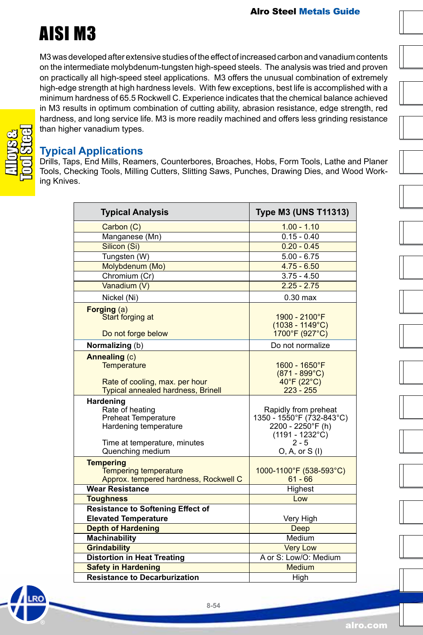

M3 was developed after extensive studies of the effect of increased carbon and vanadium contents on the intermediate molybdenum-tungsten high-speed steels. The analysis was tried and proven on practically all high-speed steel applications. M3 offers the unusual combination of extremely high-edge strength at high hardness levels. With few exceptions, best life is accomplished with a minimum hardness of 65.5 Rockwell C. Experience indicates that the chemical balance achieved in M3 results in optimum combination of cutting ability, abrasion resistance, edge strength, red hardness, and long service life. M3 is more readily machined and offers less grinding resistance than higher vanadium types.

#### **Typical Applications**

Drills, Taps, End Mills, Reamers, Counterbores, Broaches, Hobs, Form Tools, Lathe and Planer Tools, Checking Tools, Milling Cutters, Slitting Saws, Punches, Drawing Dies, and Wood Working Knives.

| <b>Typical Analysis</b>                                                                                                                 | <b>Type M3 (UNS T11313)</b>                                                                                                               |
|-----------------------------------------------------------------------------------------------------------------------------------------|-------------------------------------------------------------------------------------------------------------------------------------------|
| Carbon (C)                                                                                                                              | $1.00 - 1.10$                                                                                                                             |
| Manganese (Mn)                                                                                                                          | $0.15 - 0.40$                                                                                                                             |
| Silicon (Si)                                                                                                                            | $0.20 - 0.45$                                                                                                                             |
| Tungsten (W)                                                                                                                            | $5.00 - 6.75$                                                                                                                             |
| Molybdenum (Mo)                                                                                                                         | $4.75 - 6.50$                                                                                                                             |
| Chromium (Cr)                                                                                                                           | $3.75 - 4.50$                                                                                                                             |
| Vanadium (V)                                                                                                                            | $2.25 - 2.75$                                                                                                                             |
| Nickel (Ni)                                                                                                                             | $0.30$ max                                                                                                                                |
| Forging (a)<br>Start forging at<br>Do not forge below                                                                                   | 1900 - 2100°F<br>$(1038 - 1149^{\circ}C)$<br>1700°F (927°C)                                                                               |
| Normalizing (b)                                                                                                                         | Do not normalize                                                                                                                          |
| Annealing (c)<br><b>Temperature</b><br>Rate of cooling, max. per hour<br><b>Typical annealed hardness, Brinell</b>                      | 1600 - 1650°F<br>$(871 - 899^{\circ}C)$<br>$40^{\circ}$ F (22 $^{\circ}$ C)<br>$223 - 255$                                                |
| Hardening<br>Rate of heating<br><b>Preheat Temperature</b><br>Hardening temperature<br>Time at temperature, minutes<br>Quenching medium | Rapidly from preheat<br>1350 - 1550°F (732-843°C)<br>2200 - 2250°F (h)<br>$(1191 - 1232^{\circ} \text{C})$<br>$2 - 5$<br>$O, A, or S$ (I) |
| <b>Tempering</b><br><b>Tempering temperature</b><br>Approx. tempered hardness, Rockwell C                                               | 1000-1100°F (538-593°C)<br>$61 - 66$                                                                                                      |
| <b>Wear Resistance</b>                                                                                                                  | Highest                                                                                                                                   |
| <b>Toughness</b>                                                                                                                        | Low                                                                                                                                       |
| <b>Resistance to Softening Effect of</b><br><b>Elevated Temperature</b>                                                                 | Very High                                                                                                                                 |
| <b>Depth of Hardening</b>                                                                                                               | Deep                                                                                                                                      |
| <b>Machinability</b>                                                                                                                    | Medium                                                                                                                                    |
| <b>Grindability</b>                                                                                                                     | <b>Very Low</b>                                                                                                                           |
| <b>Distortion in Heat Treating</b>                                                                                                      | A or S: Low/O: Medium                                                                                                                     |
| <b>Safety in Hardening</b>                                                                                                              | <b>Medium</b>                                                                                                                             |
| <b>Resistance to Decarburization</b>                                                                                                    | High                                                                                                                                      |

Alloys & Tool Steel

**8-54**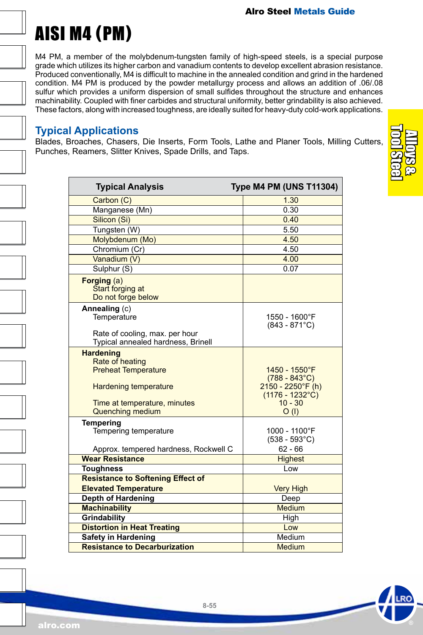# AISI M4 (PM)

M4 PM, a member of the molybdenum-tungsten family of high-speed steels, is a special purpose grade which utilizes its higher carbon and vanadium contents to develop excellent abrasion resistance. Produced conventionally, M4 is difficult to machine in the annealed condition and grind in the hardened condition. M4 PM is produced by the powder metallurgy process and allows an addition of .06/.08 sulfur which provides a uniform dispersion of small sulfides throughout the structure and enhances machinability. Coupled with finer carbides and structural uniformity, better grindability is also achieved. These factors, along with increased toughness, are ideally suited for heavy-duty cold-work applications.

#### **Typical Applications**

Blades, Broaches, Chasers, Die Inserts, Form Tools, Lathe and Planer Tools, Milling Cutters, Punches, Reamers, Slitter Knives, Spade Drills, and Taps.

| <b>Typical Analysis</b>                                              | <b>Type M4 PM (UNS T11304)</b>                                  |
|----------------------------------------------------------------------|-----------------------------------------------------------------|
| Carbon (C)                                                           | 1.30                                                            |
| Manganese (Mn)                                                       | 0.30                                                            |
| Silicon (Si)                                                         | 0.40                                                            |
| Tungsten (W)                                                         | 5.50                                                            |
| Molybdenum (Mo)                                                      | 4.50                                                            |
| Chromium (Cr)                                                        | 4.50                                                            |
| Vanadium (V)                                                         | 4.00                                                            |
| Sulphur (S)                                                          | 0.07                                                            |
| Forging (a)<br>Start forging at<br>Do not forge below                |                                                                 |
| Annealing (c)                                                        |                                                                 |
| Temperature                                                          | 1550 - 1600°F<br>$(843 - 871^{\circ}C)$                         |
| Rate of cooling, max. per hour<br>Typical annealed hardness, Brinell |                                                                 |
| <b>Hardening</b><br>Rate of heating                                  |                                                                 |
| <b>Preheat Temperature</b><br><b>Hardening temperature</b>           | 1450 - 1550°F<br>$(788 - 843^{\circ}C)$<br>$2150 - 2250$ °F (h) |
| Time at temperature, minutes<br><b>Quenching medium</b>              | $(1176 - 1232^{\circ}$ C)<br>$10 - 30$<br>O(1)                  |
| <b>Tempering</b><br>Tempering temperature                            | 1000 - 1100°F<br>$(538 - 593^{\circ}C)$                         |
| Approx. tempered hardness, Rockwell C                                | $62 - 66$                                                       |
| <b>Wear Resistance</b>                                               | <b>Highest</b>                                                  |
| <b>Toughness</b>                                                     | Low                                                             |
| <b>Resistance to Softening Effect of</b>                             |                                                                 |
| <b>Elevated Temperature</b>                                          | <b>Very High</b>                                                |
| <b>Depth of Hardening</b>                                            | Deep<br><b>Medium</b>                                           |
| <b>Machinability</b>                                                 |                                                                 |
| Grindability                                                         | High                                                            |
| <b>Distortion in Heat Treating</b>                                   | Low                                                             |
| <b>Safety in Hardening</b>                                           | Medium                                                          |
| <b>Resistance to Decarburization</b>                                 | Medium                                                          |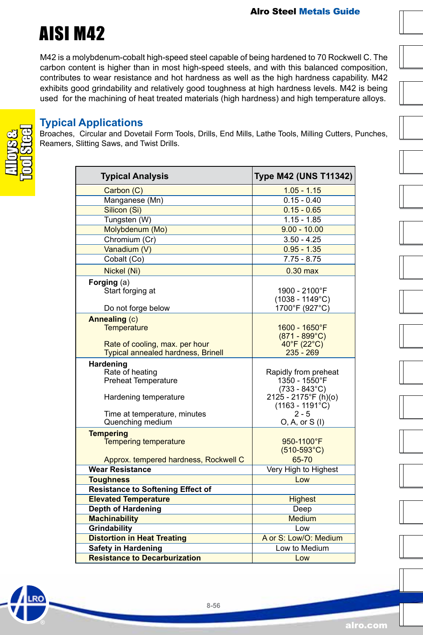

M42 is a molybdenum-cobalt high-speed steel capable of being hardened to 70 Rockwell C. The carbon content is higher than in most high-speed steels, and with this balanced composition, contributes to wear resistance and hot hardness as well as the high hardness capability. M42 exhibits good grindability and relatively good toughness at high hardness levels. M42 is being used for the machining of heat treated materials (high hardness) and high temperature alloys.

#### **Typical Applications**

Broaches, Circular and Dovetail Form Tools, Drills, End Mills, Lathe Tools, Milling Cutters, Punches, Reamers, Slitting Saws, and Twist Drills.

RO

| <b>Typical Analysis</b>                                                                                                                 | <b>Type M42 (UNS T11342)</b>                                                                                                                       |
|-----------------------------------------------------------------------------------------------------------------------------------------|----------------------------------------------------------------------------------------------------------------------------------------------------|
| Carbon (C)                                                                                                                              | $1.05 - 1.15$                                                                                                                                      |
| Manganese (Mn)                                                                                                                          | $0.15 - 0.40$                                                                                                                                      |
| Silicon (Si)                                                                                                                            | $0.15 - 0.65$                                                                                                                                      |
| Tungsten (W)                                                                                                                            | $1.15 - 1.85$                                                                                                                                      |
| Molybdenum (Mo)                                                                                                                         | $9.00 - 10.00$                                                                                                                                     |
| Chromium (Cr)                                                                                                                           | $3.50 - 4.25$                                                                                                                                      |
| Vanadium (V)                                                                                                                            | $0.95 - 1.35$                                                                                                                                      |
| Cobalt (Co)                                                                                                                             | $7.75 - 8.75$                                                                                                                                      |
| Nickel (Ni)                                                                                                                             | $0.30$ max                                                                                                                                         |
| Forging (a)<br>Start forging at                                                                                                         | 1900 - 2100°F<br>$(1038 - 1149^{\circ}C)$                                                                                                          |
| Do not forge below                                                                                                                      | 1700°F (927°C)                                                                                                                                     |
| Annealing (c)<br>Temperature<br>Rate of cooling, max. per hour<br><b>Typical annealed hardness, Brinell</b>                             | 1600 - 1650°F<br>$(871 - 899^{\circ}C)$<br>$40^{\circ}$ F (22 $^{\circ}$ C)<br>$235 - 269$                                                         |
| Hardening<br>Rate of heating<br><b>Preheat Temperature</b><br>Hardening temperature<br>Time at temperature, minutes<br>Quenching medium | Rapidly from preheat<br>1350 - 1550°F<br>$(733 - 843^{\circ}C)$<br>2125 - 2175°F (h)(o)<br>$(1163 - 1191^{\circ}C)$<br>$2 - 5$<br>$O, A, or S$ (I) |
| <b>Tempering</b><br><b>Tempering temperature</b>                                                                                        | 950-1100°F<br>$(510-593^{\circ}C)$                                                                                                                 |
| Approx. tempered hardness, Rockwell C                                                                                                   | 65-70                                                                                                                                              |
| <b>Wear Resistance</b>                                                                                                                  | Very High to Highest                                                                                                                               |
| <b>Toughness</b>                                                                                                                        | Low                                                                                                                                                |
| <b>Resistance to Softening Effect of</b>                                                                                                |                                                                                                                                                    |
| <b>Elevated Temperature</b>                                                                                                             | <b>Highest</b>                                                                                                                                     |
| <b>Depth of Hardening</b>                                                                                                               | Deep                                                                                                                                               |
| <b>Machinability</b>                                                                                                                    | <b>Medium</b>                                                                                                                                      |
| <b>Grindability</b>                                                                                                                     | Low                                                                                                                                                |
| <b>Distortion in Heat Treating</b>                                                                                                      | A or S: Low/O: Medium                                                                                                                              |
| <b>Safety in Hardening</b>                                                                                                              | Low to Medium                                                                                                                                      |
| <b>Resistance to Decarburization</b>                                                                                                    | Low                                                                                                                                                |











alro.com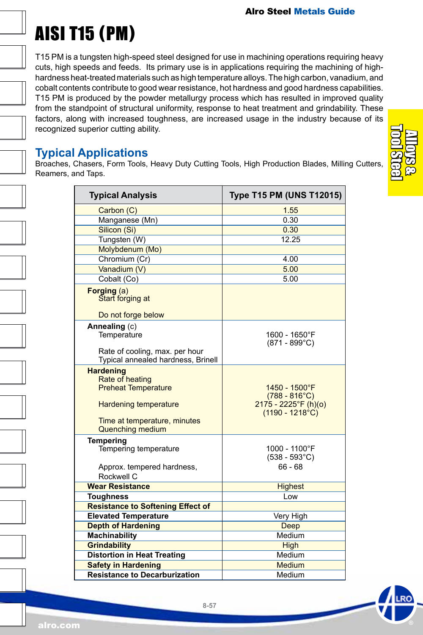# AISI T15 (PM)

T15 PM is a tungsten high-speed steel designed for use in machining operations requiring heavy cuts, high speeds and feeds. Its primary use is in applications requiring the machining of highhardness heat-treated materials such as high temperature alloys. The high carbon, vanadium, and cobalt contents contribute to good wear resistance, hot hardness and good hardness capabilities. T15 PM is produced by the powder metallurgy process which has resulted in improved quality from the standpoint of structural uniformity, response to heat treatment and grindability. These factors, along with increased toughness, are increased usage in the industry because of its recognized superior cutting ability.

### **Typical Applications**

Broaches, Chasers, Form Tools, Heavy Duty Cutting Tools, High Production Blades, Milling Cutters, Reamers, and Taps.

| <b>Typical Analysis</b>                                                                                                                                      | <b>Type T15 PM (UNS T12015)</b>                                                                |
|--------------------------------------------------------------------------------------------------------------------------------------------------------------|------------------------------------------------------------------------------------------------|
| Carbon (C)                                                                                                                                                   | 1.55                                                                                           |
| Manganese (Mn)                                                                                                                                               | 0.30                                                                                           |
| Silicon (Si)                                                                                                                                                 | 0.30                                                                                           |
| Tungsten (W)                                                                                                                                                 | 12.25                                                                                          |
| Molybdenum (Mo)                                                                                                                                              |                                                                                                |
| Chromium (Cr)                                                                                                                                                | 4.00                                                                                           |
| Vanadium (V)                                                                                                                                                 | 5.00                                                                                           |
| Cobalt (Co)                                                                                                                                                  | 5.00                                                                                           |
| Forging (a)<br>Start forging at                                                                                                                              |                                                                                                |
| Do not forge below                                                                                                                                           |                                                                                                |
| Annealing (c)<br>Temperature                                                                                                                                 | 1600 - 1650°F<br>$(871 - 899^{\circ}C)$                                                        |
| Rate of cooling, max. per hour<br>Typical annealed hardness, Brinell                                                                                         |                                                                                                |
| <b>Hardening</b><br>Rate of heating<br><b>Preheat Temperature</b><br><b>Hardening temperature</b><br>Time at temperature, minutes<br><b>Quenching medium</b> | 1450 - 1500°F<br>$(788 - 816^{\circ}C)$<br>$2175 - 2225$ °F (h)(o)<br>$(1190 - 1218^{\circ}C)$ |
| <b>Tempering</b><br>Tempering temperature<br>Approx. tempered hardness,<br>Rockwell C                                                                        | 1000 - 1100°F<br>$(538 - 593^{\circ}C)$<br>$66 - 68$                                           |
| <b>Wear Resistance</b>                                                                                                                                       | <b>Highest</b>                                                                                 |
| <b>Toughness</b>                                                                                                                                             | Low                                                                                            |
| <b>Resistance to Softening Effect of</b>                                                                                                                     |                                                                                                |
| <b>Elevated Temperature</b>                                                                                                                                  | Very High                                                                                      |
| <b>Depth of Hardening</b>                                                                                                                                    | <b>Deep</b>                                                                                    |
| <b>Machinability</b>                                                                                                                                         | Medium                                                                                         |
| <b>Grindability</b>                                                                                                                                          | <b>High</b>                                                                                    |
| <b>Distortion in Heat Treating</b>                                                                                                                           | Medium                                                                                         |
| <b>Safety in Hardening</b>                                                                                                                                   | <b>Medium</b>                                                                                  |
| <b>Resistance to Decarburization</b>                                                                                                                         | Medium                                                                                         |

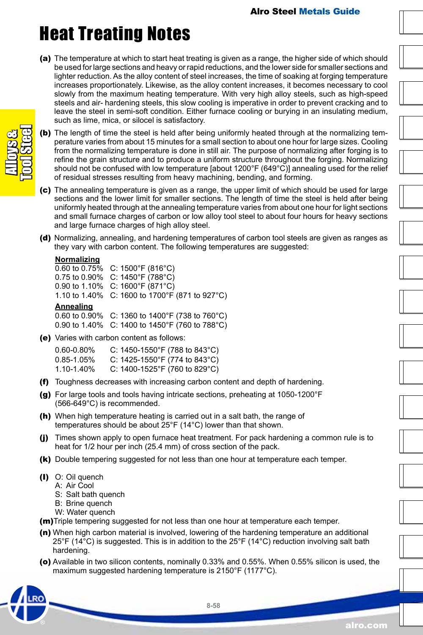### Heat Treating Notes

(a) The temperature at which to start heat treating is given as a range, the higher side of which should be used for large sections and heavy or rapid reductions, and the lower side for smaller sections and lighter reduction. As the alloy content of steel increases, the time of soaking at forging temperature increases proportionately. Likewise, as the alloy content increases, it becomes necessary to cool slowly from the maximum heating temperature. With very high alloy steels, such as high-speed steels and air- hardening steels, this slow cooling is imperative in order to prevent cracking and to leave the steel in semi-soft condition. Either furnace cooling or burying in an insulating medium, such as lime, mica, or silocel is satisfactory.



- (b) The length of time the steel is held after being uniformly heated through at the normalizing temperature varies from about 15 minutes for a small section to about one hour for large sizes. Cooling from the normalizing temperature is done in still air. The purpose of normalizing after forging is to refine the grain structure and to produce a uniform structure throughout the forging. Normalizing should not be confused with low temperature [about 1200°F (649°C)] annealing used for the relief of residual stresses resulting from heavy machining, bending, and forming.
- (c) The annealing temperature is given as a range, the upper limit of which should be used for large sections and the lower limit for smaller sections. The length of time the steel is held after being uniformly heated through at the annealing temperature varies from about one hour for light sections and small furnace charges of carbon or low alloy tool steel to about four hours for heavy sections and large furnace charges of high alloy steel.
- (d) Normalizing, annealing, and hardening temperatures of carbon tool steels are given as ranges as they vary with carbon content. The following temperatures are suggested:

#### **Normalizing**

0.60 to 0.75% C: 1500°F (816°C) 0.75 to 0.90% C: 1450°F (788°C) 0.90 to 1.10% C: 1600°F (871°C) 1.10 to 1.40% C: 1600 to 1700°F (871 to 927°C)

#### **Annealing**

0.60 to 0.90% C: 1360 to 1400°F (738 to 760°C) 0.90 to 1.40% C: 1400 to 1450°F (760 to 788°C)

(e) Varies with carbon content as follows:

| $0.60 - 0.80\%$ | C: 1450-1550°F (788 to 843°C) |
|-----------------|-------------------------------|
| $0.85 - 1.05%$  | C: 1425-1550°F (774 to 843°C) |
| 1.10-1.40%      | C: 1400-1525°F (760 to 829°C) |

- (f) Toughness decreases with increasing carbon content and depth of hardening.
- (g) For large tools and tools having intricate sections, preheating at 1050-1200°F (566-649°C) is recommended.
- (h) When high temperature heating is carried out in a salt bath, the range of temperatures should be about 25°F (14°C) lower than that shown.
- (j) Times shown apply to open furnace heat treatment. For pack hardening a common rule is to heat for 1/2 hour per inch (25.4 mm) of cross section of the pack.
- (k) Double tempering suggested for not less than one hour at temperature each temper.
- (I) O: Oil quench
	- A: Air Cool
		- S: Salt bath quench
		- B: Brine quench
		- W: Water quench
- (m)Triple tempering suggested for not less than one hour at temperature each temper.
- (n) When high carbon material is involved, lowering of the hardening temperature an additional 25°F (14°C) is suggested. This is in addition to the 25°F (14°C) reduction involving salt bath hardening.
- (o) Available in two silicon contents, nominally 0.33% and 0.55%. When 0.55% silicon is used, the maximum suggested hardening temperature is 2150°F (1177°C).

alro.com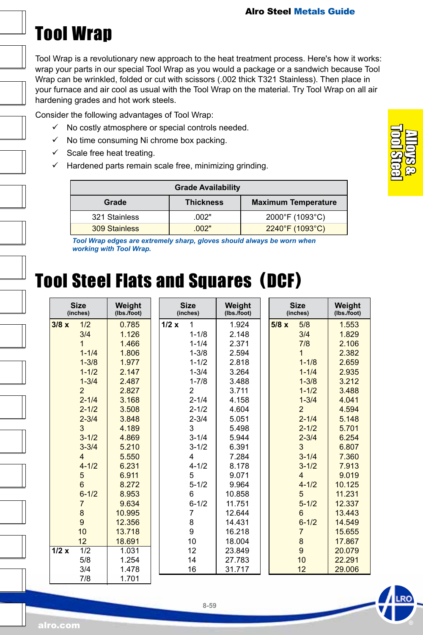### <span id="page-58-0"></span>Tool Wrap

Tool Wrap is a revolutionary new approach to the heat treatment process. Here's how it works: wrap your parts in our special Tool Wrap as you would a package or a sandwich because Tool Wrap can be wrinkled, folded or cut with scissors (.002 thick T321 Stainless). Then place in your furnace and air cool as usual with the Tool Wrap on the material. Try Tool Wrap on all air hardening grades and hot work steels.

Consider the following advantages of Tool Wrap:

- $\checkmark$  No costly atmosphere or special controls needed.
- $\checkmark$  No time consuming Ni chrome box packing.
- $\checkmark$  Scale free heat treating.
- $\checkmark$  Hardened parts remain scale free, minimizing grinding.

|               | <b>Grade Availability</b> |                            |
|---------------|---------------------------|----------------------------|
| Grade         | <b>Thickness</b>          | <b>Maximum Temperature</b> |
| 321 Stainless | .002"                     | 2000°F (1093°C)            |
| 309 Stainless | .002"                     | 2240°F (1093°C)            |

*Tool Wrap edges are extremely sharp, gloves should always be worn when working with Tool Wrap.*

### Tool Steel Flats and Squares (DCF)

| <b>Size</b><br>(inches)  | Weight<br>(Ibs./foot) | <b>Size</b><br>(inches) | Weight<br>(Ibs./foot) |      | <b>Size</b><br>(inches) | Weight<br>(Ibs./foot) |
|--------------------------|-----------------------|-------------------------|-----------------------|------|-------------------------|-----------------------|
| 1/2<br>3/8x              | 0.785                 | 1/2x<br>1               | 1.924                 | 5/8x | 5/8                     | 1.553                 |
| 3/4                      | 1.126                 | $1 - 1/8$               | 2.148                 |      | 3/4                     | 1.829                 |
| 1                        | 1.466                 | $1 - 1/4$               | 2.371                 |      | 7/8                     | 2.106                 |
| $1 - 1/4$                | 1.806                 | $1 - 3/8$               | 2.594                 |      | 1                       | 2.382                 |
| $1 - 3/8$                | 1.977                 | $1 - 1/2$               | 2.818                 |      | $1 - 1/8$               | 2.659                 |
| $1 - 1/2$                | 2.147                 | $1 - 3/4$               | 3.264                 |      | $1 - 1/4$               | 2.935                 |
| $1 - 3/4$                | 2.487                 | $1 - 7/8$               | 3.488                 |      | $1 - 3/8$               | 3.212                 |
| $\overline{2}$           | 2.827                 | $\overline{2}$          | 3.711                 |      | $1 - 1/2$               | 3.488                 |
| $2 - 1/4$                | 3.168                 | $2 - 1/4$               | 4.158                 |      | $1 - 3/4$               | 4.041                 |
| $2 - 1/2$                | 3.508                 | $2 - 1/2$               | 4.604                 |      | $\overline{2}$          | 4.594                 |
| $2 - 3/4$                | 3.848                 | $2 - 3/4$               | 5.051                 |      | $2 - 1/4$               | 5.148                 |
| 3                        | 4.189                 | 3                       | 5.498                 |      | $2 - 1/2$               | 5.701                 |
| $3 - 1/2$                | 4.869                 | $3 - 1/4$               | 5.944                 |      | $2 - 3/4$               | 6.254                 |
| $3 - 3/4$                | 5.210                 | $3 - 1/2$               | 6.391                 |      | 3                       | 6.807                 |
| $\overline{4}$           | 5.550                 | 4                       | 7.284                 |      | $3 - 1/4$               | 7.360                 |
| $4 - 1/2$                | 6.231                 | $4 - 1/2$               | 8.178                 |      | $3 - 1/2$               | 7.913                 |
| 5                        | 6.911                 | 5                       | 9.071                 |      | 4                       | 9.019                 |
| 6                        | 8.272                 | $5 - 1/2$               | 9.964                 |      | $4 - 1/2$               | 10.125                |
| $6 - 1/2$                | 8.953                 | 6                       | 10.858                |      | 5                       | 11.231                |
| $\overline{7}$           | 9.634                 | $6 - 1/2$               | 11.751                |      | $5 - 1/2$               | 12.337                |
| 8                        | 10.995                | 7                       | 12.644                |      | 6                       | 13.443                |
| 9                        | 12.356                | 8                       | 14.431                |      | $6 - 1/2$               | 14.549                |
| 10                       | 13.718                | 9                       | 16.218                |      | $\overline{7}$          | 15.655                |
| 12                       | 18.691                | 10                      | 18.004                |      | $\bf8$                  | 17.867                |
| $\overline{1/2}$<br>1/2x | 1.031                 | 12                      | 23.849                |      | $\overline{9}$          | 20.079                |
| 5/8                      | 1.254                 | 14                      | 27.783                |      | 10                      | 22.291                |
| 3/4                      | 1.478                 | 16                      | 31.717                |      | 12                      | 29.006                |
| 7/8                      | 1.701                 |                         |                       |      |                         |                       |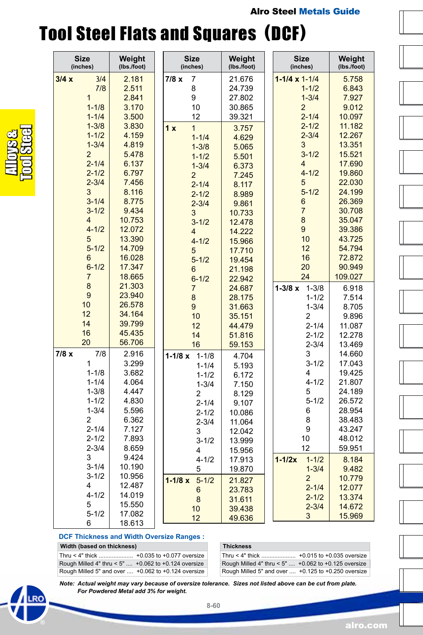### Tool Steel Flats and Squares (DCF)

|      | <b>Size</b><br>(inches) | Weight<br>(lbs./foot) | <b>Size</b><br>(inches) | Weight<br>(lbs./foot) | <b>Size</b><br>(inches)  | Weight<br>(lbs./foot) |
|------|-------------------------|-----------------------|-------------------------|-----------------------|--------------------------|-----------------------|
| 3/4x | 3/4                     | 2.181                 | 7<br>7/8 x              | 21.676                | $1 - 1/4 \times 1 - 1/4$ | 5.758                 |
|      | 7/8                     | 2.511                 | 8                       | 24.739                | $1 - 1/2$                | 6.843                 |
|      | $\mathbf{1}$            | 2.841                 | 9                       | 27.802                | $1 - 3/4$                | 7.927                 |
|      | $1 - 1/8$               | 3.170                 | 10                      | 30.865                | $\overline{2}$           | 9.012                 |
|      | $1 - 1/4$               | 3.500                 | 12                      | 39.321                | $2 - 1/4$                | 10.097                |
|      | $1 - 3/8$               | 3.830                 | 1 x<br>$\mathbf{1}$     | 3.757                 | $2 - 1/2$                | 11.182                |
|      | $1 - 1/2$               | 4.159                 | $1 - 1/4$               | 4.629                 | $2 - 3/4$                | 12.267                |
|      | $1 - 3/4$               | 4.819                 | $1 - 3/8$               | 5.065                 | 3                        | 13.351                |
|      | $\overline{2}$          | 5.478                 |                         |                       | $3 - 1/2$                | 15.521                |
|      | $2 - 1/4$               | 6.137                 | $1 - 1/2$               | 5.501                 | 4                        | 17.690                |
|      | $2 - 1/2$               | 6.797                 | $1 - 3/4$               | 6.373                 | $4 - 1/2$                | 19.860                |
|      | $2 - 3/4$               | 7.456                 | $\overline{2}$          | 7.245                 | 5                        | 22.030                |
|      | 3                       | 8.116                 | $2 - 1/4$               | 8.117                 | $5 - 1/2$                | 24.199                |
|      | $3 - 1/4$               | 8.775                 | $2 - 1/2$               | 8.989                 | 6                        | 26.369                |
|      | $3 - 1/2$               | 9.434                 | $2 - 3/4$               | 9.861                 | 7                        | 30.708                |
|      | $\overline{4}$          |                       | 3                       | 10.733                | 8                        |                       |
|      |                         | 10.753                | $3 - 1/2$               | 12.478                |                          | 35.047                |
|      | $4 - 1/2$               | 12.072                | 4                       | 14.222                | 9                        | 39.386                |
|      | 5                       | 13.390                | $4 - 1/2$               | 15.966                | 10                       | 43.725                |
|      | $5 - 1/2$               | 14.709                | 5                       | 17.710                | 12                       | 54.794                |
|      | 6                       | 16.028                | $5 - 1/2$               | 19.454                | 16                       | 72.872                |
|      | $6 - 1/2$               | 17.347                | 6                       | 21.198                | 20                       | 90.949                |
|      | $\overline{7}$          | 18.665                | $6 - 1/2$               | 22.942                | 24                       | 109.027               |
|      | 8                       | 21.303                | $\overline{7}$          | 24.687                | $1 - 3/8 x$<br>$1 - 3/8$ | 6.918                 |
|      | 9                       | 23.940                | 8                       | 28.175                | $1 - 1/2$                | 7.514                 |
|      | 10                      | 26.578                | 9                       | 31.663                | $1 - 3/4$                | 8.705                 |
|      | 12                      | 34.164                | 10                      | 35.151                | 2                        | 9.896                 |
|      | 14                      | 39.799                | 12                      | 44.479                | $2 - 1/4$                | 11.087                |
|      | 16                      | 45.435                | 14                      | 51.816                | $2 - 1/2$                | 12.278                |
|      | 20                      | 56.706                | 16                      | 59.153                | $2 - 3/4$                | 13.469                |
| 7/8x | 7/8                     | 2.916                 | $1 - 1/8$               |                       | 3                        | 14.660                |
|      | 1                       | 3.299                 | $1 - 1/8x$<br>$1 - 1/4$ | 4.704                 | $3 - 1/2$                | 17.043                |
|      | $1 - 1/8$               | 3.682                 |                         | 5.193                 | 4                        | 19.425                |
|      | $1 - 1/4$               | 4.064                 | $1 - 1/2$               | 6.172                 | $4 - 1/2$                | 21.807                |
|      | $1 - 3/8$               | 4.447                 | $1 - 3/4$               | 7.150                 | 5                        | 24.189                |
|      | $1 - 1/2$               | 4.830                 | 2                       | 8.129                 | $5 - 1/2$                | 26.572                |
|      | $1 - 3/4$               | 5.596                 | $2 - 1/4$               | 9.107                 | 6                        | 28.954                |
|      | $\overline{2}$          | 6.362                 | $2 - 1/2$               | 10.086                | 8                        | 38.483                |
|      | $2 - 1/4$               | 7.127                 | $2 - 3/4$               | 11.064                | 9                        | 43.247                |
|      |                         | 7.893                 | 3                       | 12.042                | 10                       |                       |
|      | $2 - 1/2$               |                       | $3 - 1/2$               | 13.999                |                          | 48.012                |
|      | $2 - 3/4$               | 8.659                 | 4                       | 15.956                | 12                       | 59.951                |
|      | 3                       | 9.424                 | $4 - 1/2$               | 17.913                | $1-1/2x$<br>$1 - 1/2$    | 8.184                 |
|      | $3 - 1/4$               | 10.190                | 5                       | 19.870                | $1 - 3/4$                | 9.482                 |
|      | $3 - 1/2$               | 10.956                | $5 - 1/2$<br>$1 - 1/8x$ | 21.827                | $\overline{2}$           | 10.779                |
|      | 4                       | 12.487                | 6                       | 23.783                | $2 - 1/4$                | 12.077                |
|      | $4 - 1/2$               | 14.019                | 8                       | 31.611                | $2 - 1/2$                | 13.374                |
|      | 5                       | 15.550                | 10                      | 39.438                | $2 - 3/4$                | 14.672                |
|      | $5 - 1/2$               | 17.082                | 12                      | 49.636                | 3                        | 15.969                |
|      | 6                       | 18.613                |                         |                       |                          |                       |

#### **DCF Thickness and Width Oversize Ranges : Width (based on thickness)**

| <b>WIGHT (Dased On HICKNESS)</b>                        |  |
|---------------------------------------------------------|--|
| Thru < 4" thick  +0.035 to +0.077 oversize              |  |
| Rough Milled 4" thru < 5" $+0.062$ to $+0.124$ oversize |  |
| Rough Milled 5" and over  +0.062 to +0.124 oversize     |  |

| <b>Thickness</b>                                           |  |
|------------------------------------------------------------|--|
|                                                            |  |
| Rough Milled 4" thru < 5" $+0.062$ to $+0.125$ oversize    |  |
| Rough Milled 5" and over $\dots$ +0.125 to +0.250 oversize |  |

*Note: Actual weight may vary because of oversize tolerance. Sizes not listed above can be cut from plate. For Powdered Metal add 3% for weight.*





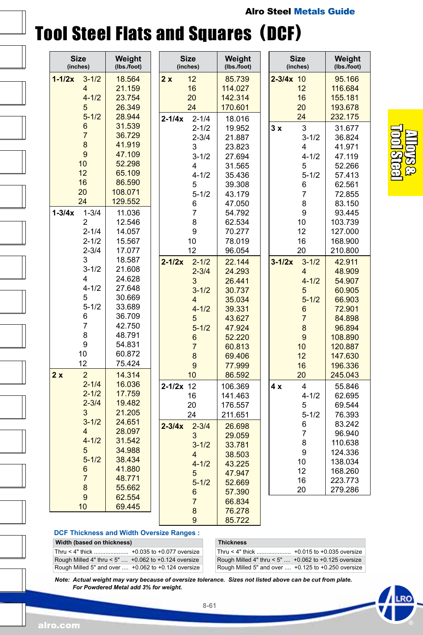### Tool Steel Flats and Squares (DCF)

| <b>Size</b><br>(inches) | Weight<br>(lbs./foot) | <b>Size</b><br>(inches) | Weight<br>(lbs./foot) | <b>Size</b><br>(inches) | Weight<br>(lbs./foot) |
|-------------------------|-----------------------|-------------------------|-----------------------|-------------------------|-----------------------|
| $1 - 1/2x$<br>$3 - 1/2$ | 18.564                | 12<br>2x                | 85.739                | $2 - 3/4x$<br>10        | 95.166                |
| 4                       | 21.159                | 16                      | 114.027               | 12                      | 116.684               |
| $4 - 1/2$               | 23.754                | 20                      | 142.314               | 16                      | 155.181               |
| 5                       | 26.349                | 24                      | 170.601               | 20                      | 193.678               |
| $5 - 1/2$               | 28.944                | $2 - 1/4$<br>$2 - 1/4x$ | 18.016                | 24                      | 232.175               |
| 6                       | 31.539                | $2 - 1/2$               | 19.952                | 3<br>3x                 | 31.677                |
| $\overline{7}$          | 36.729                | $2 - 3/4$               | 21.887                | $3 - 1/2$               | 36.824                |
| 8                       | 41.919                | 3                       | 23.823                | 4                       | 41.971                |
| 9                       | 47.109                | $3 - 1/2$               | 27.694                | $4 - 1/2$               | 47.119                |
| 10                      | 52.298                | 4                       | 31.565                | 5                       | 52.266                |
| 12                      | 65.109                | $4 - 1/2$               | 35.436                | $5 - 1/2$               | 57.413                |
| 16                      | 86.590                | 5                       | 39.308                | 6                       | 62.561                |
| 20                      | 108.071               | $5 - 1/2$               | 43.179                | 7                       | 72.855                |
| 24                      | 129.552               | 6                       | 47.050                | 8                       | 83.150                |
| $1 - 3/4x$<br>$1 - 3/4$ | 11.036                | $\overline{7}$          | 54.792                | 9                       | 93.445                |
| 2                       | 12.546                | 8                       | 62.534                | 10                      | 103.739               |
| $2 - 1/4$               | 14.057                | 9                       | 70.277                | 12                      | 127.000               |
| $2 - 1/2$               | 15.567                | 10                      | 78.019                | 16                      | 168.900               |
| $2 - 3/4$               | 17.077                | 12                      | 96.054                | 20                      | 210.800               |
| 3                       | 18.587                | $2 - 1/2x$<br>$2 - 1/2$ | 22.144                | $3 - 1/2x$<br>$3 - 1/2$ | 42.911                |
| $3 - 1/2$               | 21.608                | $2 - 3/4$               | 24.293                | 4                       | 48.909                |
| 4                       | 24.628                | 3                       | 26.441                | $4 - 1/2$               | 54.907                |
| $4 - 1/2$               | 27.648                | $3 - 1/2$               | 30.737                | 5                       | 60.905                |
| 5                       | 30.669                | 4                       | 35.034                | $5 - 1/2$               | 66.903                |
| $5 - 1/2$               | 33.689                | $4 - 1/2$               | 39.331                | 6                       | 72.901                |
| 6                       | 36.709                | 5                       | 43.627                | $\overline{7}$          | 84.898                |
| 7                       | 42.750                | $5 - 1/2$               | 47.924                | 8                       | 96.894                |
| 8                       | 48.791                | 6                       | 52.220                | 9                       | 108.890               |
| 9                       | 54.831                | $\overline{7}$          | 60.813                | 10                      | 120.887               |
| 10                      | 60.872                | 8                       | 69.406                | 12                      | 147.630               |
| 12                      | 75.424                | 9                       | 77.999                | 16                      | 196.336               |
| $\overline{2}$<br>2x    | 14.314                | 10                      | 86.592                | 20                      | 245.043               |
| $2 - 1/4$               | 16.036                | $2 - 1/2x$ 12           | 106.369               | 4<br>4 x                | 55.846                |
| $2 - 1/2$               | 17.759                | 16                      | 141.463               | $4 - 1/2$               | 62.695                |
| $2 - 3/4$               | 19.482                | 20                      | 176.557               | 5                       | 69.544                |
| 3                       | 21.205                | 24                      | 211.651               | $5 - 1/2$               | 76.393                |
| $3 - 1/2$               | 24.651                | $2 - 3/4$<br>$2 - 3/4x$ | 26.698                | 6                       | 83.242                |
| 4                       | 28.097                | 3                       | 29.059                | 7                       | 96.940                |
| $4 - 1/2$               | 31.542                | $3 - 1/2$               | 33.781                | 8                       | 110.638               |
| 5                       | 34.988                | 4                       | 38.503                | 9                       | 124.336               |
| $5 - 1/2$               | 38.434                | $4 - 1/2$               | 43.225                | 10                      | 138.034               |
| 6                       | 41.880                | 5                       | 47.947                | 12                      | 168.260               |
| $\overline{7}$          | 48.771                | $5 - 1/2$               | 52.669                | 16                      | 223.773               |
| 8                       | 55.662                | 6                       | 57.390                | 20                      | 279.286               |
| 9                       | 62.554                | 7                       | 66.834                |                         |                       |
| 10                      | 69.445                | 8                       | 76.278                |                         |                       |
|                         |                       | 9                       | 85.722                |                         |                       |
|                         |                       |                         |                       |                         |                       |

Alloys & Tool Steel

#### **DCF Thickness and Width Oversize Ranges :**

**Width (based on thickness)**

Thru < 4" thick ..................... +0.035 to +0.077 oversize Rough Milled 4" thru < 5" .... +0.062 to +0.124 oversize Rough Milled 5" and over .... +0.062 to +0.124 oversize

#### Thru < 4" thick ..................... +0.015 to +0.035 oversize **Thickness**

Rough Milled 4" thru < 5" .... +0.062 to +0.125 oversize Rough Milled 5" and over .... +0.125 to +0.250 oversize

*Note: Actual weight may vary because of oversize tolerance. Sizes not listed above can be cut from plate. For Powdered Metal add 3% for weight.*

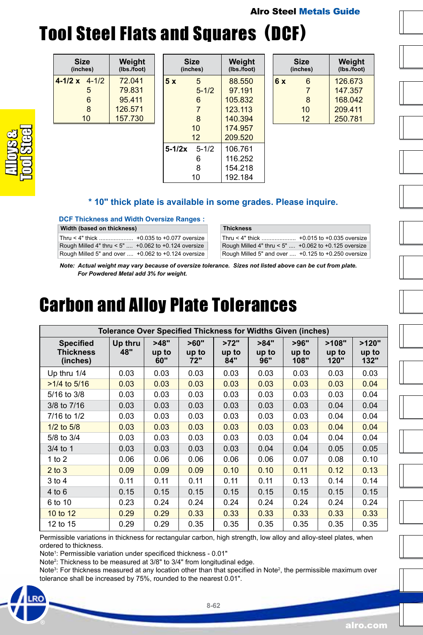### <span id="page-61-0"></span>Alro Steel Metals Guide Tool Steel Flats and Squares (DCF)

| Size<br>(inches)     | Weight<br>(lbs./foot) |
|----------------------|-----------------------|
| $4-1/2 \times 4-1/2$ | 72.041                |
| 5                    | 79.831                |
| 6                    | 95 411                |
| 8                    | 126,571               |
| 10                   | 157.730               |

**Width (based on thickness)**

|            | Size<br>(inches) | Weight<br>(Ibs./foot) |
|------------|------------------|-----------------------|
| 5x         | 5                | 88.550                |
|            | $5 - 1/2$        | 97 191                |
|            | 6                | 105832                |
|            | 7                | 123 113               |
|            | 8                | 140 394               |
|            | 10               | 174 957               |
|            | 12               | 209.520               |
| $5 - 1/2x$ | $5 - 1/2$        | 106.761               |
|            | 6                | 116.252               |
|            | 8                | 154 218               |
|            | 10               | 192.184               |

**\* 10" thick plate is available in some grades. Please inquire.**

**Thickness**

|    | Size<br>(inches) | Weight<br>(lbs./foot) |
|----|------------------|-----------------------|
| 6x | 6                | 126 673               |
|    | 7                | 147 357               |
|    | 8                | 168 042               |
|    | 10               | 209 411               |
|    | 12               | 250.781               |
|    |                  |                       |

Thru < 4" thick ..................... +0.015 to +0.035 oversize Rough Milled 4" thru < 5" .... +0.062 to +0.125 oversize Rough Milled 5" and over .... +0.125 to +0.250 oversize







*Note: Actual weight may vary because of oversize tolerance. Sizes not listed above can be cut from plate. For Powdered Metal add 3% for weight.*

### Carbon and Alloy Plate Tolerances

**DCF Thickness and Width Oversize Ranges :** Thru < 4" thick ..................... +0.035 to +0.077 oversize Rough Milled 4" thru < 5" .... +0.062 to +0.124 oversize Rough Milled 5" and over .... +0.062 to +0.124 oversize

| <b>Tolerance Over Specified Thickness for Widths Given (inches)</b> |                |                      |                      |                      |                      |                       |                        |                        |
|---------------------------------------------------------------------|----------------|----------------------|----------------------|----------------------|----------------------|-----------------------|------------------------|------------------------|
| <b>Specified</b><br><b>Thickness</b><br>(inches)                    | Up thru<br>48" | >48"<br>up to<br>60" | >60"<br>up to<br>72" | >72"<br>up to<br>84" | >84"<br>up to<br>96" | >96"<br>up to<br>108" | >108"<br>up to<br>120" | >120"<br>up to<br>132" |
| Up thru 1/4                                                         | 0.03           | 0.03                 | 0.03                 | 0.03                 | 0.03                 | 0.03                  | 0.03                   | 0.03                   |
| $>1/4$ to 5/16                                                      | 0.03           | 0.03                 | 0.03                 | 0.03                 | 0.03                 | 0.03                  | 0.03                   | 0.04                   |
| $5/16$ to $3/8$                                                     | 0.03           | 0.03                 | 0.03                 | 0.03                 | 0.03                 | 0.03                  | 0.03                   | 0.04                   |
| 3/8 to 7/16                                                         | 0.03           | 0.03                 | 0.03                 | 0.03                 | 0.03                 | 0.03                  | 0.04                   | 0.04                   |
| 7/16 to 1/2                                                         | 0.03           | 0.03                 | 0.03                 | 0.03                 | 0.03                 | 0.03                  | 0.04                   | 0.04                   |
| $1/2$ to $5/8$                                                      | 0.03           | 0.03                 | 0.03                 | 0.03                 | 0.03                 | 0.03                  | 0.04                   | 0.04                   |
| 5/8 to 3/4                                                          | 0.03           | 0.03                 | 0.03                 | 0.03                 | 0.03                 | 0.04                  | 0.04                   | 0.04                   |
| $3/4$ to 1                                                          | 0.03           | 0.03                 | 0.03                 | 0.03                 | 0.04                 | 0.04                  | 0.05                   | 0.05                   |
| 1 to $2$                                                            | 0.06           | 0.06                 | 0.06                 | 0.06                 | 0.06                 | 0.07                  | 0.08                   | 0.10                   |
| $2$ to $3$                                                          | 0.09           | 0.09                 | 0.09                 | 0.10                 | 0.10                 | 0.11                  | 0.12                   | 0.13                   |
| $3$ to 4                                                            | 0.11           | 0.11                 | 0.11                 | 0.11                 | 0.11                 | 0.13                  | 0.14                   | 0.14                   |
| $4$ to 6                                                            | 0.15           | 0.15                 | 0.15                 | 0.15                 | 0.15                 | 0.15                  | 0.15                   | 0.15                   |
| 6 to 10                                                             | 0.23           | 0.24                 | 0.24                 | 0.24                 | 0.24                 | 0.24                  | 0.24                   | 0.24                   |
| 10 to 12                                                            | 0.29           | 0.29                 | 0.33                 | 0.33                 | 0.33                 | 0.33                  | 0.33                   | 0.33                   |
| 12 to 15                                                            | 0.29           | 0.29                 | 0.35                 | 0.35                 | 0.35                 | 0.35                  | 0.35                   | 0.35                   |

Permissible variations in thickness for rectangular carbon, high strength, low alloy and alloy-steel plates, when ordered to thickness.

Note1 : Permissible variation under specificed thickness - 0.01"

Note<sup>2</sup>: Thickness to be measured at 3/8" to 3/4" from longitudinal edge.

Note<sup>3</sup>: For thickness measured at any location other than that specified in Note<sup>2</sup>, the permissible maximum over [toler](https://www.alro.com/)ance shall be increased by 75%, rounded to the nearest 0.01".

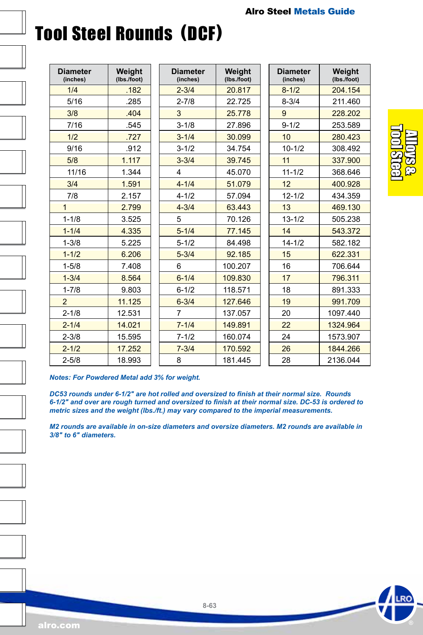# Tool Steel Rounds (DCF)

| <b>Diameter</b><br>(inches) | Weight<br>(lbs./foot) | <b>Diam</b><br>(inch |
|-----------------------------|-----------------------|----------------------|
| 1/4                         | .182                  | $2 - 31$             |
| 5/16                        | .285                  | $2 - 7/$             |
| 3/8                         | .404                  | 3                    |
| 7/16                        | .545                  | $3 - 1/$             |
| 1/2                         | .727                  | $3 - 1/$             |
| 9/16                        | .912                  | $3 - 1/$             |
| 5/8                         | 1.117                 | $3 - 3/$             |
| 11/16                       | 1.344                 | 4                    |
| 3/4                         | 1.591                 | $4 - 1/$             |
| 7/8                         | 2.157                 | $4 - 1/$             |
| $\overline{1}$              | 2.799                 | $4 - 31$             |
| $1 - 1/8$                   | 3.525                 | 5                    |
| $1 - 1/4$                   | 4.335                 | $5 - 1/$             |
| $1 - 3/8$                   | 5.225                 | $5 - 1/$             |
| $1 - 1/2$                   | 6.206                 | $5 - 3/$             |
| $1 - 5/8$                   | 7.408                 | 6                    |
| $1 - 3/4$                   | 8.564                 | $6 - 1/$             |
| $1 - 7/8$                   | 9.803                 | $6 - 1/$             |
| $\overline{2}$              | 11.125                | $6 - 3/$             |
| $2 - 1/8$                   | 12.531                | 7                    |
| $2 - 1/4$                   | 14.021                | $7 - 1/$             |
| $2 - 3/8$                   | 15.595                | $7 - 1/$             |
| $2 - 1/2$                   | 17.252                | $7 - 31$             |
| $2 - 5/8$                   | 18.993                | 8                    |

| <b>Diameter</b><br>(inches) | Weight<br>(Ibs./foot) |
|-----------------------------|-----------------------|
| $2 - 3/4$                   | 20.817                |
| $2 - 7/8$                   | 22.725                |
| 3                           | 25.778                |
| $3 - 1/8$                   | 27.896                |
| $3 - 1/4$                   | 30.099                |
| $3 - 1/2$                   | 34.754                |
| $3 - 3/4$                   | 39.745                |
| 4                           | 45.070                |
| $4 - 1/4$                   | 51.079                |
| $4 - 1/2$                   | 57.094                |
| $4 - 3/4$                   | 63.443                |
| 5                           | 70.126                |
| $5 - 1/4$                   | 77.145                |
| $5 - 1/2$                   | 84.498                |
| $5 - 3/4$                   | 92.185                |
| 6                           | 100.207               |
| $6 - 1/4$                   | 109.830               |
| $6 - 1/2$                   | 118.571               |
| $6 - 3/4$                   | 127.646               |
| 7                           | 137.057               |
| $7 - 1/4$                   | 149.891               |
| $7 - 1/2$                   | 160.074               |
| $7 - 3/4$                   | 170.592               |
| 8                           | 181.445               |

| Diameter<br>(inches) | Weight<br>(lbs./foot) |
|----------------------|-----------------------|
| $8 - 1/2$            | 204.154               |
| $8 - 3/4$            | 211.460               |
| 9                    | 228.202               |
| $9 - 1/2$            | 253.589               |
| 10                   | 280.423               |
| $10 - 1/2$           | 308.492               |
| 11                   | 337.900               |
| $11 - 1/2$           | 368.646               |
| 12                   | 400.928               |
| $12 - 1/2$           | 434.359               |
| 13                   | 469.130               |
| $13 - 1/2$           | 505.238               |
| 14                   | 543.372               |
| $14 - 1/2$           | 582.182               |
| 15                   | 622.331               |
| 16                   | 706.644               |
| 17                   | 796.311               |
| 18                   | 891.333               |
| 19                   | 991.709               |
| 20                   | 1097.440              |
| 22                   | 1324.964              |
| 24                   | 1573.907              |
| 26                   | 1844.266              |
| 28                   | 2136.044              |



*Notes: For Powdered Metal add 3% for weight.*

*DC53 rounds under 6-1/2" are hot rolled and oversized to finish at their normal size. Rounds 6-1/2" and over are rough turned and oversized to finish at their normal size. DC-53 is ordered to metric sizes and the weight (lbs./ft.) may vary compared to the imperial measurements.*

*M2 rounds are available in on-size diameters and oversize diameters. M2 rounds are available in 3/8" to 6" diameters.*

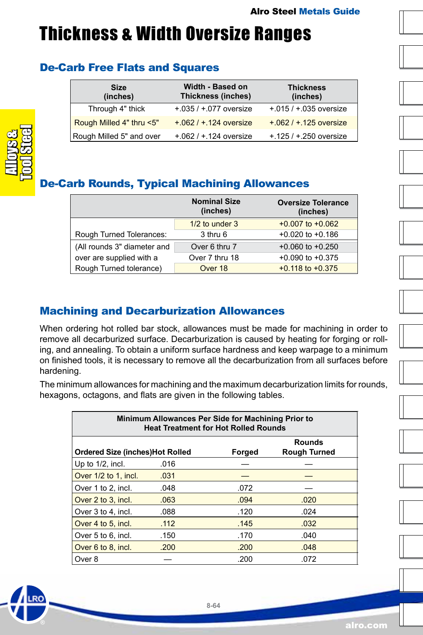### <span id="page-63-0"></span>Thickness & Width Oversize Ranges

### De-Carb Free Flats and Squares

| <b>Size</b><br>(inches)  | Width - Based on<br><b>Thickness (inches)</b> | <b>Thickness</b><br>(inches) |  |
|--------------------------|-----------------------------------------------|------------------------------|--|
| Through 4" thick         | $+0.035 / +0.077$ oversize                    | $+.015 / +.035$ oversize     |  |
| Rough Milled 4" thru <5" | $+.062 / +.124$ oversize                      | $+.062 / +.125$ oversize     |  |
| Rough Milled 5" and over | $+.062 / +.124$ oversize                      | $+125/ + 250$ oversize       |  |



### De-Carb Rounds, Typical Machining Allowances

|                             | <b>Nominal Size</b><br>(inches) | <b>Oversize Tolerance</b><br>(inches) |
|-----------------------------|---------------------------------|---------------------------------------|
|                             | $1/2$ to under $3$              | $+0.007$ to $+0.062$                  |
| Rough Turned Tolerances:    | 3 thru 6                        | $+0.020$ to $+0.186$                  |
| (All rounds 3" diameter and | Over 6 thru 7                   | $+0.060$ to $+0.250$                  |
| over are supplied with a    | Over 7 thru 18                  | $+0.090$ to $+0.375$                  |
| Rough Turned tolerance)     | Over 18                         | $+0.118$ to $+0.375$                  |

### Machining and Decarburization Allowances

When ordering hot rolled bar stock, allowances must be made for machining in order to remove all decarburized surface. Decarburization is caused by heating for forging or rolling, and annealing. To obtain a uniform surface hardness and keep warpage to a minimum on finished tools, it is necessary to remove all the decarburization from all surfaces before hardening.

The minimum allowances for machining and the maximum decarburization limits for rounds, hexagons, octagons, and flats are given in the following tables.

| Minimum Allowances Per Side for Machining Prior to<br><b>Heat Treatment for Hot Rolled Rounds</b> |      |      |      |  |  |  |  |
|---------------------------------------------------------------------------------------------------|------|------|------|--|--|--|--|
| <b>Rounds</b><br><b>Ordered Size (inches)Hot Rolled</b><br>Forged<br>Rough Turned                 |      |      |      |  |  |  |  |
| Up to $1/2$ , incl.                                                                               | .016 |      |      |  |  |  |  |
| Over 1/2 to 1, incl.                                                                              | .031 |      |      |  |  |  |  |
| Over 1 to 2, incl.                                                                                | .048 | .072 |      |  |  |  |  |
| Over 2 to 3, incl.                                                                                | .063 | .094 | .020 |  |  |  |  |
| Over 3 to 4, incl.                                                                                | .088 | .120 | .024 |  |  |  |  |
| Over 4 to 5, incl.                                                                                | .112 | .145 | .032 |  |  |  |  |
| Over 5 to 6, incl.                                                                                | .150 | .170 | .040 |  |  |  |  |
| Over 6 to 8, incl.                                                                                | .200 | .200 | .048 |  |  |  |  |
| Over 8                                                                                            |      | .200 | .072 |  |  |  |  |







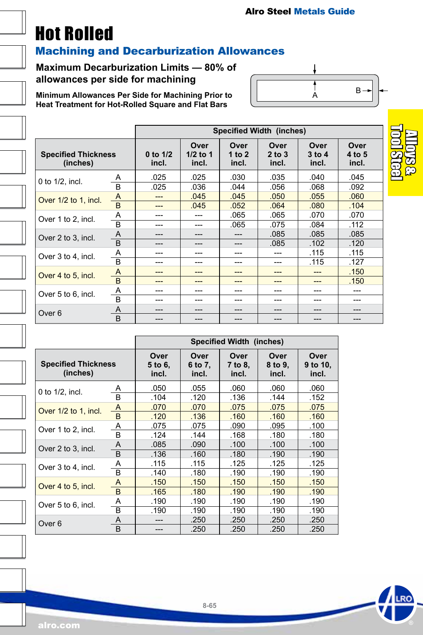### <span id="page-64-0"></span>Hot Rolled

#### Machining and Decarburization Allowances

#### **Maximum Decarburization Limits — 80% of allowances per side for machining**

**Minimum Allowances Per Side for Machining Prior to Heat Treatment for Hot-Rolled Square and Flat Bars**



|                                        |                | Specified Width (inches) |                             |                           |                             |                             |                         |
|----------------------------------------|----------------|--------------------------|-----------------------------|---------------------------|-----------------------------|-----------------------------|-------------------------|
| <b>Specified Thickness</b><br>(inches) |                | 0 to $1/2$<br>incl.      | Over<br>$1/2$ to 1<br>incl. | Over<br>1 to $2$<br>incl. | Over<br>$2$ to $3$<br>incl. | Over<br>$3$ to $4$<br>incl. | Over<br>4 to 5<br>incl. |
| 0 to $1/2$ , incl.                     | A              | .025                     | .025                        | .030                      | .035                        | .040                        | .045                    |
|                                        | B              | .025                     | .036                        | .044                      | .056                        | .068                        | .092                    |
| Over 1/2 to 1, incl.                   | A              | ---                      | .045                        | .045                      | .050                        | .055                        | .060                    |
|                                        | B              | ---                      | .045                        | .052                      | .064                        | .080                        | .104                    |
| Over 1 to 2, incl.                     | Α              | ---                      | ---                         | .065                      | .065                        | .070                        | .070                    |
|                                        | $\overline{B}$ | ---                      | ---                         | .065                      | .075                        | .084                        | .112                    |
| Over 2 to 3, incl.                     | A              | ---                      | ---                         | ---                       | .085                        | .085                        | .085                    |
|                                        | $\overline{B}$ | ---                      | ---                         | $---$                     | .085                        | .102                        | .120                    |
| Over 3 to 4, incl.                     | Α              | ---                      | ---                         | ---                       | ---                         | .115                        | .115                    |
|                                        | <sub>B</sub>   | ---                      | ---                         | ---                       | ---                         | .115                        | .127                    |
| Over 4 to 5, incl.                     | A              | ---                      | ---                         | ---                       | ---                         | ---                         | .150                    |
|                                        | $\overline{B}$ | ---                      | ---                         | ---                       | ---                         | ---                         | .150                    |
| Over 5 to 6, incl.                     | Α              | ---                      | ---                         | ---                       | ---                         | ---                         | ---                     |
|                                        | B              | ---                      | ---                         | ---                       | ---                         | ---                         | ---                     |
| Over 6                                 | A              | ---                      | ---                         | ---                       | ---                         | ---                         | ---                     |
|                                        | B              | ---                      | ---                         | ---                       | ---                         | ---                         | ---                     |

|                                        |              | <b>Specified Width (inches)</b> |                          |                          |                          |                           |
|----------------------------------------|--------------|---------------------------------|--------------------------|--------------------------|--------------------------|---------------------------|
| <b>Specified Thickness</b><br>(inches) |              | Over<br>5 to 6,<br>incl.        | Over<br>6 to 7,<br>incl. | Over<br>7 to 8,<br>incl. | Over<br>8 to 9,<br>incl. | Over<br>9 to 10,<br>incl. |
| 0 to $1/2$ , incl.                     | A            | .050                            | .055                     | .060                     | .060                     | .060                      |
|                                        | <sub>B</sub> | .104                            | .120                     | .136                     | .144                     | .152                      |
| Over 1/2 to 1, incl.                   | A            | .070                            | .070                     | .075                     | .075                     | .075                      |
|                                        | <sub>B</sub> | .120                            | .136                     | .160                     | .160                     | .160                      |
| Over 1 to 2, incl.                     | Α            | .075                            | .075                     | .090                     | .095                     | .100                      |
|                                        | <sub>B</sub> | .124                            | .144                     | .168                     | .180                     | .180                      |
| Over 2 to 3, incl.                     | A            | .085                            | .090                     | .100                     | .100                     | .100                      |
|                                        | R.           | .136                            | .160                     | .180                     | .190                     | .190                      |
| Over 3 to 4, incl.                     | Α            | .115                            | .115                     | .125                     | .125                     | .125                      |
|                                        | <sub>B</sub> | .140                            | .180                     | .190                     | .190                     | .190                      |
| Over 4 to 5, incl.                     | A            | .150                            | .150                     | .150                     | .150                     | .150                      |
|                                        | <sub>B</sub> | .165                            | .180                     | .190                     | .190                     | .190                      |
| Over 5 to 6, incl.                     | A            | .190                            | .190                     | .190                     | .190                     | .190                      |
|                                        | R            | .190                            | .190                     | .190                     | .190                     | .190                      |
| Over 6                                 | A            |                                 | .250                     | .250                     | .250                     | .250                      |
|                                        | <sub>B</sub> | ---                             | .250                     | .250                     | .250                     | .250                      |